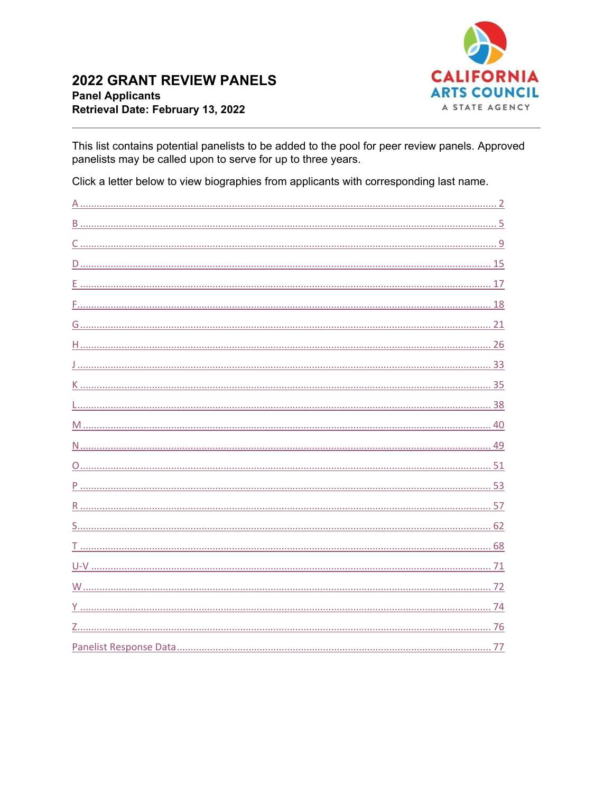

<span id="page-0-0"></span>This list contains potential panelists to be added to the pool for peer review panels. Approved panelists may be called upon to serve for up to three years.

Click a letter below to view biographies from applicants with corresponding last name.

| 57 |
|----|
|    |
|    |
|    |
|    |
|    |
|    |
|    |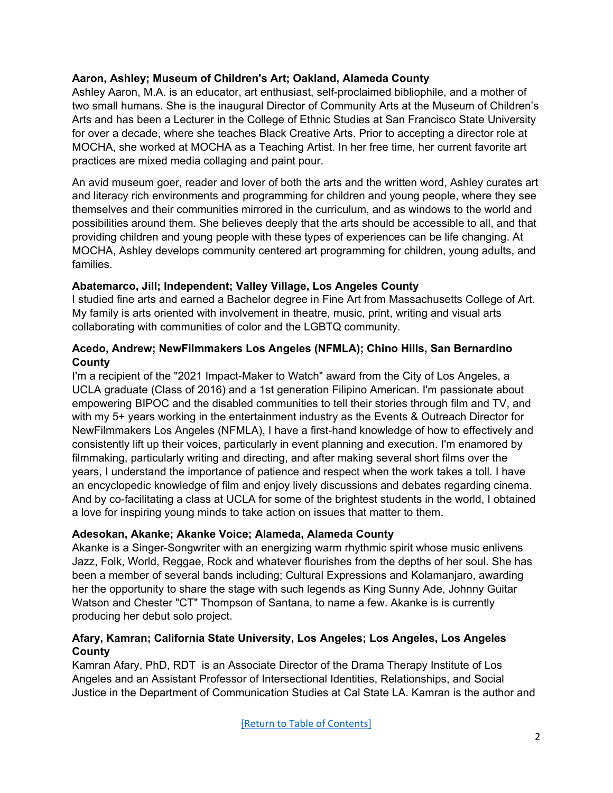# **Aaron, Ashley; Museum of Children's Art; Oakland, Alameda County**

<span id="page-1-0"></span>Ashley Aaron, M.A. is an educator, art enthusiast, self-proclaimed bibliophile, and a mother of two small humans. She is the inaugural Director of Community Arts at the Museum of Children's Arts and has been a Lecturer in the College of Ethnic Studies at San Francisco State University for over a decade, where she teaches Black Creative Arts. Prior to accepting a director role at MOCHA, she worked at MOCHA as a Teaching Artist. In her free time, her current favorite art practices are mixed media collaging and paint pour.

An avid museum goer, reader and lover of both the arts and the written word, Ashley curates art and literacy rich environments and programming for children and young people, where they see themselves and their communities mirrored in the curriculum, and as windows to the world and possibilities around them. She believes deeply that the arts should be accessible to all, and that providing children and young people with these types of experiences can be life changing. At MOCHA, Ashley develops community centered art programming for children, young adults, and families.

#### **Abatemarco, Jill; Independent; Valley Village, Los Angeles County**

I studied fine arts and earned a Bachelor degree in Fine Art from Massachusetts College of Art. My family is arts oriented with involvement in theatre, music, print, writing and visual arts collaborating with communities of color and the LGBTQ community.

### **Acedo, Andrew; NewFilmmakers Los Angeles (NFMLA); Chino Hills, San Bernardino County**

I'm a recipient of the "2021 Impact-Maker to Watch" award from the City of Los Angeles, a UCLA graduate (Class of 2016) and a 1st generation Filipino American. I'm passionate about empowering BIPOC and the disabled communities to tell their stories through film and TV, and with my 5+ years working in the entertainment industry as the Events & Outreach Director for NewFilmmakers Los Angeles (NFMLA), I have a first-hand knowledge of how to effectively and consistently lift up their voices, particularly in event planning and execution. I'm enamored by filmmaking, particularly writing and directing, and after making several short films over the years, I understand the importance of patience and respect when the work takes a toll. I have an encyclopedic knowledge of film and enjoy lively discussions and debates regarding cinema. And by co-facilitating a class at UCLA for some of the brightest students in the world, I obtained a love for inspiring young minds to take action on issues that matter to them.

# **Adesokan, Akanke; Akanke Voice; Alameda, Alameda County**

Akanke is a Singer-Songwriter with an energizing warm rhythmic spirit whose music enlivens Jazz, Folk, World, Reggae, Rock and whatever flourishes from the depths of her soul. She has been a member of several bands including; Cultural Expressions and Kolamanjaro, awarding her the opportunity to share the stage with such legends as King Sunny Ade, Johnny Guitar Watson and Chester "CT" Thompson of Santana, to name a few. Akanke is is currently producing her debut solo project.

### **Afary, Kamran; California State University, Los Angeles; Los Angeles, Los Angeles County**

Kamran Afary, PhD, RDT is an Associate Director of the Drama Therapy Institute of Los Angeles and an Assistant Professor of Intersectional Identities, Relationships, and Social Justice in the Department of Communication Studies at Cal State LA. Kamran is the author and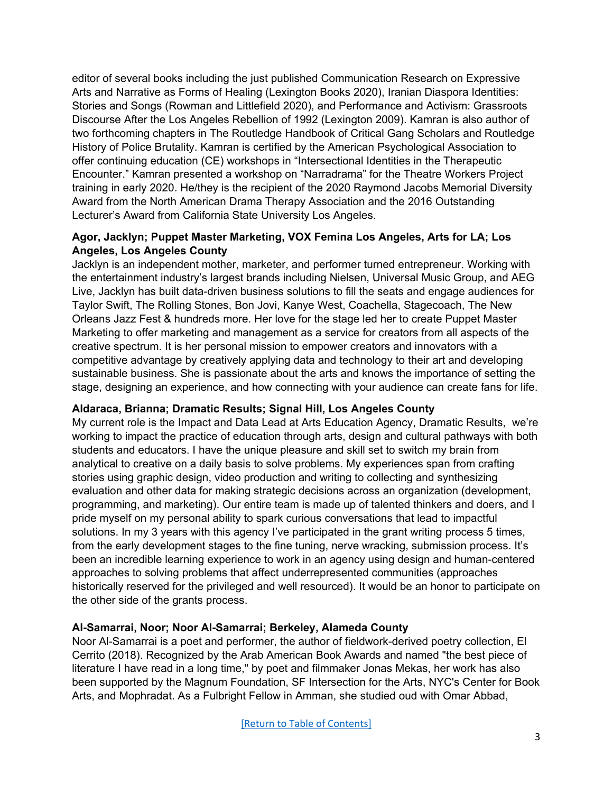editor of several books including the just published Communication Research on Expressive Arts and Narrative as Forms of Healing (Lexington Books 2020), Iranian Diaspora Identities: Stories and Songs (Rowman and Littlefield 2020), and Performance and Activism: Grassroots Discourse After the Los Angeles Rebellion of 1992 (Lexington 2009). Kamran is also author of two forthcoming chapters in The Routledge Handbook of Critical Gang Scholars and Routledge History of Police Brutality. Kamran is certified by the American Psychological Association to offer continuing education (CE) workshops in "Intersectional Identities in the Therapeutic Encounter." Kamran presented a workshop on "Narradrama" for the Theatre Workers Project training in early 2020. He/they is the recipient of the 2020 Raymond Jacobs Memorial Diversity Award from the North American Drama Therapy Association and the 2016 Outstanding Lecturer's Award from California State University Los Angeles.

### **Agor, Jacklyn; Puppet Master Marketing, VOX Femina Los Angeles, Arts for LA; Los Angeles, Los Angeles County**

Jacklyn is an independent mother, marketer, and performer turned entrepreneur. Working with the entertainment industry's largest brands including Nielsen, Universal Music Group, and AEG Live, Jacklyn has built data-driven business solutions to fill the seats and engage audiences for Taylor Swift, The Rolling Stones, Bon Jovi, Kanye West, Coachella, Stagecoach, The New Orleans Jazz Fest & hundreds more. Her love for the stage led her to create Puppet Master Marketing to offer marketing and management as a service for creators from all aspects of the creative spectrum. It is her personal mission to empower creators and innovators with a competitive advantage by creatively applying data and technology to their art and developing sustainable business. She is passionate about the arts and knows the importance of setting the stage, designing an experience, and how connecting with your audience can create fans for life.

# **Aldaraca, Brianna; Dramatic Results; Signal Hill, Los Angeles County**

My current role is the Impact and Data Lead at Arts Education Agency, Dramatic Results, we're working to impact the practice of education through arts, design and cultural pathways with both students and educators. I have the unique pleasure and skill set to switch my brain from analytical to creative on a daily basis to solve problems. My experiences span from crafting stories using graphic design, video production and writing to collecting and synthesizing evaluation and other data for making strategic decisions across an organization (development, programming, and marketing). Our entire team is made up of talented thinkers and doers, and I pride myself on my personal ability to spark curious conversations that lead to impactful solutions. In my 3 years with this agency I've participated in the grant writing process 5 times, from the early development stages to the fine tuning, nerve wracking, submission process. It's been an incredible learning experience to work in an agency using design and human-centered approaches to solving problems that affect underrepresented communities (approaches historically reserved for the privileged and well resourced). It would be an honor to participate on the other side of the grants process.

#### **Al-Samarrai, Noor; Noor Al-Samarrai; Berkeley, Alameda County**

Noor Al-Samarrai is a poet and performer, the author of fieldwork-derived poetry collection, El Cerrito (2018). Recognized by the Arab American Book Awards and named "the best piece of literature I have read in a long time," by poet and filmmaker Jonas Mekas, her work has also been supported by the Magnum Foundation, SF Intersection for the Arts, NYC's Center for Book Arts, and Mophradat. As a Fulbright Fellow in Amman, she studied oud with Omar Abbad,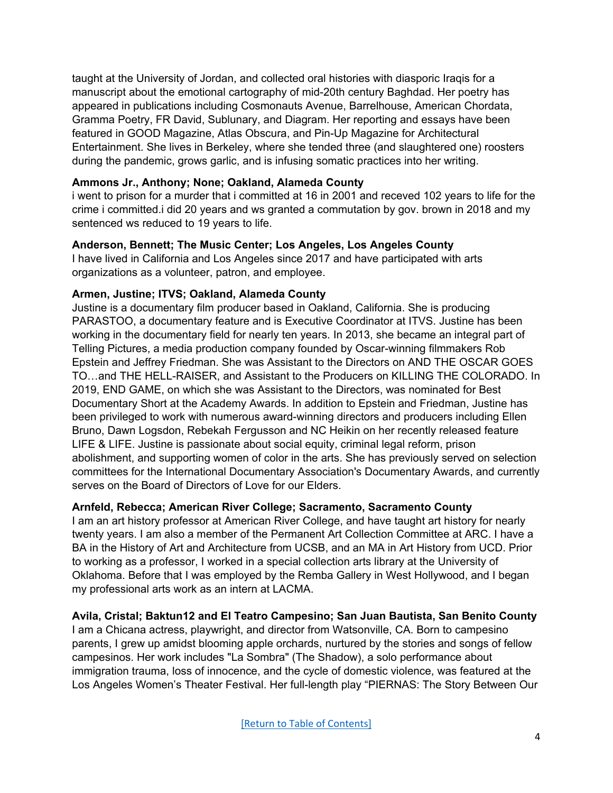taught at the University of Jordan, and collected oral histories with diasporic Iraqis for a manuscript about the emotional cartography of mid-20th century Baghdad. Her poetry has appeared in publications including Cosmonauts Avenue, Barrelhouse, American Chordata, Gramma Poetry, FR David, Sublunary, and Diagram. Her reporting and essays have been featured in GOOD Magazine, Atlas Obscura, and Pin-Up Magazine for Architectural Entertainment. She lives in Berkeley, where she tended three (and slaughtered one) roosters during the pandemic, grows garlic, and is infusing somatic practices into her writing.

# **Ammons Jr., Anthony; None; Oakland, Alameda County**

i went to prison for a murder that i committed at 16 in 2001 and receved 102 years to life for the crime i committed.i did 20 years and ws granted a commutation by gov. brown in 2018 and my sentenced ws reduced to 19 years to life.

# **Anderson, Bennett; The Music Center; Los Angeles, Los Angeles County**

I have lived in California and Los Angeles since 2017 and have participated with arts organizations as a volunteer, patron, and employee.

# **Armen, Justine; ITVS; Oakland, Alameda County**

Justine is a documentary film producer based in Oakland, California. She is producing PARASTOO, a documentary feature and is Executive Coordinator at ITVS. Justine has been working in the documentary field for nearly ten years. In 2013, she became an integral part of Telling Pictures, a media production company founded by Oscar-winning filmmakers Rob Epstein and Jeffrey Friedman. She was Assistant to the Directors on AND THE OSCAR GOES TO…and THE HELL-RAISER, and Assistant to the Producers on KILLING THE COLORADO. In 2019, END GAME, on which she was Assistant to the Directors, was nominated for Best Documentary Short at the Academy Awards. In addition to Epstein and Friedman, Justine has been privileged to work with numerous award-winning directors and producers including Ellen Bruno, Dawn Logsdon, Rebekah Fergusson and NC Heikin on her recently released feature LIFE & LIFE. Justine is passionate about social equity, criminal legal reform, prison abolishment, and supporting women of color in the arts. She has previously served on selection committees for the International Documentary Association's Documentary Awards, and currently serves on the Board of Directors of Love for our Elders.

# **Arnfeld, Rebecca; American River College; Sacramento, Sacramento County**

I am an art history professor at American River College, and have taught art history for nearly twenty years. I am also a member of the Permanent Art Collection Committee at ARC. I have a BA in the History of Art and Architecture from UCSB, and an MA in Art History from UCD. Prior to working as a professor, I worked in a special collection arts library at the University of Oklahoma. Before that I was employed by the Remba Gallery in West Hollywood, and I began my professional arts work as an intern at LACMA.

# **Avila, Cristal; Baktun12 and El Teatro Campesino; San Juan Bautista, San Benito County**

I am a Chicana actress, playwright, and director from Watsonville, CA. Born to campesino parents, I grew up amidst blooming apple orchards, nurtured by the stories and songs of fellow campesinos. Her work includes "La Sombra" (The Shadow), a solo performance about immigration trauma, loss of innocence, and the cycle of domestic violence, was featured at the Los Angeles Women's Theater Festival. Her full-length play "PIERNAS: The Story Between Our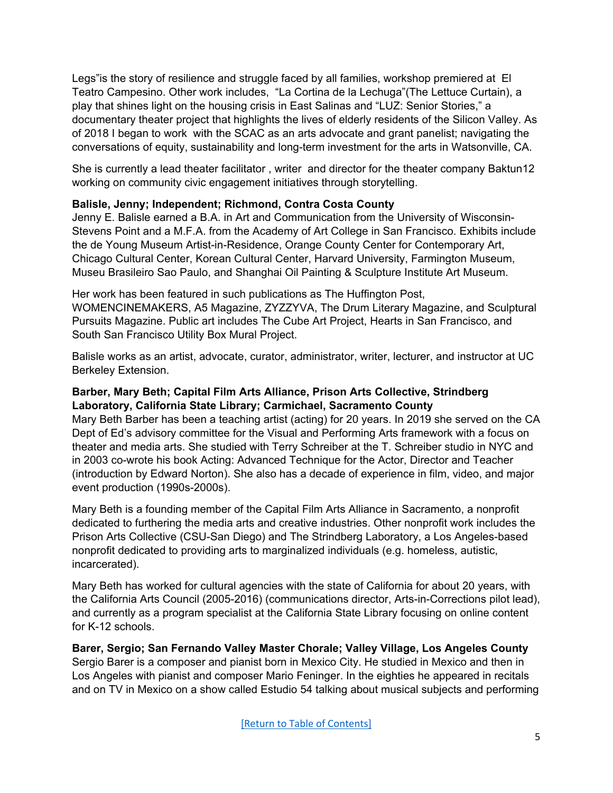Legs"is the story of resilience and struggle faced by all families, workshop premiered at El Teatro Campesino. Other work includes, "La Cortina de la Lechuga"(The Lettuce Curtain), a play that shines light on the housing crisis in East Salinas and "LUZ: Senior Stories," a documentary theater project that highlights the lives of elderly residents of the Silicon Valley. As of 2018 I began to work with the SCAC as an arts advocate and grant panelist; navigating the conversations of equity, sustainability and long-term investment for the arts in Watsonville, CA.

She is currently a lead theater facilitator , writer and director for the theater company Baktun12 working on community civic engagement initiatives through storytelling.

# <span id="page-4-0"></span>**Balisle, Jenny; Independent; Richmond, Contra Costa County**

Jenny E. Balisle earned a B.A. in Art and Communication from the University of Wisconsin-Stevens Point and a M.F.A. from the Academy of Art College in San Francisco. Exhibits include the de Young Museum Artist-in-Residence, Orange County Center for Contemporary Art, Chicago Cultural Center, Korean Cultural Center, Harvard University, Farmington Museum, Museu Brasileiro Sao Paulo, and Shanghai Oil Painting & Sculpture Institute Art Museum.

Her work has been featured in such publications as The Huffington Post, WOMENCINEMAKERS, A5 Magazine, ZYZZYVA, The Drum Literary Magazine, and Sculptural Pursuits Magazine. Public art includes The Cube Art Project, Hearts in San Francisco, and South San Francisco Utility Box Mural Project.

Balisle works as an artist, advocate, curator, administrator, writer, lecturer, and instructor at UC Berkeley Extension.

### **Barber, Mary Beth; Capital Film Arts Alliance, Prison Arts Collective, Strindberg Laboratory, California State Library; Carmichael, Sacramento County**

Mary Beth Barber has been a teaching artist (acting) for 20 years. In 2019 she served on the CA Dept of Ed's advisory committee for the Visual and Performing Arts framework with a focus on theater and media arts. She studied with Terry Schreiber at the T. Schreiber studio in NYC and in 2003 co-wrote his book Acting: Advanced Technique for the Actor, Director and Teacher (introduction by Edward Norton). She also has a decade of experience in film, video, and major event production (1990s-2000s).

Mary Beth is a founding member of the Capital Film Arts Alliance in Sacramento, a nonprofit dedicated to furthering the media arts and creative industries. Other nonprofit work includes the Prison Arts Collective (CSU-San Diego) and The Strindberg Laboratory, a Los Angeles-based nonprofit dedicated to providing arts to marginalized individuals (e.g. homeless, autistic, incarcerated).

Mary Beth has worked for cultural agencies with the state of California for about 20 years, with the California Arts Council (2005-2016) (communications director, Arts-in-Corrections pilot lead), and currently as a program specialist at the California State Library focusing on online content for K-12 schools.

**Barer, Sergio; San Fernando Valley Master Chorale; Valley Village, Los Angeles County** Sergio Barer is a composer and pianist born in Mexico City. He studied in Mexico and then in Los Angeles with pianist and composer Mario Feninger. In the eighties he appeared in recitals and on TV in Mexico on a show called Estudio 54 talking about musical subjects and performing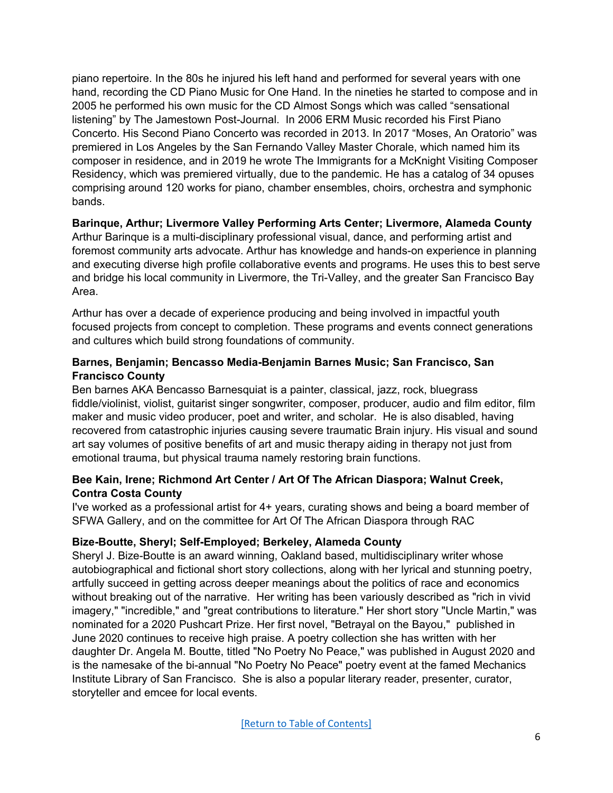piano repertoire. In the 80s he injured his left hand and performed for several years with one hand, recording the CD Piano Music for One Hand. In the nineties he started to compose and in 2005 he performed his own music for the CD Almost Songs which was called "sensational listening" by The Jamestown Post-Journal. In 2006 ERM Music recorded his First Piano Concerto. His Second Piano Concerto was recorded in 2013. In 2017 "Moses, An Oratorio" was premiered in Los Angeles by the San Fernando Valley Master Chorale, which named him its composer in residence, and in 2019 he wrote The Immigrants for a McKnight Visiting Composer Residency, which was premiered virtually, due to the pandemic. He has a catalog of 34 opuses comprising around 120 works for piano, chamber ensembles, choirs, orchestra and symphonic bands.

# **Barinque, Arthur; Livermore Valley Performing Arts Center; Livermore, Alameda County**

Arthur Barinque is a multi-disciplinary professional visual, dance, and performing artist and foremost community arts advocate. Arthur has knowledge and hands-on experience in planning and executing diverse high profile collaborative events and programs. He uses this to best serve and bridge his local community in Livermore, the Tri-Valley, and the greater San Francisco Bay Area.

Arthur has over a decade of experience producing and being involved in impactful youth focused projects from concept to completion. These programs and events connect generations and cultures which build strong foundations of community.

### **Barnes, Benjamin; Bencasso Media-Benjamin Barnes Music; San Francisco, San Francisco County**

Ben barnes AKA Bencasso Barnesquiat is a painter, classical, jazz, rock, bluegrass fiddle/violinist, violist, guitarist singer songwriter, composer, producer, audio and film editor, film maker and music video producer, poet and writer, and scholar. He is also disabled, having recovered from catastrophic injuries causing severe traumatic Brain injury. His visual and sound art say volumes of positive benefits of art and music therapy aiding in therapy not just from emotional trauma, but physical trauma namely restoring brain functions.

### **Bee Kain, Irene; Richmond Art Center / Art Of The African Diaspora; Walnut Creek, Contra Costa County**

I've worked as a professional artist for 4+ years, curating shows and being a board member of SFWA Gallery, and on the committee for Art Of The African Diaspora through RAC

#### **Bize-Boutte, Sheryl; Self-Employed; Berkeley, Alameda County**

Sheryl J. Bize-Boutte is an award winning, Oakland based, multidisciplinary writer whose autobiographical and fictional short story collections, along with her lyrical and stunning poetry, artfully succeed in getting across deeper meanings about the politics of race and economics without breaking out of the narrative. Her writing has been variously described as "rich in vivid imagery," "incredible," and "great contributions to literature." Her short story "Uncle Martin," was nominated for a 2020 Pushcart Prize. Her first novel, "Betrayal on the Bayou," published in June 2020 continues to receive high praise. A poetry collection she has written with her daughter Dr. Angela M. Boutte, titled "No Poetry No Peace," was published in August 2020 and is the namesake of the bi-annual "No Poetry No Peace" poetry event at the famed Mechanics Institute Library of San Francisco. She is also a popular literary reader, presenter, curator, storyteller and emcee for local events.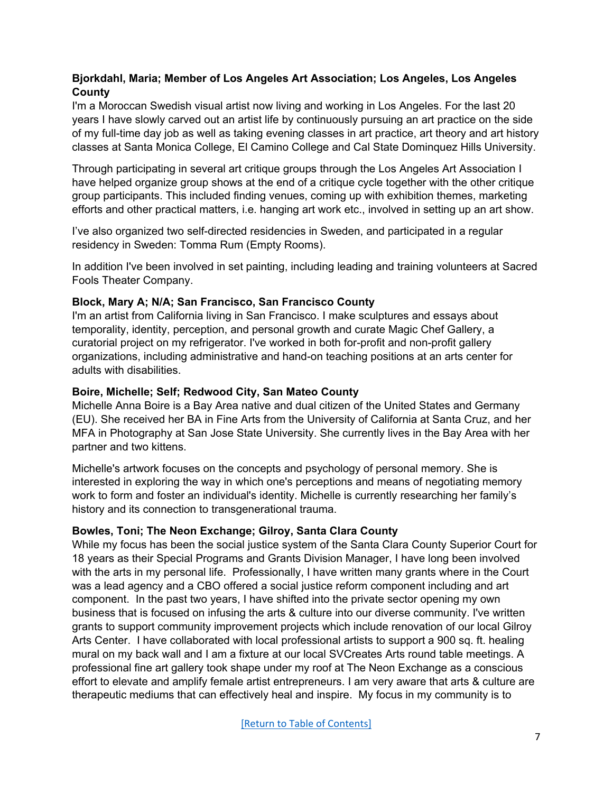# **Bjorkdahl, Maria; Member of Los Angeles Art Association; Los Angeles, Los Angeles County**

I'm a Moroccan Swedish visual artist now living and working in Los Angeles. For the last 20 years I have slowly carved out an artist life by continuously pursuing an art practice on the side of my full-time day job as well as taking evening classes in art practice, art theory and art history classes at Santa Monica College, El Camino College and Cal State Dominquez Hills University.

Through participating in several art critique groups through the Los Angeles Art Association I have helped organize group shows at the end of a critique cycle together with the other critique group participants. This included finding venues, coming up with exhibition themes, marketing efforts and other practical matters, i.e. hanging art work etc., involved in setting up an art show.

I've also organized two self-directed residencies in Sweden, and participated in a regular residency in Sweden: Tomma Rum (Empty Rooms).

In addition I've been involved in set painting, including leading and training volunteers at Sacred Fools Theater Company.

# **Block, Mary A; N/A; San Francisco, San Francisco County**

I'm an artist from California living in San Francisco. I make sculptures and essays about temporality, identity, perception, and personal growth and curate Magic Chef Gallery, a curatorial project on my refrigerator. I've worked in both for-profit and non-profit gallery organizations, including administrative and hand-on teaching positions at an arts center for adults with disabilities.

### **Boire, Michelle; Self; Redwood City, San Mateo County**

Michelle Anna Boire is a Bay Area native and dual citizen of the United States and Germany (EU). She received her BA in Fine Arts from the University of California at Santa Cruz, and her MFA in Photography at San Jose State University. She currently lives in the Bay Area with her partner and two kittens.

Michelle's artwork focuses on the concepts and psychology of personal memory. She is interested in exploring the way in which one's perceptions and means of negotiating memory work to form and foster an individual's identity. Michelle is currently researching her family's history and its connection to transgenerational trauma.

# **Bowles, Toni; The Neon Exchange; Gilroy, Santa Clara County**

While my focus has been the social justice system of the Santa Clara County Superior Court for 18 years as their Special Programs and Grants Division Manager, I have long been involved with the arts in my personal life. Professionally, I have written many grants where in the Court was a lead agency and a CBO offered a social justice reform component including and art component. In the past two years, I have shifted into the private sector opening my own business that is focused on infusing the arts & culture into our diverse community. I've written grants to support community improvement projects which include renovation of our local Gilroy Arts Center. I have collaborated with local professional artists to support a 900 sq. ft. healing mural on my back wall and I am a fixture at our local SVCreates Arts round table meetings. A professional fine art gallery took shape under my roof at The Neon Exchange as a conscious effort to elevate and amplify female artist entrepreneurs. I am very aware that arts & culture are therapeutic mediums that can effectively heal and inspire. My focus in my community is to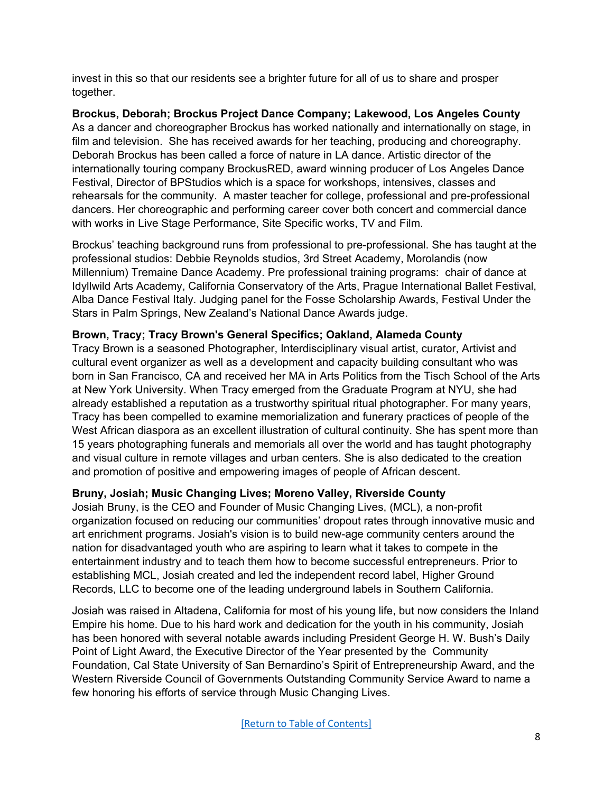invest in this so that our residents see a brighter future for all of us to share and prosper together.

**Brockus, Deborah; Brockus Project Dance Company; Lakewood, Los Angeles County** As a dancer and choreographer Brockus has worked nationally and internationally on stage, in film and television. She has received awards for her teaching, producing and choreography. Deborah Brockus has been called a force of nature in LA dance. Artistic director of the internationally touring company BrockusRED, award winning producer of Los Angeles Dance Festival, Director of BPStudios which is a space for workshops, intensives, classes and rehearsals for the community. A master teacher for college, professional and pre-professional dancers. Her choreographic and performing career cover both concert and commercial dance with works in Live Stage Performance, Site Specific works, TV and Film.

Brockus' teaching background runs from professional to pre-professional. She has taught at the professional studios: Debbie Reynolds studios, 3rd Street Academy, Morolandis (now Millennium) Tremaine Dance Academy. Pre professional training programs: chair of dance at Idyllwild Arts Academy, California Conservatory of the Arts, Prague International Ballet Festival, Alba Dance Festival Italy. Judging panel for the Fosse Scholarship Awards, Festival Under the Stars in Palm Springs, New Zealand's National Dance Awards judge.

### **Brown, Tracy; Tracy Brown's General Specifics; Oakland, Alameda County**

Tracy Brown is a seasoned Photographer, Interdisciplinary visual artist, curator, Artivist and cultural event organizer as well as a development and capacity building consultant who was born in San Francisco, CA and received her MA in Arts Politics from the Tisch School of the Arts at New York University. When Tracy emerged from the Graduate Program at NYU, she had already established a reputation as a trustworthy spiritual ritual photographer. For many years, Tracy has been compelled to examine memorialization and funerary practices of people of the West African diaspora as an excellent illustration of cultural continuity. She has spent more than 15 years photographing funerals and memorials all over the world and has taught photography and visual culture in remote villages and urban centers. She is also dedicated to the creation and promotion of positive and empowering images of people of African descent.

# **Bruny, Josiah; Music Changing Lives; Moreno Valley, Riverside County**

Josiah Bruny, is the CEO and Founder of Music Changing Lives, (MCL), a non-profit organization focused on reducing our communities' dropout rates through innovative music and art enrichment programs. Josiah's vision is to build new-age community centers around the nation for disadvantaged youth who are aspiring to learn what it takes to compete in the entertainment industry and to teach them how to become successful entrepreneurs. Prior to establishing MCL, Josiah created and led the independent record label, Higher Ground Records, LLC to become one of the leading underground labels in Southern California.

Josiah was raised in Altadena, California for most of his young life, but now considers the Inland Empire his home. Due to his hard work and dedication for the youth in his community, Josiah has been honored with several notable awards including President George H. W. Bush's Daily Point of Light Award, the Executive Director of the Year presented by the Community Foundation, Cal State University of San Bernardino's Spirit of Entrepreneurship Award, and the Western Riverside Council of Governments Outstanding Community Service Award to name a few honoring his efforts of service through Music Changing Lives.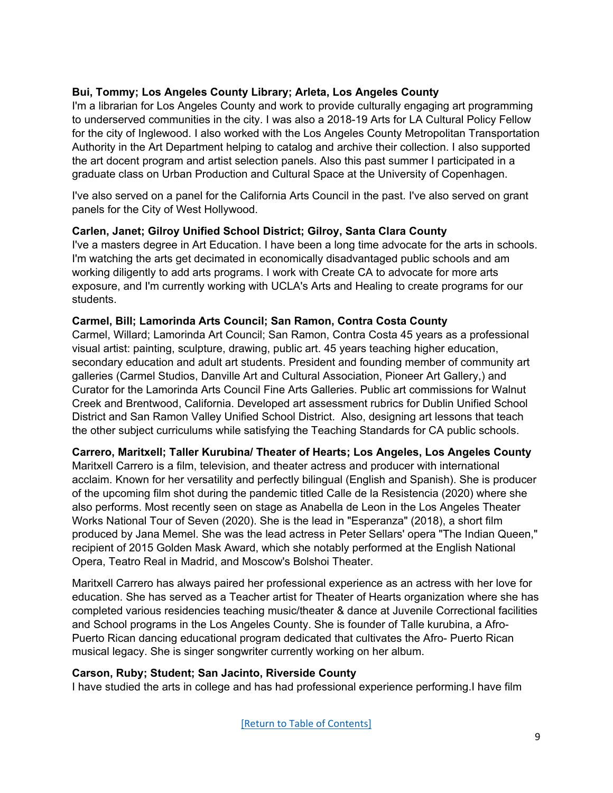### **Bui, Tommy; Los Angeles County Library; Arleta, Los Angeles County**

I'm a librarian for Los Angeles County and work to provide culturally engaging art programming to underserved communities in the city. I was also a 2018-19 Arts for LA Cultural Policy Fellow for the city of Inglewood. I also worked with the Los Angeles County Metropolitan Transportation Authority in the Art Department helping to catalog and archive their collection. I also supported the art docent program and artist selection panels. Also this past summer I participated in a graduate class on Urban Production and Cultural Space at the University of Copenhagen.

I've also served on a panel for the California Arts Council in the past. I've also served on grant panels for the City of West Hollywood.

### <span id="page-8-0"></span>**Carlen, Janet; Gilroy Unified School District; Gilroy, Santa Clara County**

I've a masters degree in Art Education. I have been a long time advocate for the arts in schools. I'm watching the arts get decimated in economically disadvantaged public schools and am working diligently to add arts programs. I work with Create CA to advocate for more arts exposure, and I'm currently working with UCLA's Arts and Healing to create programs for our students.

#### **Carmel, Bill; Lamorinda Arts Council; San Ramon, Contra Costa County**

Carmel, Willard; Lamorinda Art Council; San Ramon, Contra Costa 45 years as a professional visual artist: painting, sculpture, drawing, public art. 45 years teaching higher education, secondary education and adult art students. President and founding member of community art galleries (Carmel Studios, Danville Art and Cultural Association, Pioneer Art Gallery,) and Curator for the Lamorinda Arts Council Fine Arts Galleries. Public art commissions for Walnut Creek and Brentwood, California. Developed art assessment rubrics for Dublin Unified School District and San Ramon Valley Unified School District. Also, designing art lessons that teach the other subject curriculums while satisfying the Teaching Standards for CA public schools.

#### **Carrero, Maritxell; Taller Kurubina/ Theater of Hearts; Los Angeles, Los Angeles County**

Maritxell Carrero is a film, television, and theater actress and producer with international acclaim. Known for her versatility and perfectly bilingual (English and Spanish). She is producer of the upcoming film shot during the pandemic titled Calle de la Resistencia (2020) where she also performs. Most recently seen on stage as Anabella de Leon in the Los Angeles Theater Works National Tour of Seven (2020). She is the lead in "Esperanza" (2018), a short film produced by Jana Memel. She was the lead actress in Peter Sellars' opera "The Indian Queen," recipient of 2015 Golden Mask Award, which she notably performed at the English National Opera, Teatro Real in Madrid, and Moscow's Bolshoi Theater.

Maritxell Carrero has always paired her professional experience as an actress with her love for education. She has served as a Teacher artist for Theater of Hearts organization where she has completed various residencies teaching music/theater & dance at Juvenile Correctional facilities and School programs in the Los Angeles County. She is founder of Talle kurubina, a Afro-Puerto Rican dancing educational program dedicated that cultivates the Afro- Puerto Rican musical legacy. She is singer songwriter currently working on her album.

#### **Carson, Ruby; Student; San Jacinto, Riverside County**

I have studied the arts in college and has had professional experience performing.I have film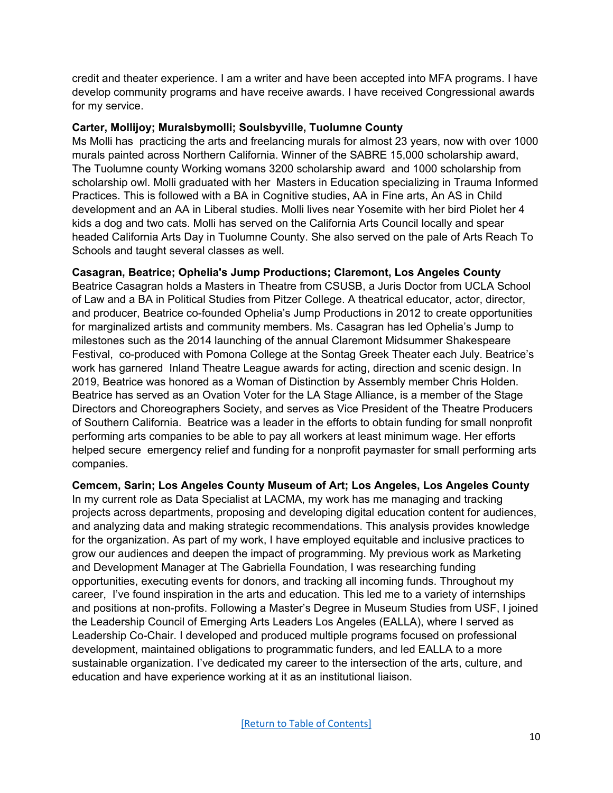credit and theater experience. I am a writer and have been accepted into MFA programs. I have develop community programs and have receive awards. I have received Congressional awards for my service.

#### **Carter, Mollijoy; Muralsbymolli; Soulsbyville, Tuolumne County**

Ms Molli has practicing the arts and freelancing murals for almost 23 years, now with over 1000 murals painted across Northern California. Winner of the SABRE 15,000 scholarship award, The Tuolumne county Working womans 3200 scholarship award and 1000 scholarship from scholarship owl. Molli graduated with her Masters in Education specializing in Trauma Informed Practices. This is followed with a BA in Cognitive studies, AA in Fine arts, An AS in Child development and an AA in Liberal studies. Molli lives near Yosemite with her bird Piolet her 4 kids a dog and two cats. Molli has served on the California Arts Council locally and spear headed California Arts Day in Tuolumne County. She also served on the pale of Arts Reach To Schools and taught several classes as well.

# **Casagran, Beatrice; Ophelia's Jump Productions; Claremont, Los Angeles County**

Beatrice Casagran holds a Masters in Theatre from CSUSB, a Juris Doctor from UCLA School of Law and a BA in Political Studies from Pitzer College. A theatrical educator, actor, director, and producer, Beatrice co-founded Ophelia's Jump Productions in 2012 to create opportunities for marginalized artists and community members. Ms. Casagran has led Ophelia's Jump to milestones such as the 2014 launching of the annual Claremont Midsummer Shakespeare Festival, co-produced with Pomona College at the Sontag Greek Theater each July. Beatrice's work has garnered Inland Theatre League awards for acting, direction and scenic design. In 2019, Beatrice was honored as a Woman of Distinction by Assembly member Chris Holden. Beatrice has served as an Ovation Voter for the LA Stage Alliance, is a member of the Stage Directors and Choreographers Society, and serves as Vice President of the Theatre Producers of Southern California. Beatrice was a leader in the efforts to obtain funding for small nonprofit performing arts companies to be able to pay all workers at least minimum wage. Her efforts helped secure emergency relief and funding for a nonprofit paymaster for small performing arts companies.

# **Cemcem, Sarin; Los Angeles County Museum of Art; Los Angeles, Los Angeles County**

In my current role as Data Specialist at LACMA, my work has me managing and tracking projects across departments, proposing and developing digital education content for audiences, and analyzing data and making strategic recommendations. This analysis provides knowledge for the organization. As part of my work, I have employed equitable and inclusive practices to grow our audiences and deepen the impact of programming. My previous work as Marketing and Development Manager at The Gabriella Foundation, I was researching funding opportunities, executing events for donors, and tracking all incoming funds. Throughout my career, I've found inspiration in the arts and education. This led me to a variety of internships and positions at non-profits. Following a Master's Degree in Museum Studies from USF, I joined the Leadership Council of Emerging Arts Leaders Los Angeles (EALLA), where I served as Leadership Co-Chair. I developed and produced multiple programs focused on professional development, maintained obligations to programmatic funders, and led EALLA to a more sustainable organization. I've dedicated my career to the intersection of the arts, culture, and education and have experience working at it as an institutional liaison.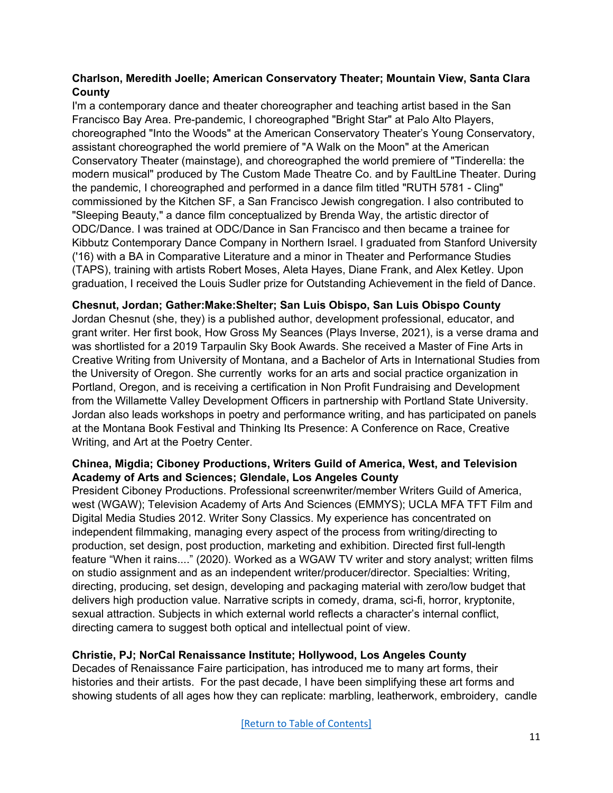# **Charlson, Meredith Joelle; American Conservatory Theater; Mountain View, Santa Clara County**

I'm a contemporary dance and theater choreographer and teaching artist based in the San Francisco Bay Area. Pre-pandemic, I choreographed "Bright Star" at Palo Alto Players, choreographed "Into the Woods" at the American Conservatory Theater's Young Conservatory, assistant choreographed the world premiere of "A Walk on the Moon" at the American Conservatory Theater (mainstage), and choreographed the world premiere of "Tinderella: the modern musical" produced by The Custom Made Theatre Co. and by FaultLine Theater. During the pandemic, I choreographed and performed in a dance film titled "RUTH 5781 - Cling" commissioned by the Kitchen SF, a San Francisco Jewish congregation. I also contributed to "Sleeping Beauty," a dance film conceptualized by Brenda Way, the artistic director of ODC/Dance. I was trained at ODC/Dance in San Francisco and then became a trainee for Kibbutz Contemporary Dance Company in Northern Israel. I graduated from Stanford University ('16) with a BA in Comparative Literature and a minor in Theater and Performance Studies (TAPS), training with artists Robert Moses, Aleta Hayes, Diane Frank, and Alex Ketley. Upon graduation, I received the Louis Sudler prize for Outstanding Achievement in the field of Dance.

#### **Chesnut, Jordan; Gather:Make:Shelter; San Luis Obispo, San Luis Obispo County**

Jordan Chesnut (she, they) is a published author, development professional, educator, and grant writer. Her first book, How Gross My Seances (Plays Inverse, 2021), is a verse drama and was shortlisted for a 2019 Tarpaulin Sky Book Awards. She received a Master of Fine Arts in Creative Writing from University of Montana, and a Bachelor of Arts in International Studies from the University of Oregon. She currently works for an arts and social practice organization in Portland, Oregon, and is receiving a certification in Non Profit Fundraising and Development from the Willamette Valley Development Officers in partnership with Portland State University. Jordan also leads workshops in poetry and performance writing, and has participated on panels at the Montana Book Festival and Thinking Its Presence: A Conference on Race, Creative Writing, and Art at the Poetry Center.

### **Chinea, Migdia; Ciboney Productions, Writers Guild of America, West, and Television Academy of Arts and Sciences; Glendale, Los Angeles County**

President Ciboney Productions. Professional screenwriter/member Writers Guild of America, west (WGAW); Television Academy of Arts And Sciences (EMMYS); UCLA MFA TFT Film and Digital Media Studies 2012. Writer Sony Classics. My experience has concentrated on independent filmmaking, managing every aspect of the process from writing/directing to production, set design, post production, marketing and exhibition. Directed first full-length feature "When it rains...." (2020). Worked as a WGAW TV writer and story analyst; written films on studio assignment and as an independent writer/producer/director. Specialties: Writing, directing, producing, set design, developing and packaging material with zero/low budget that delivers high production value. Narrative scripts in comedy, drama, sci-fi, horror, kryptonite, sexual attraction. Subjects in which external world reflects a character's internal conflict, directing camera to suggest both optical and intellectual point of view.

# **Christie, PJ; NorCal Renaissance Institute; Hollywood, Los Angeles County**

Decades of Renaissance Faire participation, has introduced me to many art forms, their histories and their artists. For the past decade, I have been simplifying these art forms and showing students of all ages how they can replicate: marbling, leatherwork, embroidery, candle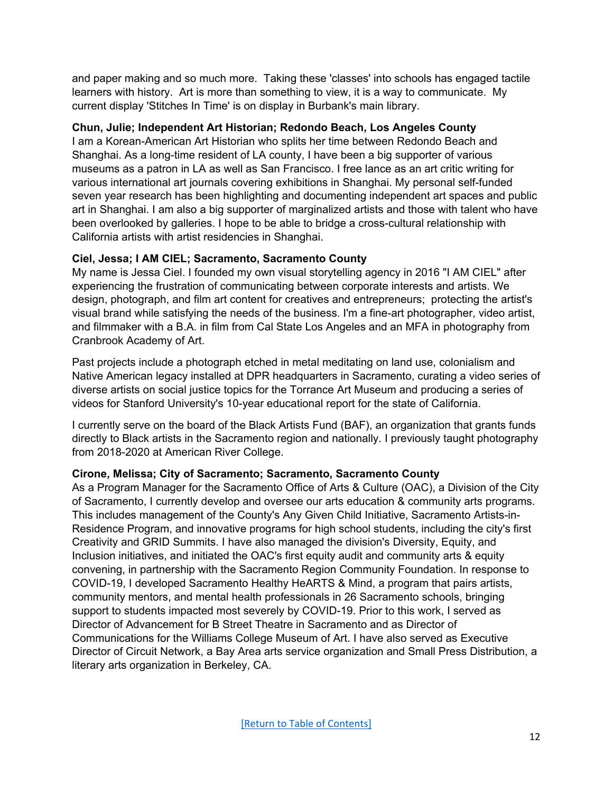and paper making and so much more. Taking these 'classes' into schools has engaged tactile learners with history. Art is more than something to view, it is a way to communicate. My current display 'Stitches In Time' is on display in Burbank's main library.

### **Chun, Julie; Independent Art Historian; Redondo Beach, Los Angeles County**

I am a Korean-American Art Historian who splits her time between Redondo Beach and Shanghai. As a long-time resident of LA county, I have been a big supporter of various museums as a patron in LA as well as San Francisco. I free lance as an art critic writing for various international art journals covering exhibitions in Shanghai. My personal self-funded seven year research has been highlighting and documenting independent art spaces and public art in Shanghai. I am also a big supporter of marginalized artists and those with talent who have been overlooked by galleries. I hope to be able to bridge a cross-cultural relationship with California artists with artist residencies in Shanghai.

# **Ciel, Jessa; I AM CIEL; Sacramento, Sacramento County**

My name is Jessa Ciel. I founded my own visual storytelling agency in 2016 "I AM CIEL" after experiencing the frustration of communicating between corporate interests and artists. We design, photograph, and film art content for creatives and entrepreneurs; protecting the artist's visual brand while satisfying the needs of the business. I'm a fine-art photographer, video artist, and filmmaker with a B.A. in film from Cal State Los Angeles and an MFA in photography from Cranbrook Academy of Art.

Past projects include a photograph etched in metal meditating on land use, colonialism and Native American legacy installed at DPR headquarters in Sacramento, curating a video series of diverse artists on social justice topics for the Torrance Art Museum and producing a series of videos for Stanford University's 10-year educational report for the state of California.

I currently serve on the board of the Black Artists Fund (BAF), an organization that grants funds directly to Black artists in the Sacramento region and nationally. I previously taught photography from 2018-2020 at American River College.

# **Cirone, Melissa; City of Sacramento; Sacramento, Sacramento County**

As a Program Manager for the Sacramento Office of Arts & Culture (OAC), a Division of the City of Sacramento, I currently develop and oversee our arts education & community arts programs. This includes management of the County's Any Given Child Initiative, Sacramento Artists-in-Residence Program, and innovative programs for high school students, including the city's first Creativity and GRID Summits. I have also managed the division's Diversity, Equity, and Inclusion initiatives, and initiated the OAC's first equity audit and community arts & equity convening, in partnership with the Sacramento Region Community Foundation. In response to COVID-19, I developed Sacramento Healthy HeARTS & Mind, a program that pairs artists, community mentors, and mental health professionals in 26 Sacramento schools, bringing support to students impacted most severely by COVID-19. Prior to this work, I served as Director of Advancement for B Street Theatre in Sacramento and as Director of Communications for the Williams College Museum of Art. I have also served as Executive Director of Circuit Network, a Bay Area arts service organization and Small Press Distribution, a literary arts organization in Berkeley, CA.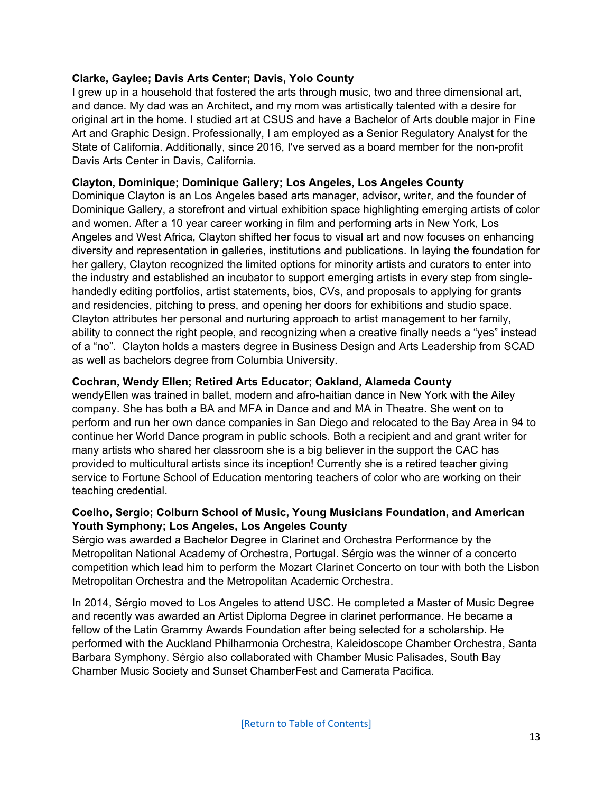### **Clarke, Gaylee; Davis Arts Center; Davis, Yolo County**

I grew up in a household that fostered the arts through music, two and three dimensional art, and dance. My dad was an Architect, and my mom was artistically talented with a desire for original art in the home. I studied art at CSUS and have a Bachelor of Arts double major in Fine Art and Graphic Design. Professionally, I am employed as a Senior Regulatory Analyst for the State of California. Additionally, since 2016, I've served as a board member for the non-profit Davis Arts Center in Davis, California.

# **Clayton, Dominique; Dominique Gallery; Los Angeles, Los Angeles County**

Dominique Clayton is an Los Angeles based arts manager, advisor, writer, and the founder of Dominique Gallery, a storefront and virtual exhibition space highlighting emerging artists of color and women. After a 10 year career working in film and performing arts in New York, Los Angeles and West Africa, Clayton shifted her focus to visual art and now focuses on enhancing diversity and representation in galleries, institutions and publications. In laying the foundation for her gallery, Clayton recognized the limited options for minority artists and curators to enter into the industry and established an incubator to support emerging artists in every step from singlehandedly editing portfolios, artist statements, bios, CVs, and proposals to applying for grants and residencies, pitching to press, and opening her doors for exhibitions and studio space. Clayton attributes her personal and nurturing approach to artist management to her family, ability to connect the right people, and recognizing when a creative finally needs a "yes" instead of a "no". Clayton holds a masters degree in Business Design and Arts Leadership from SCAD as well as bachelors degree from Columbia University.

### **Cochran, Wendy Ellen; Retired Arts Educator; Oakland, Alameda County**

wendyEllen was trained in ballet, modern and afro-haitian dance in New York with the Ailey company. She has both a BA and MFA in Dance and and MA in Theatre. She went on to perform and run her own dance companies in San Diego and relocated to the Bay Area in 94 to continue her World Dance program in public schools. Both a recipient and and grant writer for many artists who shared her classroom she is a big believer in the support the CAC has provided to multicultural artists since its inception! Currently she is a retired teacher giving service to Fortune School of Education mentoring teachers of color who are working on their teaching credential.

### **Coelho, Sergio; Colburn School of Music, Young Musicians Foundation, and American Youth Symphony; Los Angeles, Los Angeles County**

Sérgio was awarded a Bachelor Degree in Clarinet and Orchestra Performance by the Metropolitan National Academy of Orchestra, Portugal. Sérgio was the winner of a concerto competition which lead him to perform the Mozart Clarinet Concerto on tour with both the Lisbon Metropolitan Orchestra and the Metropolitan Academic Orchestra.

In 2014, Sérgio moved to Los Angeles to attend USC. He completed a Master of Music Degree and recently was awarded an Artist Diploma Degree in clarinet performance. He became a fellow of the Latin Grammy Awards Foundation after being selected for a scholarship. He performed with the Auckland Philharmonia Orchestra, Kaleidoscope Chamber Orchestra, Santa Barbara Symphony. Sérgio also collaborated with Chamber Music Palisades, South Bay Chamber Music Society and Sunset ChamberFest and Camerata Pacifica.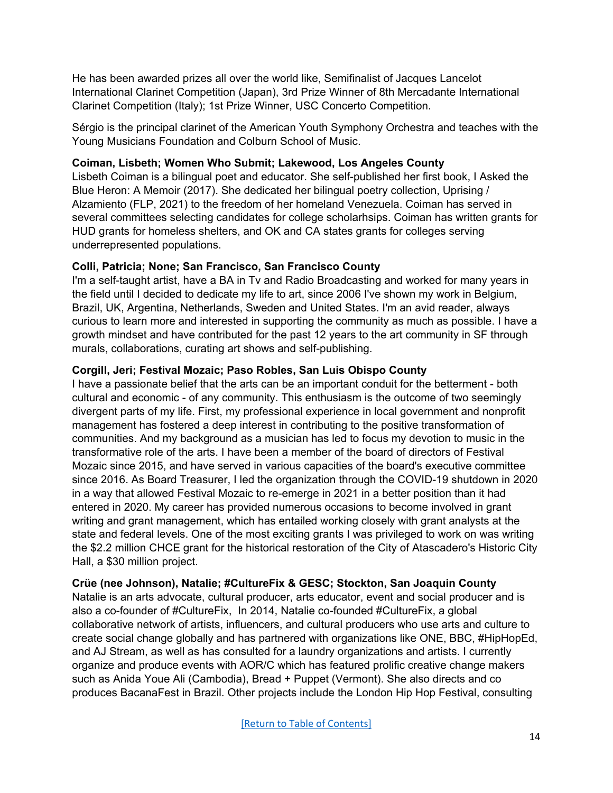He has been awarded prizes all over the world like, Semifinalist of Jacques Lancelot International Clarinet Competition (Japan), 3rd Prize Winner of 8th Mercadante International Clarinet Competition (Italy); 1st Prize Winner, USC Concerto Competition.

Sérgio is the principal clarinet of the American Youth Symphony Orchestra and teaches with the Young Musicians Foundation and Colburn School of Music.

### **Coiman, Lisbeth; Women Who Submit; Lakewood, Los Angeles County**

Lisbeth Coiman is a bilingual poet and educator. She self-published her first book, I Asked the Blue Heron: A Memoir (2017). She dedicated her bilingual poetry collection, Uprising / Alzamiento (FLP, 2021) to the freedom of her homeland Venezuela. Coiman has served in several committees selecting candidates for college scholarhsips. Coiman has written grants for HUD grants for homeless shelters, and OK and CA states grants for colleges serving underrepresented populations.

### **Colli, Patricia; None; San Francisco, San Francisco County**

I'm a self-taught artist, have a BA in Tv and Radio Broadcasting and worked for many years in the field until I decided to dedicate my life to art, since 2006 I've shown my work in Belgium, Brazil, UK, Argentina, Netherlands, Sweden and United States. I'm an avid reader, always curious to learn more and interested in supporting the community as much as possible. I have a growth mindset and have contributed for the past 12 years to the art community in SF through murals, collaborations, curating art shows and self-publishing.

### **Corgill, Jeri; Festival Mozaic; Paso Robles, San Luis Obispo County**

I have a passionate belief that the arts can be an important conduit for the betterment - both cultural and economic - of any community. This enthusiasm is the outcome of two seemingly divergent parts of my life. First, my professional experience in local government and nonprofit management has fostered a deep interest in contributing to the positive transformation of communities. And my background as a musician has led to focus my devotion to music in the transformative role of the arts. I have been a member of the board of directors of Festival Mozaic since 2015, and have served in various capacities of the board's executive committee since 2016. As Board Treasurer, I led the organization through the COVID-19 shutdown in 2020 in a way that allowed Festival Mozaic to re-emerge in 2021 in a better position than it had entered in 2020. My career has provided numerous occasions to become involved in grant writing and grant management, which has entailed working closely with grant analysts at the state and federal levels. One of the most exciting grants I was privileged to work on was writing the \$2.2 million CHCE grant for the historical restoration of the City of Atascadero's Historic City Hall, a \$30 million project.

#### **Crüe (nee Johnson), Natalie; #CultureFix & GESC; Stockton, San Joaquin County**

Natalie is an arts advocate, cultural producer, arts educator, event and social producer and is also a co-founder of #CultureFix, In 2014, Natalie co-founded #CultureFix, a global collaborative network of artists, influencers, and cultural producers who use arts and culture to create social change globally and has partnered with organizations like ONE, BBC, #HipHopEd, and AJ Stream, as well as has consulted for a laundry organizations and artists. I currently organize and produce events with AOR/C which has featured prolific creative change makers such as Anida Youe Ali (Cambodia), Bread + Puppet (Vermont). She also directs and co produces BacanaFest in Brazil. Other projects include the London Hip Hop Festival, consulting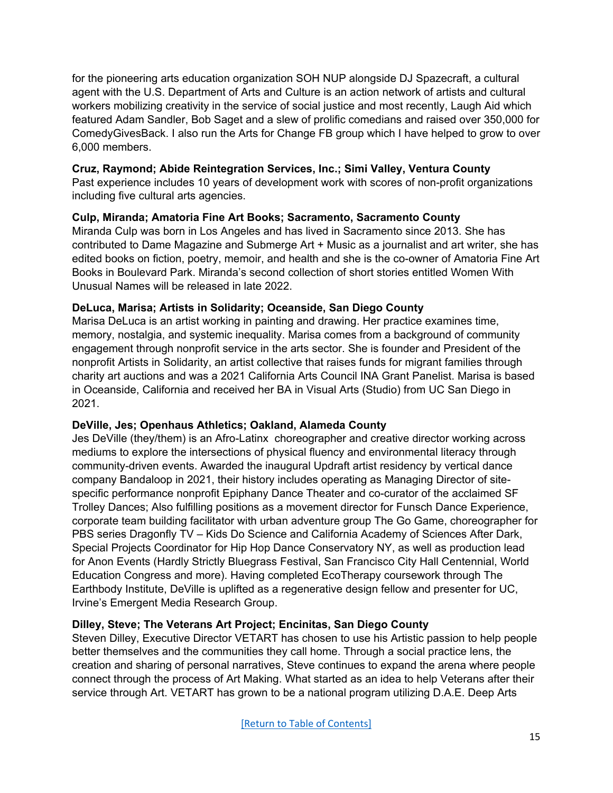for the pioneering arts education organization SOH NUP alongside DJ Spazecraft, a cultural agent with the U.S. Department of Arts and Culture is an action network of artists and cultural workers mobilizing creativity in the service of social justice and most recently, Laugh Aid which featured Adam Sandler, Bob Saget and a slew of prolific comedians and raised over 350,000 for ComedyGivesBack. I also run the Arts for Change FB group which I have helped to grow to over 6,000 members.

# **Cruz, Raymond; Abide Reintegration Services, Inc.; Simi Valley, Ventura County**

Past experience includes 10 years of development work with scores of non-profit organizations including five cultural arts agencies.

# **Culp, Miranda; Amatoria Fine Art Books; Sacramento, Sacramento County**

Miranda Culp was born in Los Angeles and has lived in Sacramento since 2013. She has contributed to Dame Magazine and Submerge Art + Music as a journalist and art writer, she has edited books on fiction, poetry, memoir, and health and she is the co-owner of Amatoria Fine Art Books in Boulevard Park. Miranda's second collection of short stories entitled Women With Unusual Names will be released in late 2022.

# <span id="page-14-0"></span>**DeLuca, Marisa; Artists in Solidarity; Oceanside, San Diego County**

Marisa DeLuca is an artist working in painting and drawing. Her practice examines time, memory, nostalgia, and systemic inequality. Marisa comes from a background of community engagement through nonprofit service in the arts sector. She is founder and President of the nonprofit Artists in Solidarity, an artist collective that raises funds for migrant families through charity art auctions and was a 2021 California Arts Council INA Grant Panelist. Marisa is based in Oceanside, California and received her BA in Visual Arts (Studio) from UC San Diego in 2021.

# **DeVille, Jes; Openhaus Athletics; Oakland, Alameda County**

Jes DeVille (they/them) is an Afro-Latinx choreographer and creative director working across mediums to explore the intersections of physical fluency and environmental literacy through community-driven events. Awarded the inaugural Updraft artist residency by vertical dance company Bandaloop in 2021, their history includes operating as Managing Director of sitespecific performance nonprofit Epiphany Dance Theater and co-curator of the acclaimed SF Trolley Dances; Also fulfilling positions as a movement director for Funsch Dance Experience, corporate team building facilitator with urban adventure group The Go Game, choreographer for PBS series Dragonfly TV – Kids Do Science and California Academy of Sciences After Dark, Special Projects Coordinator for Hip Hop Dance Conservatory NY, as well as production lead for Anon Events (Hardly Strictly Bluegrass Festival, San Francisco City Hall Centennial, World Education Congress and more). Having completed EcoTherapy coursework through The Earthbody Institute, DeVille is uplifted as a regenerative design fellow and presenter for UC, Irvine's Emergent Media Research Group.

# **Dilley, Steve; The Veterans Art Project; Encinitas, San Diego County**

Steven Dilley, Executive Director VETART has chosen to use his Artistic passion to help people better themselves and the communities they call home. Through a social practice lens, the creation and sharing of personal narratives, Steve continues to expand the arena where people connect through the process of Art Making. What started as an idea to help Veterans after their service through Art. VETART has grown to be a national program utilizing D.A.E. Deep Arts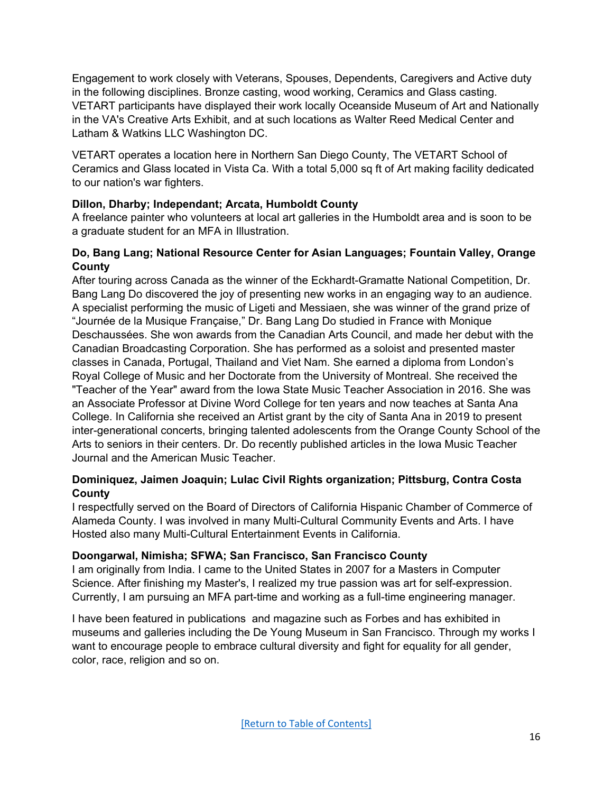Engagement to work closely with Veterans, Spouses, Dependents, Caregivers and Active duty in the following disciplines. Bronze casting, wood working, Ceramics and Glass casting. VETART participants have displayed their work locally Oceanside Museum of Art and Nationally in the VA's Creative Arts Exhibit, and at such locations as Walter Reed Medical Center and Latham & Watkins LLC Washington DC.

VETART operates a location here in Northern San Diego County, The VETART School of Ceramics and Glass located in Vista Ca. With a total 5,000 sq ft of Art making facility dedicated to our nation's war fighters.

# **Dillon, Dharby; Independant; Arcata, Humboldt County**

A freelance painter who volunteers at local art galleries in the Humboldt area and is soon to be a graduate student for an MFA in Illustration.

### **Do, Bang Lang; National Resource Center for Asian Languages; Fountain Valley, Orange County**

After touring across Canada as the winner of the Eckhardt-Gramatte National Competition, Dr. Bang Lang Do discovered the joy of presenting new works in an engaging way to an audience. A specialist performing the music of Ligeti and Messiaen, she was winner of the grand prize of "Journée de la Musique Française," Dr. Bang Lang Do studied in France with Monique Deschaussées. She won awards from the Canadian Arts Council, and made her debut with the Canadian Broadcasting Corporation. She has performed as a soloist and presented master classes in Canada, Portugal, Thailand and Viet Nam. She earned a diploma from London's Royal College of Music and her Doctorate from the University of Montreal. She received the "Teacher of the Year" award from the Iowa State Music Teacher Association in 2016. She was an Associate Professor at Divine Word College for ten years and now teaches at Santa Ana College. In California she received an Artist grant by the city of Santa Ana in 2019 to present inter-generational concerts, bringing talented adolescents from the Orange County School of the Arts to seniors in their centers. Dr. Do recently published articles in the Iowa Music Teacher Journal and the American Music Teacher.

# **Dominiquez, Jaimen Joaquin; Lulac Civil Rights organization; Pittsburg, Contra Costa County**

I respectfully served on the Board of Directors of California Hispanic Chamber of Commerce of Alameda County. I was involved in many Multi-Cultural Community Events and Arts. I have Hosted also many Multi-Cultural Entertainment Events in California.

# **Doongarwal, Nimisha; SFWA; San Francisco, San Francisco County**

I am originally from India. I came to the United States in 2007 for a Masters in Computer Science. After finishing my Master's, I realized my true passion was art for self-expression. Currently, I am pursuing an MFA part-time and working as a full-time engineering manager.

I have been featured in publications and magazine such as Forbes and has exhibited in museums and galleries including the De Young Museum in San Francisco. Through my works I want to encourage people to embrace cultural diversity and fight for equality for all gender, color, race, religion and so on.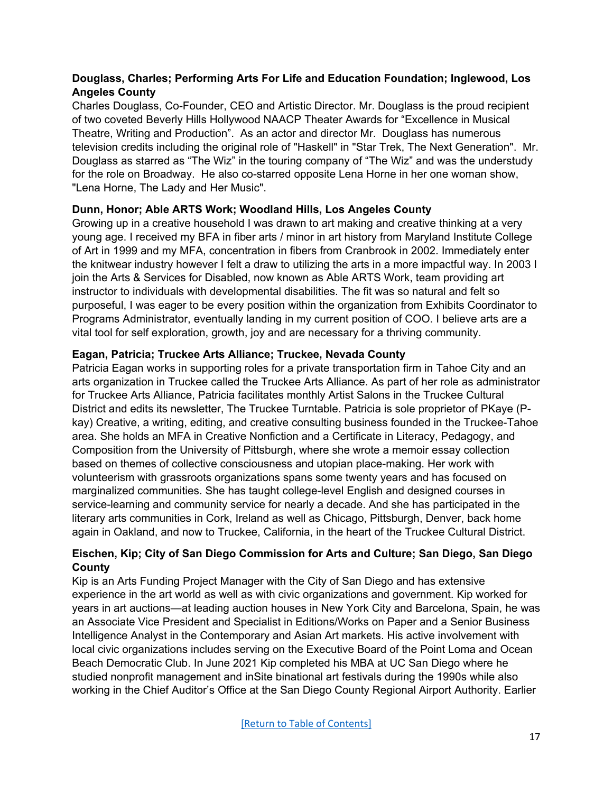# **Douglass, Charles; Performing Arts For Life and Education Foundation; Inglewood, Los Angeles County**

Charles Douglass, Co-Founder, CEO and Artistic Director. Mr. Douglass is the proud recipient of two coveted Beverly Hills Hollywood NAACP Theater Awards for "Excellence in Musical Theatre, Writing and Production". As an actor and director Mr. Douglass has numerous television credits including the original role of "Haskell" in "Star Trek, The Next Generation". Mr. Douglass as starred as "The Wiz" in the touring company of "The Wiz" and was the understudy for the role on Broadway. He also co-starred opposite Lena Horne in her one woman show, "Lena Horne, The Lady and Her Music".

# **Dunn, Honor; Able ARTS Work; Woodland Hills, Los Angeles County**

Growing up in a creative household I was drawn to art making and creative thinking at a very young age. I received my BFA in fiber arts / minor in art history from Maryland Institute College of Art in 1999 and my MFA, concentration in fibers from Cranbrook in 2002. Immediately enter the knitwear industry however I felt a draw to utilizing the arts in a more impactful way. In 2003 I join the Arts & Services for Disabled, now known as Able ARTS Work, team providing art instructor to individuals with developmental disabilities. The fit was so natural and felt so purposeful, I was eager to be every position within the organization from Exhibits Coordinator to Programs Administrator, eventually landing in my current position of COO. I believe arts are a vital tool for self exploration, growth, joy and are necessary for a thriving community.

# <span id="page-16-0"></span>**Eagan, Patricia; Truckee Arts Alliance; Truckee, Nevada County**

Patricia Eagan works in supporting roles for a private transportation firm in Tahoe City and an arts organization in Truckee called the Truckee Arts Alliance. As part of her role as administrator for Truckee Arts Alliance, Patricia facilitates monthly Artist Salons in the Truckee Cultural District and edits its newsletter, The Truckee Turntable. Patricia is sole proprietor of PKaye (Pkay) Creative, a writing, editing, and creative consulting business founded in the Truckee-Tahoe area. She holds an MFA in Creative Nonfiction and a Certificate in Literacy, Pedagogy, and Composition from the University of Pittsburgh, where she wrote a memoir essay collection based on themes of collective consciousness and utopian place-making. Her work with volunteerism with grassroots organizations spans some twenty years and has focused on marginalized communities. She has taught college-level English and designed courses in service-learning and community service for nearly a decade. And she has participated in the literary arts communities in Cork, Ireland as well as Chicago, Pittsburgh, Denver, back home again in Oakland, and now to Truckee, California, in the heart of the Truckee Cultural District.

# **Eischen, Kip; City of San Diego Commission for Arts and Culture; San Diego, San Diego County**

Kip is an Arts Funding Project Manager with the City of San Diego and has extensive experience in the art world as well as with civic organizations and government. Kip worked for years in art auctions—at leading auction houses in New York City and Barcelona, Spain, he was an Associate Vice President and Specialist in Editions/Works on Paper and a Senior Business Intelligence Analyst in the Contemporary and Asian Art markets. His active involvement with local civic organizations includes serving on the Executive Board of the Point Loma and Ocean Beach Democratic Club. In June 2021 Kip completed his MBA at UC San Diego where he studied nonprofit management and inSite binational art festivals during the 1990s while also working in the Chief Auditor's Office at the San Diego County Regional Airport Authority. Earlier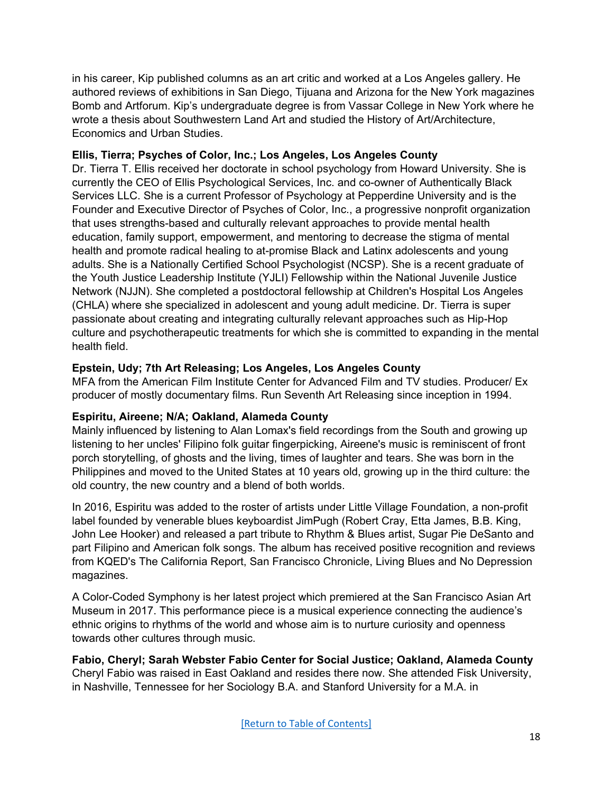in his career, Kip published columns as an art critic and worked at a Los Angeles gallery. He authored reviews of exhibitions in San Diego, Tijuana and Arizona for the New York magazines Bomb and Artforum. Kip's undergraduate degree is from Vassar College in New York where he wrote a thesis about Southwestern Land Art and studied the History of Art/Architecture, Economics and Urban Studies.

# **Ellis, Tierra; Psyches of Color, Inc.; Los Angeles, Los Angeles County**

Dr. Tierra T. Ellis received her doctorate in school psychology from Howard University. She is currently the CEO of Ellis Psychological Services, Inc. and co-owner of Authentically Black Services LLC. She is a current Professor of Psychology at Pepperdine University and is the Founder and Executive Director of Psyches of Color, Inc., a progressive nonprofit organization that uses strengths-based and culturally relevant approaches to provide mental health education, family support, empowerment, and mentoring to decrease the stigma of mental health and promote radical healing to at-promise Black and Latinx adolescents and young adults. She is a Nationally Certified School Psychologist (NCSP). She is a recent graduate of the Youth Justice Leadership Institute (YJLI) Fellowship within the National Juvenile Justice Network (NJJN). She completed a postdoctoral fellowship at Children's Hospital Los Angeles (CHLA) where she specialized in adolescent and young adult medicine. Dr. Tierra is super passionate about creating and integrating culturally relevant approaches such as Hip-Hop culture and psychotherapeutic treatments for which she is committed to expanding in the mental health field.

# **Epstein, Udy; 7th Art Releasing; Los Angeles, Los Angeles County**

MFA from the American Film Institute Center for Advanced Film and TV studies. Producer/ Ex producer of mostly documentary films. Run Seventh Art Releasing since inception in 1994.

# **Espiritu, Aireene; N/A; Oakland, Alameda County**

Mainly influenced by listening to Alan Lomax's field recordings from the South and growing up listening to her uncles' Filipino folk guitar fingerpicking, Aireene's music is reminiscent of front porch storytelling, of ghosts and the living, times of laughter and tears. She was born in the Philippines and moved to the United States at 10 years old, growing up in the third culture: the old country, the new country and a blend of both worlds.

In 2016, Espiritu was added to the roster of artists under Little Village Foundation, a non-profit label founded by venerable blues keyboardist JimPugh (Robert Cray, Etta James, B.B. King, John Lee Hooker) and released a part tribute to Rhythm & Blues artist, Sugar Pie DeSanto and part Filipino and American folk songs. The album has received positive recognition and reviews from KQED's The California Report, San Francisco Chronicle, Living Blues and No Depression magazines.

A Color-Coded Symphony is her latest project which premiered at the San Francisco Asian Art Museum in 2017. This performance piece is a musical experience connecting the audience's ethnic origins to rhythms of the world and whose aim is to nurture curiosity and openness towards other cultures through music.

<span id="page-17-0"></span>**Fabio, Cheryl; Sarah Webster Fabio Center for Social Justice; Oakland, Alameda County** Cheryl Fabio was raised in East Oakland and resides there now. She attended Fisk University, in Nashville, Tennessee for her Sociology B.A. and Stanford University for a M.A. in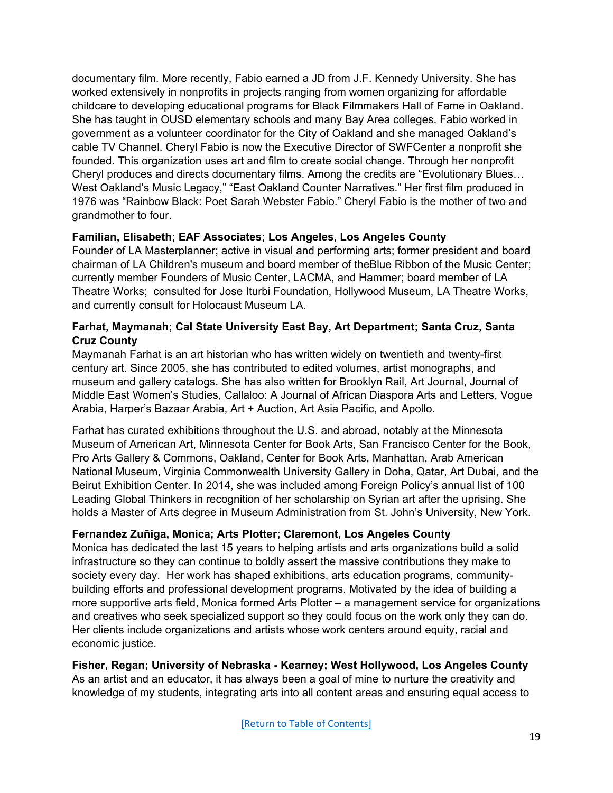documentary film. More recently, Fabio earned a JD from J.F. Kennedy University. She has worked extensively in nonprofits in projects ranging from women organizing for affordable childcare to developing educational programs for Black Filmmakers Hall of Fame in Oakland. She has taught in OUSD elementary schools and many Bay Area colleges. Fabio worked in government as a volunteer coordinator for the City of Oakland and she managed Oakland's cable TV Channel. Cheryl Fabio is now the Executive Director of SWFCenter a nonprofit she founded. This organization uses art and film to create social change. Through her nonprofit Cheryl produces and directs documentary films. Among the credits are "Evolutionary Blues… West Oakland's Music Legacy," "East Oakland Counter Narratives." Her first film produced in 1976 was "Rainbow Black: Poet Sarah Webster Fabio." Cheryl Fabio is the mother of two and grandmother to four.

### **Familian, Elisabeth; EAF Associates; Los Angeles, Los Angeles County**

Founder of LA Masterplanner; active in visual and performing arts; former president and board chairman of LA Children's museum and board member of theBlue Ribbon of the Music Center; currently member Founders of Music Center, LACMA, and Hammer; board member of LA Theatre Works; consulted for Jose Iturbi Foundation, Hollywood Museum, LA Theatre Works, and currently consult for Holocaust Museum LA.

### **Farhat, Maymanah; Cal State University East Bay, Art Department; Santa Cruz, Santa Cruz County**

Maymanah Farhat is an art historian who has written widely on twentieth and twenty-first century art. Since 2005, she has contributed to edited volumes, artist monographs, and museum and gallery catalogs. She has also written for Brooklyn Rail, Art Journal, Journal of Middle East Women's Studies, Callaloo: A Journal of African Diaspora Arts and Letters, Vogue Arabia, Harper's Bazaar Arabia, Art + Auction, Art Asia Pacific, and Apollo.

Farhat has curated exhibitions throughout the U.S. and abroad, notably at the Minnesota Museum of American Art, Minnesota Center for Book Arts, San Francisco Center for the Book, Pro Arts Gallery & Commons, Oakland, Center for Book Arts, Manhattan, Arab American National Museum, Virginia Commonwealth University Gallery in Doha, Qatar, Art Dubai, and the Beirut Exhibition Center. In 2014, she was included among Foreign Policy's annual list of 100 Leading Global Thinkers in recognition of her scholarship on Syrian art after the uprising. She holds a Master of Arts degree in Museum Administration from St. John's University, New York.

# **Fernandez Zuñiga, Monica; Arts Plotter; Claremont, Los Angeles County**

Monica has dedicated the last 15 years to helping artists and arts organizations build a solid infrastructure so they can continue to boldly assert the massive contributions they make to society every day. Her work has shaped exhibitions, arts education programs, communitybuilding efforts and professional development programs. Motivated by the idea of building a more supportive arts field, Monica formed Arts Plotter – a management service for organizations and creatives who seek specialized support so they could focus on the work only they can do. Her clients include organizations and artists whose work centers around equity, racial and economic justice.

**Fisher, Regan; University of Nebraska - Kearney; West Hollywood, Los Angeles County** As an artist and an educator, it has always been a goal of mine to nurture the creativity and knowledge of my students, integrating arts into all content areas and ensuring equal access to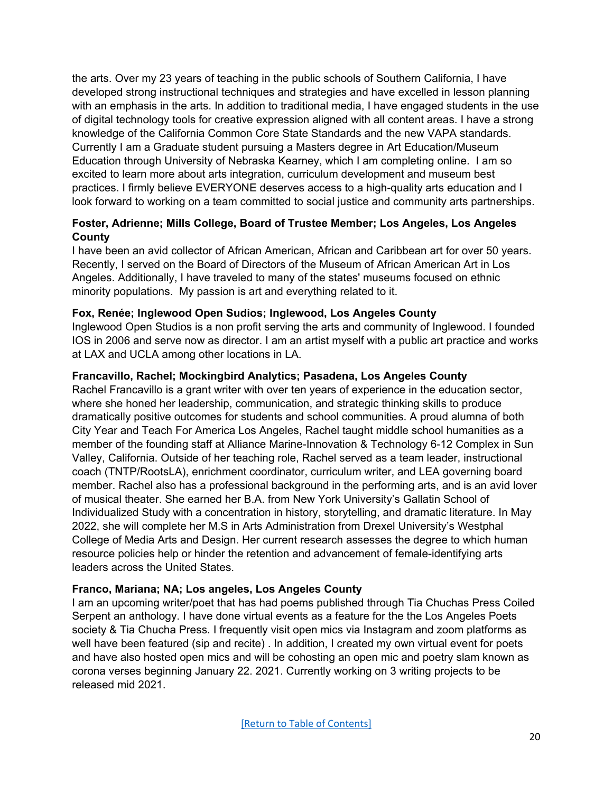the arts. Over my 23 years of teaching in the public schools of Southern California, I have developed strong instructional techniques and strategies and have excelled in lesson planning with an emphasis in the arts. In addition to traditional media, I have engaged students in the use of digital technology tools for creative expression aligned with all content areas. I have a strong knowledge of the California Common Core State Standards and the new VAPA standards. Currently I am a Graduate student pursuing a Masters degree in Art Education/Museum Education through University of Nebraska Kearney, which I am completing online. I am so excited to learn more about arts integration, curriculum development and museum best practices. I firmly believe EVERYONE deserves access to a high-quality arts education and I look forward to working on a team committed to social justice and community arts partnerships.

# **Foster, Adrienne; Mills College, Board of Trustee Member; Los Angeles, Los Angeles County**

I have been an avid collector of African American, African and Caribbean art for over 50 years. Recently, I served on the Board of Directors of the Museum of African American Art in Los Angeles. Additionally, I have traveled to many of the states' museums focused on ethnic minority populations. My passion is art and everything related to it.

# **Fox, Renée; Inglewood Open Sudios; Inglewood, Los Angeles County**

Inglewood Open Studios is a non profit serving the arts and community of Inglewood. I founded IOS in 2006 and serve now as director. I am an artist myself with a public art practice and works at LAX and UCLA among other locations in LA.

# **Francavillo, Rachel; Mockingbird Analytics; Pasadena, Los Angeles County**

Rachel Francavillo is a grant writer with over ten years of experience in the education sector, where she honed her leadership, communication, and strategic thinking skills to produce dramatically positive outcomes for students and school communities. A proud alumna of both City Year and Teach For America Los Angeles, Rachel taught middle school humanities as a member of the founding staff at Alliance Marine-Innovation & Technology 6-12 Complex in Sun Valley, California. Outside of her teaching role, Rachel served as a team leader, instructional coach (TNTP/RootsLA), enrichment coordinator, curriculum writer, and LEA governing board member. Rachel also has a professional background in the performing arts, and is an avid lover of musical theater. She earned her B.A. from New York University's Gallatin School of Individualized Study with a concentration in history, storytelling, and dramatic literature. In May 2022, she will complete her M.S in Arts Administration from Drexel University's Westphal College of Media Arts and Design. Her current research assesses the degree to which human resource policies help or hinder the retention and advancement of female-identifying arts leaders across the United States.

# **Franco, Mariana; NA; Los angeles, Los Angeles County**

I am an upcoming writer/poet that has had poems published through Tia Chuchas Press Coiled Serpent an anthology. I have done virtual events as a feature for the the Los Angeles Poets society & Tia Chucha Press. I frequently visit open mics via Instagram and zoom platforms as well have been featured (sip and recite) . In addition, I created my own virtual event for poets and have also hosted open mics and will be cohosting an open mic and poetry slam known as corona verses beginning January 22. 2021. Currently working on 3 writing projects to be released mid 2021.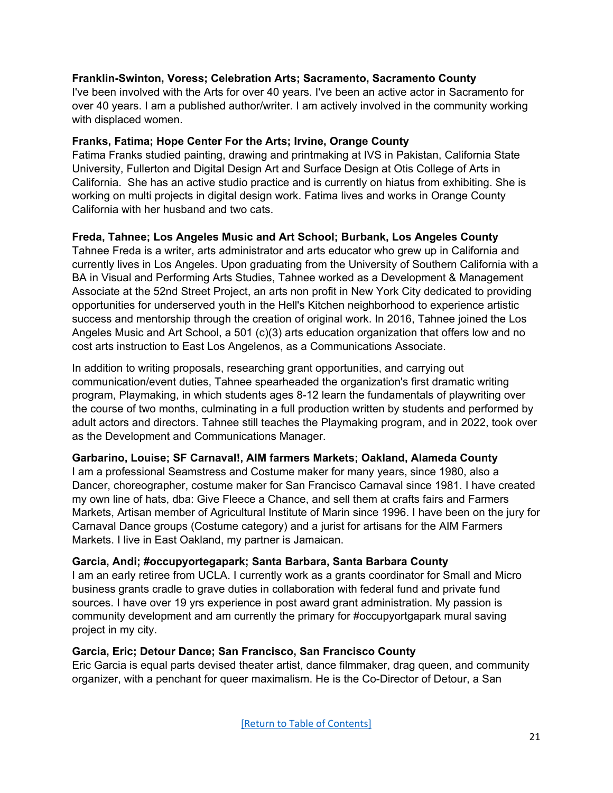### **Franklin-Swinton, Voress; Celebration Arts; Sacramento, Sacramento County**

I've been involved with the Arts for over 40 years. I've been an active actor in Sacramento for over 40 years. I am a published author/writer. I am actively involved in the community working with displaced women.

### **Franks, Fatima; Hope Center For the Arts; Irvine, Orange County**

Fatima Franks studied painting, drawing and printmaking at IVS in Pakistan, California State University, Fullerton and Digital Design Art and Surface Design at Otis College of Arts in California. She has an active studio practice and is currently on hiatus from exhibiting. She is working on multi projects in digital design work. Fatima lives and works in Orange County California with her husband and two cats.

# **Freda, Tahnee; Los Angeles Music and Art School; Burbank, Los Angeles County**

Tahnee Freda is a writer, arts administrator and arts educator who grew up in California and currently lives in Los Angeles. Upon graduating from the University of Southern California with a BA in Visual and Performing Arts Studies, Tahnee worked as a Development & Management Associate at the 52nd Street Project, an arts non profit in New York City dedicated to providing opportunities for underserved youth in the Hell's Kitchen neighborhood to experience artistic success and mentorship through the creation of original work. In 2016, Tahnee joined the Los Angeles Music and Art School, a 501 (c)(3) arts education organization that offers low and no cost arts instruction to East Los Angelenos, as a Communications Associate.

In addition to writing proposals, researching grant opportunities, and carrying out communication/event duties, Tahnee spearheaded the organization's first dramatic writing program, Playmaking, in which students ages 8-12 learn the fundamentals of playwriting over the course of two months, culminating in a full production written by students and performed by adult actors and directors. Tahnee still teaches the Playmaking program, and in 2022, took over as the Development and Communications Manager.

# <span id="page-20-0"></span>**Garbarino, Louise; SF Carnaval!, AIM farmers Markets; Oakland, Alameda County**

I am a professional Seamstress and Costume maker for many years, since 1980, also a Dancer, choreographer, costume maker for San Francisco Carnaval since 1981. I have created my own line of hats, dba: Give Fleece a Chance, and sell them at crafts fairs and Farmers Markets, Artisan member of Agricultural Institute of Marin since 1996. I have been on the jury for Carnaval Dance groups (Costume category) and a jurist for artisans for the AIM Farmers Markets. I live in East Oakland, my partner is Jamaican.

# **Garcia, Andi; #occupyortegapark; Santa Barbara, Santa Barbara County**

I am an early retiree from UCLA. I currently work as a grants coordinator for Small and Micro business grants cradle to grave duties in collaboration with federal fund and private fund sources. I have over 19 yrs experience in post award grant administration. My passion is community development and am currently the primary for #occupyortgapark mural saving project in my city.

# **Garcia, Eric; Detour Dance; San Francisco, San Francisco County**

Eric Garcia is equal parts devised theater artist, dance filmmaker, drag queen, and community organizer, with a penchant for queer maximalism. He is the Co-Director of Detour, a San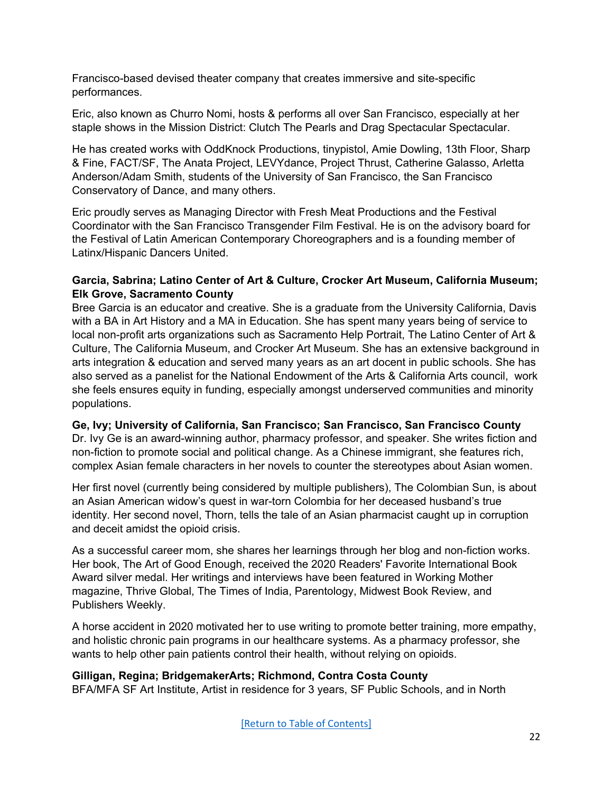Francisco-based devised theater company that creates immersive and site-specific performances.

Eric, also known as Churro Nomi, hosts & performs all over San Francisco, especially at her staple shows in the Mission District: Clutch The Pearls and Drag Spectacular Spectacular.

He has created works with OddKnock Productions, tinypistol, Amie Dowling, 13th Floor, Sharp & Fine, FACT/SF, The Anata Project, LEVYdance, Project Thrust, Catherine Galasso, Arletta Anderson/Adam Smith, students of the University of San Francisco, the San Francisco Conservatory of Dance, and many others.

Eric proudly serves as Managing Director with Fresh Meat Productions and the Festival Coordinator with the San Francisco Transgender Film Festival. He is on the advisory board for the Festival of Latin American Contemporary Choreographers and is a founding member of Latinx/Hispanic Dancers United.

### **Garcia, Sabrina; Latino Center of Art & Culture, Crocker Art Museum, California Museum; Elk Grove, Sacramento County**

Bree Garcia is an educator and creative. She is a graduate from the University California, Davis with a BA in Art History and a MA in Education. She has spent many years being of service to local non-profit arts organizations such as Sacramento Help Portrait, The Latino Center of Art & Culture, The California Museum, and Crocker Art Museum. She has an extensive background in arts integration & education and served many years as an art docent in public schools. She has also served as a panelist for the National Endowment of the Arts & California Arts council, work she feels ensures equity in funding, especially amongst underserved communities and minority populations.

# **Ge, Ivy; University of California, San Francisco; San Francisco, San Francisco County**

Dr. Ivy Ge is an award-winning author, pharmacy professor, and speaker. She writes fiction and non-fiction to promote social and political change. As a Chinese immigrant, she features rich, complex Asian female characters in her novels to counter the stereotypes about Asian women.

Her first novel (currently being considered by multiple publishers), The Colombian Sun, is about an Asian American widow's quest in war-torn Colombia for her deceased husband's true identity. Her second novel, Thorn, tells the tale of an Asian pharmacist caught up in corruption and deceit amidst the opioid crisis.

As a successful career mom, she shares her learnings through her blog and non-fiction works. Her book, The Art of Good Enough, received the 2020 Readers' Favorite International Book Award silver medal. Her writings and interviews have been featured in Working Mother magazine, Thrive Global, The Times of India, Parentology, Midwest Book Review, and Publishers Weekly.

A horse accident in 2020 motivated her to use writing to promote better training, more empathy, and holistic chronic pain programs in our healthcare systems. As a pharmacy professor, she wants to help other pain patients control their health, without relying on opioids.

# **Gilligan, Regina; BridgemakerArts; Richmond, Contra Costa County**

BFA/MFA SF Art Institute, Artist in residence for 3 years, SF Public Schools, and in North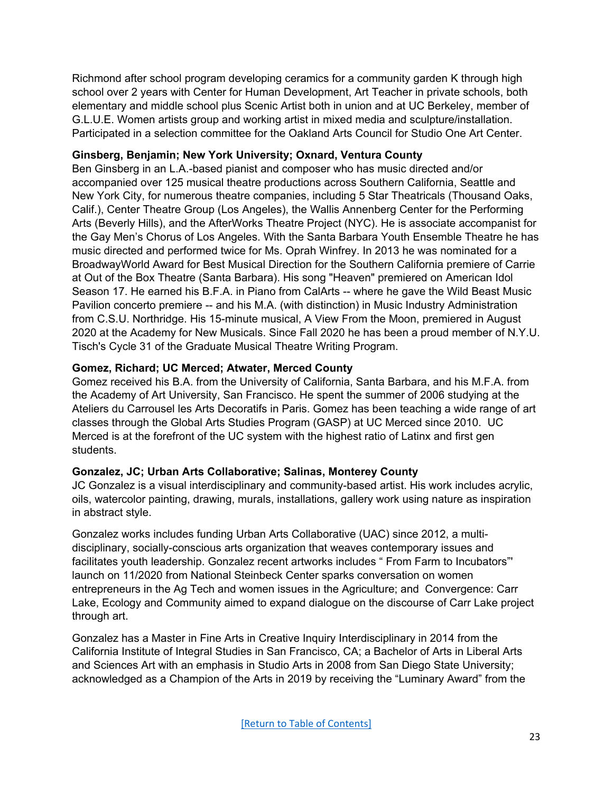Richmond after school program developing ceramics for a community garden K through high school over 2 years with Center for Human Development, Art Teacher in private schools, both elementary and middle school plus Scenic Artist both in union and at UC Berkeley, member of G.L.U.E. Women artists group and working artist in mixed media and sculpture/installation. Participated in a selection committee for the Oakland Arts Council for Studio One Art Center.

# **Ginsberg, Benjamin; New York University; Oxnard, Ventura County**

Ben Ginsberg in an L.A.-based pianist and composer who has music directed and/or accompanied over 125 musical theatre productions across Southern California, Seattle and New York City, for numerous theatre companies, including 5 Star Theatricals (Thousand Oaks, Calif.), Center Theatre Group (Los Angeles), the Wallis Annenberg Center for the Performing Arts (Beverly Hills), and the AfterWorks Theatre Project (NYC). He is associate accompanist for the Gay Men's Chorus of Los Angeles. With the Santa Barbara Youth Ensemble Theatre he has music directed and performed twice for Ms. Oprah Winfrey. In 2013 he was nominated for a BroadwayWorld Award for Best Musical Direction for the Southern California premiere of Carrie at Out of the Box Theatre (Santa Barbara). His song "Heaven" premiered on American Idol Season 17. He earned his B.F.A. in Piano from CalArts -- where he gave the Wild Beast Music Pavilion concerto premiere -- and his M.A. (with distinction) in Music Industry Administration from C.S.U. Northridge. His 15-minute musical, A View From the Moon, premiered in August 2020 at the Academy for New Musicals. Since Fall 2020 he has been a proud member of N.Y.U. Tisch's Cycle 31 of the Graduate Musical Theatre Writing Program.

# **Gomez, Richard; UC Merced; Atwater, Merced County**

Gomez received his B.A. from the University of California, Santa Barbara, and his M.F.A. from the Academy of Art University, San Francisco. He spent the summer of 2006 studying at the Ateliers du Carrousel les Arts Decoratifs in Paris. Gomez has been teaching a wide range of art classes through the Global Arts Studies Program (GASP) at UC Merced since 2010. UC Merced is at the forefront of the UC system with the highest ratio of Latinx and first gen students.

# **Gonzalez, JC; Urban Arts Collaborative; Salinas, Monterey County**

JC Gonzalez is a visual interdisciplinary and community-based artist. His work includes acrylic, oils, watercolor painting, drawing, murals, installations, gallery work using nature as inspiration in abstract style.

Gonzalez works includes funding Urban Arts Collaborative (UAC) since 2012, a multidisciplinary, socially-conscious arts organization that weaves contemporary issues and facilitates youth leadership. Gonzalez recent artworks includes " From Farm to Incubators"' launch on 11/2020 from National Steinbeck Center sparks conversation on women entrepreneurs in the Ag Tech and women issues in the Agriculture; and Convergence: Carr Lake, Ecology and Community aimed to expand dialogue on the discourse of Carr Lake project through art.

Gonzalez has a Master in Fine Arts in Creative Inquiry Interdisciplinary in 2014 from the California Institute of Integral Studies in San Francisco, CA; a Bachelor of Arts in Liberal Arts and Sciences Art with an emphasis in Studio Arts in 2008 from San Diego State University; acknowledged as a Champion of the Arts in 2019 by receiving the "Luminary Award" from the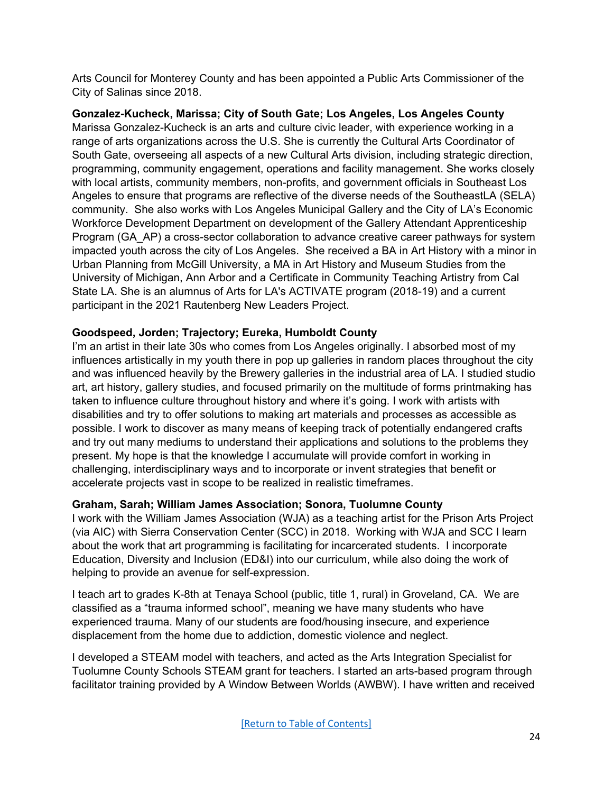Arts Council for Monterey County and has been appointed a Public Arts Commissioner of the City of Salinas since 2018.

**Gonzalez-Kucheck, Marissa; City of South Gate; Los Angeles, Los Angeles County** Marissa Gonzalez-Kucheck is an arts and culture civic leader, with experience working in a range of arts organizations across the U.S. She is currently the Cultural Arts Coordinator of South Gate, overseeing all aspects of a new Cultural Arts division, including strategic direction, programming, community engagement, operations and facility management. She works closely with local artists, community members, non-profits, and government officials in Southeast Los Angeles to ensure that programs are reflective of the diverse needs of the SoutheastLA (SELA) community. She also works with Los Angeles Municipal Gallery and the City of LA's Economic Workforce Development Department on development of the Gallery Attendant Apprenticeship Program (GA\_AP) a cross-sector collaboration to advance creative career pathways for system impacted youth across the city of Los Angeles. She received a BA in Art History with a minor in Urban Planning from McGill University, a MA in Art History and Museum Studies from the University of Michigan, Ann Arbor and a Certificate in Community Teaching Artistry from Cal State LA. She is an alumnus of Arts for LA's ACTIVATE program (2018-19) and a current participant in the 2021 Rautenberg New Leaders Project.

# **Goodspeed, Jorden; Trajectory; Eureka, Humboldt County**

I'm an artist in their late 30s who comes from Los Angeles originally. I absorbed most of my influences artistically in my youth there in pop up galleries in random places throughout the city and was influenced heavily by the Brewery galleries in the industrial area of LA. I studied studio art, art history, gallery studies, and focused primarily on the multitude of forms printmaking has taken to influence culture throughout history and where it's going. I work with artists with disabilities and try to offer solutions to making art materials and processes as accessible as possible. I work to discover as many means of keeping track of potentially endangered crafts and try out many mediums to understand their applications and solutions to the problems they present. My hope is that the knowledge I accumulate will provide comfort in working in challenging, interdisciplinary ways and to incorporate or invent strategies that benefit or accelerate projects vast in scope to be realized in realistic timeframes.

# **Graham, Sarah; William James Association; Sonora, Tuolumne County**

I work with the William James Association (WJA) as a teaching artist for the Prison Arts Project (via AIC) with Sierra Conservation Center (SCC) in 2018. Working with WJA and SCC I learn about the work that art programming is facilitating for incarcerated students. I incorporate Education, Diversity and Inclusion (ED&I) into our curriculum, while also doing the work of helping to provide an avenue for self-expression.

I teach art to grades K-8th at Tenaya School (public, title 1, rural) in Groveland, CA. We are classified as a "trauma informed school", meaning we have many students who have experienced trauma. Many of our students are food/housing insecure, and experience displacement from the home due to addiction, domestic violence and neglect.

I developed a STEAM model with teachers, and acted as the Arts Integration Specialist for Tuolumne County Schools STEAM grant for teachers. I started an arts-based program through facilitator training provided by A Window Between Worlds (AWBW). I have written and received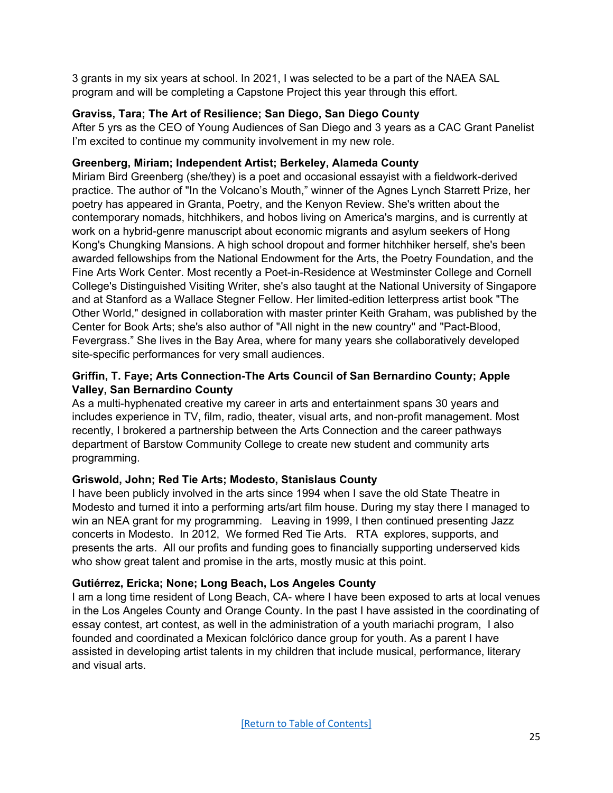3 grants in my six years at school. In 2021, I was selected to be a part of the NAEA SAL program and will be completing a Capstone Project this year through this effort.

# **Graviss, Tara; The Art of Resilience; San Diego, San Diego County**

After 5 yrs as the CEO of Young Audiences of San Diego and 3 years as a CAC Grant Panelist I'm excited to continue my community involvement in my new role.

# **Greenberg, Miriam; Independent Artist; Berkeley, Alameda County**

Miriam Bird Greenberg (she/they) is a poet and occasional essayist with a fieldwork-derived practice. The author of "In the Volcano's Mouth," winner of the Agnes Lynch Starrett Prize, her poetry has appeared in Granta, Poetry, and the Kenyon Review. She's written about the contemporary nomads, hitchhikers, and hobos living on America's margins, and is currently at work on a hybrid-genre manuscript about economic migrants and asylum seekers of Hong Kong's Chungking Mansions. A high school dropout and former hitchhiker herself, she's been awarded fellowships from the National Endowment for the Arts, the Poetry Foundation, and the Fine Arts Work Center. Most recently a Poet-in-Residence at Westminster College and Cornell College's Distinguished Visiting Writer, she's also taught at the National University of Singapore and at Stanford as a Wallace Stegner Fellow. Her limited-edition letterpress artist book "The Other World," designed in collaboration with master printer Keith Graham, was published by the Center for Book Arts; she's also author of "All night in the new country" and "Pact-Blood, Fevergrass." She lives in the Bay Area, where for many years she collaboratively developed site-specific performances for very small audiences.

# **Griffin, T. Faye; Arts Connection-The Arts Council of San Bernardino County; Apple Valley, San Bernardino County**

As a multi-hyphenated creative my career in arts and entertainment spans 30 years and includes experience in TV, film, radio, theater, visual arts, and non-profit management. Most recently, I brokered a partnership between the Arts Connection and the career pathways department of Barstow Community College to create new student and community arts programming.

# **Griswold, John; Red Tie Arts; Modesto, Stanislaus County**

I have been publicly involved in the arts since 1994 when I save the old State Theatre in Modesto and turned it into a performing arts/art film house. During my stay there I managed to win an NEA grant for my programming. Leaving in 1999, I then continued presenting Jazz concerts in Modesto. In 2012, We formed Red Tie Arts. RTA explores, supports, and presents the arts. All our profits and funding goes to financially supporting underserved kids who show great talent and promise in the arts, mostly music at this point.

# **Gutiérrez, Ericka; None; Long Beach, Los Angeles County**

I am a long time resident of Long Beach, CA- where I have been exposed to arts at local venues in the Los Angeles County and Orange County. In the past I have assisted in the coordinating of essay contest, art contest, as well in the administration of a youth mariachi program, I also founded and coordinated a Mexican folclórico dance group for youth. As a parent I have assisted in developing artist talents in my children that include musical, performance, literary and visual arts.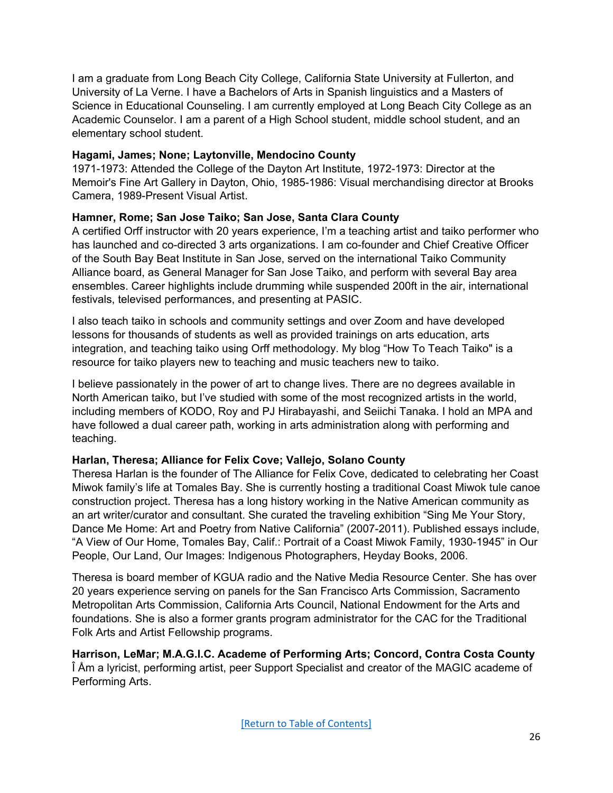I am a graduate from Long Beach City College, California State University at Fullerton, and University of La Verne. I have a Bachelors of Arts in Spanish linguistics and a Masters of Science in Educational Counseling. I am currently employed at Long Beach City College as an Academic Counselor. I am a parent of a High School student, middle school student, and an elementary school student.

### <span id="page-25-0"></span>**Hagami, James; None; Laytonville, Mendocino County**

1971-1973: Attended the College of the Dayton Art Institute, 1972-1973: Director at the Memoir's Fine Art Gallery in Dayton, Ohio, 1985-1986: Visual merchandising director at Brooks Camera, 1989-Present Visual Artist.

# **Hamner, Rome; San Jose Taiko; San Jose, Santa Clara County**

A certified Orff instructor with 20 years experience, I'm a teaching artist and taiko performer who has launched and co-directed 3 arts organizations. I am co-founder and Chief Creative Officer of the South Bay Beat Institute in San Jose, served on the international Taiko Community Alliance board, as General Manager for San Jose Taiko, and perform with several Bay area ensembles. Career highlights include drumming while suspended 200ft in the air, international festivals, televised performances, and presenting at PASIC.

I also teach taiko in schools and community settings and over Zoom and have developed lessons for thousands of students as well as provided trainings on arts education, arts integration, and teaching taiko using Orff methodology. My blog "How To Teach Taiko" is a resource for taiko players new to teaching and music teachers new to taiko.

I believe passionately in the power of art to change lives. There are no degrees available in North American taiko, but I've studied with some of the most recognized artists in the world, including members of KODO, Roy and PJ Hirabayashi, and Seiichi Tanaka. I hold an MPA and have followed a dual career path, working in arts administration along with performing and teaching.

# **Harlan, Theresa; Alliance for Felix Cove; Vallejo, Solano County**

Theresa Harlan is the founder of The Alliance for Felix Cove, dedicated to celebrating her Coast Miwok family's life at Tomales Bay. She is currently hosting a traditional Coast Miwok tule canoe construction project. Theresa has a long history working in the Native American community as an art writer/curator and consultant. She curated the traveling exhibition "Sing Me Your Story, Dance Me Home: Art and Poetry from Native California" (2007-2011). Published essays include, "A View of Our Home, Tomales Bay, Calif.: Portrait of a Coast Miwok Family, 1930-1945" in Our People, Our Land, Our Images: Indigenous Photographers, Heyday Books, 2006.

Theresa is board member of KGUA radio and the Native Media Resource Center. She has over 20 years experience serving on panels for the San Francisco Arts Commission, Sacramento Metropolitan Arts Commission, California Arts Council, National Endowment for the Arts and foundations. She is also a former grants program administrator for the CAC for the Traditional Folk Arts and Artist Fellowship programs.

**Harrison, LeMar; M.A.G.I.C. Academe of Performing Arts; Concord, Contra Costa County** Î Åm a lyricist, performing artist, peer Support Specialist and creator of the MAGIC academe of Performing Arts.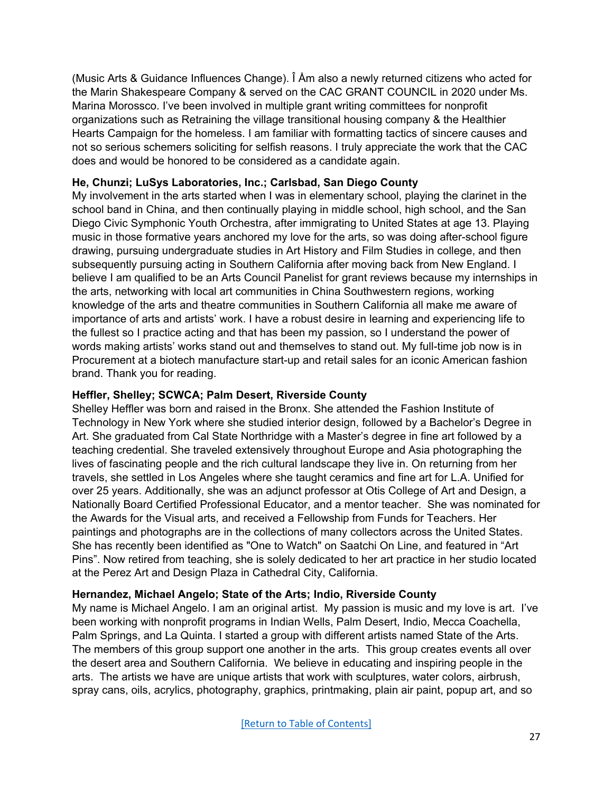(Music Arts & Guidance Influences Change). Î Åm also a newly returned citizens who acted for the Marin Shakespeare Company & served on the CAC GRANT COUNCIL in 2020 under Ms. Marina Morossco. I've been involved in multiple grant writing committees for nonprofit organizations such as Retraining the village transitional housing company & the Healthier Hearts Campaign for the homeless. I am familiar with formatting tactics of sincere causes and not so serious schemers soliciting for selfish reasons. I truly appreciate the work that the CAC does and would be honored to be considered as a candidate again.

### **He, Chunzi; LuSys Laboratories, Inc.; Carlsbad, San Diego County**

My involvement in the arts started when I was in elementary school, playing the clarinet in the school band in China, and then continually playing in middle school, high school, and the San Diego Civic Symphonic Youth Orchestra, after immigrating to United States at age 13. Playing music in those formative years anchored my love for the arts, so was doing after-school figure drawing, pursuing undergraduate studies in Art History and Film Studies in college, and then subsequently pursuing acting in Southern California after moving back from New England. I believe I am qualified to be an Arts Council Panelist for grant reviews because my internships in the arts, networking with local art communities in China Southwestern regions, working knowledge of the arts and theatre communities in Southern California all make me aware of importance of arts and artists' work. I have a robust desire in learning and experiencing life to the fullest so I practice acting and that has been my passion, so I understand the power of words making artists' works stand out and themselves to stand out. My full-time job now is in Procurement at a biotech manufacture start-up and retail sales for an iconic American fashion brand. Thank you for reading.

### **Heffler, Shelley; SCWCA; Palm Desert, Riverside County**

Shelley Heffler was born and raised in the Bronx. She attended the Fashion Institute of Technology in New York where she studied interior design, followed by a Bachelor's Degree in Art. She graduated from Cal State Northridge with a Master's degree in fine art followed by a teaching credential. She traveled extensively throughout Europe and Asia photographing the lives of fascinating people and the rich cultural landscape they live in. On returning from her travels, she settled in Los Angeles where she taught ceramics and fine art for L.A. Unified for over 25 years. Additionally, she was an adjunct professor at Otis College of Art and Design, a Nationally Board Certified Professional Educator, and a mentor teacher. She was nominated for the Awards for the Visual arts, and received a Fellowship from Funds for Teachers. Her paintings and photographs are in the collections of many collectors across the United States. She has recently been identified as "One to Watch" on Saatchi On Line, and featured in "Art Pins". Now retired from teaching, she is solely dedicated to her art practice in her studio located at the Perez Art and Design Plaza in Cathedral City, California.

#### **Hernandez, Michael Angelo; State of the Arts; Indio, Riverside County**

My name is Michael Angelo. I am an original artist. My passion is music and my love is art. I've been working with nonprofit programs in Indian Wells, Palm Desert, Indio, Mecca Coachella, Palm Springs, and La Quinta. I started a group with different artists named State of the Arts. The members of this group support one another in the arts. This group creates events all over the desert area and Southern California. We believe in educating and inspiring people in the arts. The artists we have are unique artists that work with sculptures, water colors, airbrush, spray cans, oils, acrylics, photography, graphics, printmaking, plain air paint, popup art, and so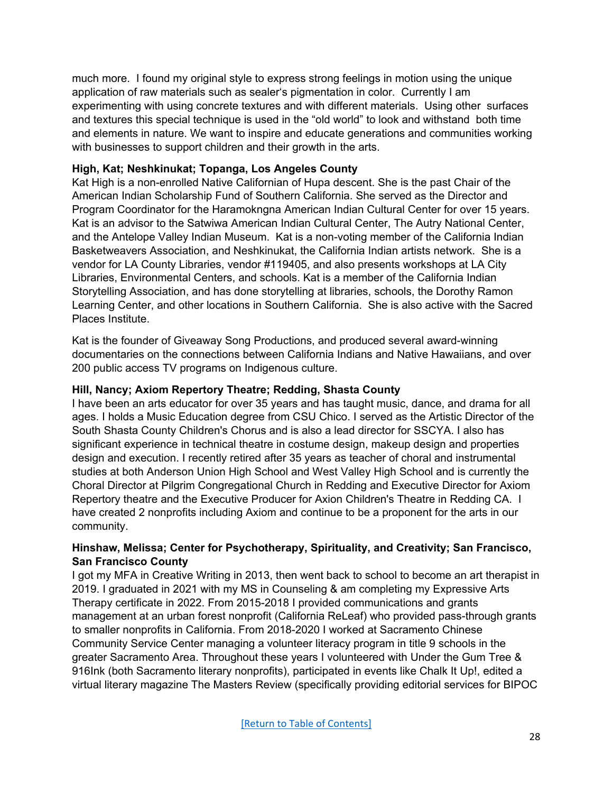much more. I found my original style to express strong feelings in motion using the unique application of raw materials such as sealer's pigmentation in color. Currently I am experimenting with using concrete textures and with different materials. Using other surfaces and textures this special technique is used in the "old world" to look and withstand both time and elements in nature. We want to inspire and educate generations and communities working with businesses to support children and their growth in the arts.

### **High, Kat; Neshkinukat; Topanga, Los Angeles County**

Kat High is a non-enrolled Native Californian of Hupa descent. She is the past Chair of the American Indian Scholarship Fund of Southern California. She served as the Director and Program Coordinator for the Haramokngna American Indian Cultural Center for over 15 years. Kat is an advisor to the Satwiwa American Indian Cultural Center, The Autry National Center, and the Antelope Valley Indian Museum. Kat is a non-voting member of the California Indian Basketweavers Association, and Neshkinukat, the California Indian artists network. She is a vendor for LA County Libraries, vendor #119405, and also presents workshops at LA City Libraries, Environmental Centers, and schools. Kat is a member of the California Indian Storytelling Association, and has done storytelling at libraries, schools, the Dorothy Ramon Learning Center, and other locations in Southern California. She is also active with the Sacred Places Institute.

Kat is the founder of Giveaway Song Productions, and produced several award-winning documentaries on the connections between California Indians and Native Hawaiians, and over 200 public access TV programs on Indigenous culture.

#### **Hill, Nancy; Axiom Repertory Theatre; Redding, Shasta County**

I have been an arts educator for over 35 years and has taught music, dance, and drama for all ages. I holds a Music Education degree from CSU Chico. I served as the Artistic Director of the South Shasta County Children's Chorus and is also a lead director for SSCYA. I also has significant experience in technical theatre in costume design, makeup design and properties design and execution. I recently retired after 35 years as teacher of choral and instrumental studies at both Anderson Union High School and West Valley High School and is currently the Choral Director at Pilgrim Congregational Church in Redding and Executive Director for Axiom Repertory theatre and the Executive Producer for Axion Children's Theatre in Redding CA. I have created 2 nonprofits including Axiom and continue to be a proponent for the arts in our community.

### **Hinshaw, Melissa; Center for Psychotherapy, Spirituality, and Creativity; San Francisco, San Francisco County**

I got my MFA in Creative Writing in 2013, then went back to school to become an art therapist in 2019. I graduated in 2021 with my MS in Counseling & am completing my Expressive Arts Therapy certificate in 2022. From 2015-2018 I provided communications and grants management at an urban forest nonprofit (California ReLeaf) who provided pass-through grants to smaller nonprofits in California. From 2018-2020 I worked at Sacramento Chinese Community Service Center managing a volunteer literacy program in title 9 schools in the greater Sacramento Area. Throughout these years I volunteered with Under the Gum Tree & 916Ink (both Sacramento literary nonprofits), participated in events like Chalk It Up!, edited a virtual literary magazine The Masters Review (specifically providing editorial services for BIPOC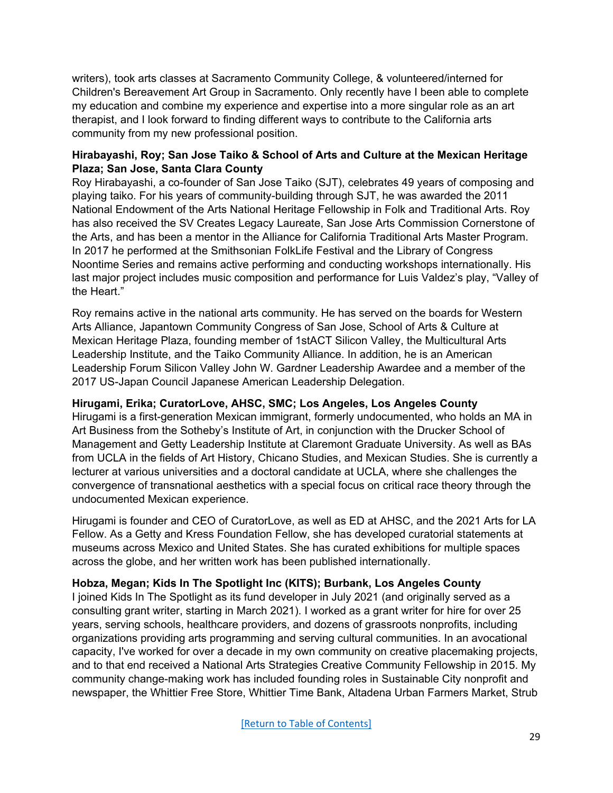writers), took arts classes at Sacramento Community College, & volunteered/interned for Children's Bereavement Art Group in Sacramento. Only recently have I been able to complete my education and combine my experience and expertise into a more singular role as an art therapist, and I look forward to finding different ways to contribute to the California arts community from my new professional position.

# **Hirabayashi, Roy; San Jose Taiko & School of Arts and Culture at the Mexican Heritage Plaza; San Jose, Santa Clara County**

Roy Hirabayashi, a co-founder of San Jose Taiko (SJT), celebrates 49 years of composing and playing taiko. For his years of community-building through SJT, he was awarded the 2011 National Endowment of the Arts National Heritage Fellowship in Folk and Traditional Arts. Roy has also received the SV Creates Legacy Laureate, San Jose Arts Commission Cornerstone of the Arts, and has been a mentor in the Alliance for California Traditional Arts Master Program. In 2017 he performed at the Smithsonian FolkLife Festival and the Library of Congress Noontime Series and remains active performing and conducting workshops internationally. His last major project includes music composition and performance for Luis Valdez's play, "Valley of the Heart."

Roy remains active in the national arts community. He has served on the boards for Western Arts Alliance, Japantown Community Congress of San Jose, School of Arts & Culture at Mexican Heritage Plaza, founding member of 1stACT Silicon Valley, the Multicultural Arts Leadership Institute, and the Taiko Community Alliance. In addition, he is an American Leadership Forum Silicon Valley John W. Gardner Leadership Awardee and a member of the 2017 US-Japan Council Japanese American Leadership Delegation.

# **Hirugami, Erika; CuratorLove, AHSC, SMC; Los Angeles, Los Angeles County**

Hirugami is a first-generation Mexican immigrant, formerly undocumented, who holds an MA in Art Business from the Sotheby's Institute of Art, in conjunction with the Drucker School of Management and Getty Leadership Institute at Claremont Graduate University. As well as BAs from UCLA in the fields of Art History, Chicano Studies, and Mexican Studies. She is currently a lecturer at various universities and a doctoral candidate at UCLA, where she challenges the convergence of transnational aesthetics with a special focus on critical race theory through the undocumented Mexican experience.

Hirugami is founder and CEO of CuratorLove, as well as ED at AHSC, and the 2021 Arts for LA Fellow. As a Getty and Kress Foundation Fellow, she has developed curatorial statements at museums across Mexico and United States. She has curated exhibitions for multiple spaces across the globe, and her written work has been published internationally.

# **Hobza, Megan; Kids In The Spotlight Inc (KITS); Burbank, Los Angeles County**

I joined Kids In The Spotlight as its fund developer in July 2021 (and originally served as a consulting grant writer, starting in March 2021). I worked as a grant writer for hire for over 25 years, serving schools, healthcare providers, and dozens of grassroots nonprofits, including organizations providing arts programming and serving cultural communities. In an avocational capacity, I've worked for over a decade in my own community on creative placemaking projects, and to that end received a National Arts Strategies Creative Community Fellowship in 2015. My community change-making work has included founding roles in Sustainable City nonprofit and newspaper, the Whittier Free Store, Whittier Time Bank, Altadena Urban Farmers Market, Strub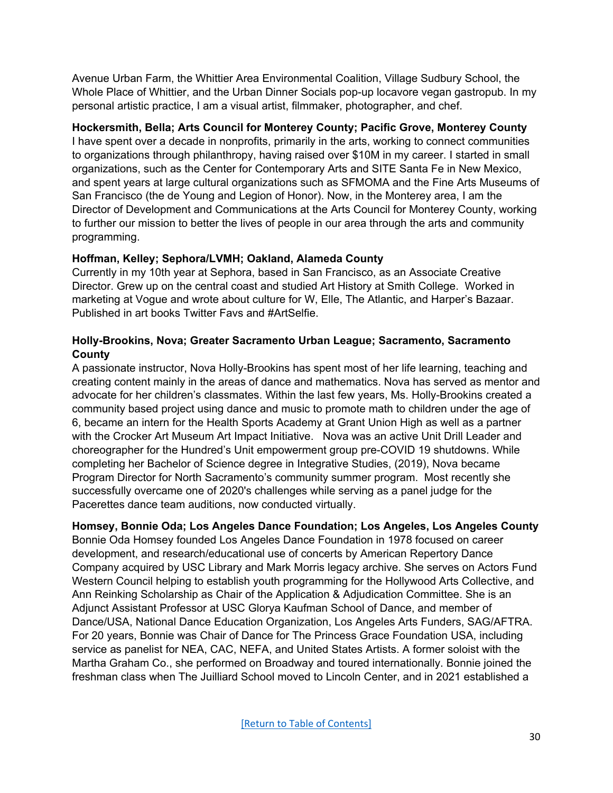Avenue Urban Farm, the Whittier Area Environmental Coalition, Village Sudbury School, the Whole Place of Whittier, and the Urban Dinner Socials pop-up locavore vegan gastropub. In my personal artistic practice, I am a visual artist, filmmaker, photographer, and chef.

# **Hockersmith, Bella; Arts Council for Monterey County; Pacific Grove, Monterey County**

I have spent over a decade in nonprofits, primarily in the arts, working to connect communities to organizations through philanthropy, having raised over \$10M in my career. I started in small organizations, such as the Center for Contemporary Arts and SITE Santa Fe in New Mexico, and spent years at large cultural organizations such as SFMOMA and the Fine Arts Museums of San Francisco (the de Young and Legion of Honor). Now, in the Monterey area, I am the Director of Development and Communications at the Arts Council for Monterey County, working to further our mission to better the lives of people in our area through the arts and community programming.

### **Hoffman, Kelley; Sephora/LVMH; Oakland, Alameda County**

Currently in my 10th year at Sephora, based in San Francisco, as an Associate Creative Director. Grew up on the central coast and studied Art History at Smith College. Worked in marketing at Vogue and wrote about culture for W, Elle, The Atlantic, and Harper's Bazaar. Published in art books Twitter Favs and #ArtSelfie.

### **Holly-Brookins, Nova; Greater Sacramento Urban League; Sacramento, Sacramento County**

A passionate instructor, Nova Holly-Brookins has spent most of her life learning, teaching and creating content mainly in the areas of dance and mathematics. Nova has served as mentor and advocate for her children's classmates. Within the last few years, Ms. Holly-Brookins created a community based project using dance and music to promote math to children under the age of 6, became an intern for the Health Sports Academy at Grant Union High as well as a partner with the Crocker Art Museum Art Impact Initiative. Nova was an active Unit Drill Leader and choreographer for the Hundred's Unit empowerment group pre-COVID 19 shutdowns. While completing her Bachelor of Science degree in Integrative Studies, (2019), Nova became Program Director for North Sacramento's community summer program. Most recently she successfully overcame one of 2020's challenges while serving as a panel judge for the Pacerettes dance team auditions, now conducted virtually.

**Homsey, Bonnie Oda; Los Angeles Dance Foundation; Los Angeles, Los Angeles County** Bonnie Oda Homsey founded Los Angeles Dance Foundation in 1978 focused on career development, and research/educational use of concerts by American Repertory Dance Company acquired by USC Library and Mark Morris legacy archive. She serves on Actors Fund Western Council helping to establish youth programming for the Hollywood Arts Collective, and Ann Reinking Scholarship as Chair of the Application & Adjudication Committee. She is an Adjunct Assistant Professor at USC Glorya Kaufman School of Dance, and member of Dance/USA, National Dance Education Organization, Los Angeles Arts Funders, SAG/AFTRA. For 20 years, Bonnie was Chair of Dance for The Princess Grace Foundation USA, including service as panelist for NEA, CAC, NEFA, and United States Artists. A former soloist with the Martha Graham Co., she performed on Broadway and toured internationally. Bonnie joined the freshman class when The Juilliard School moved to Lincoln Center, and in 2021 established a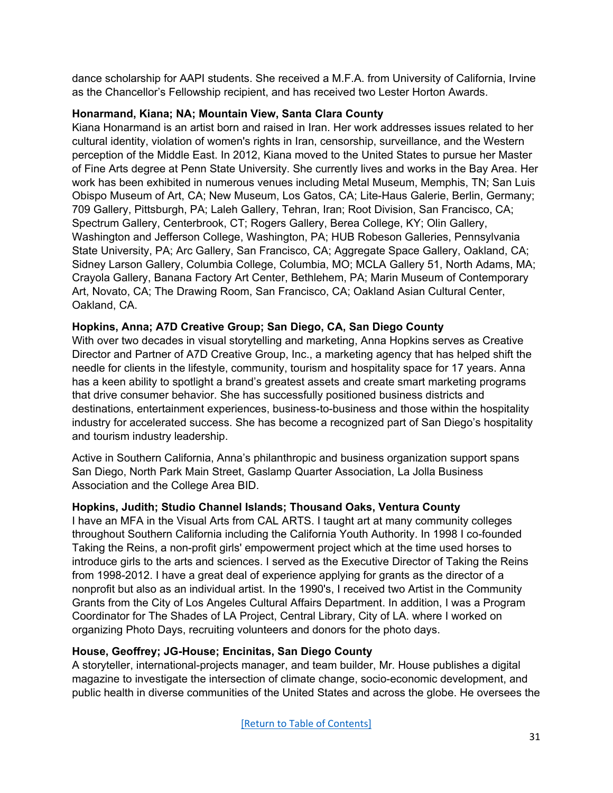dance scholarship for AAPI students. She received a M.F.A. from University of California, Irvine as the Chancellor's Fellowship recipient, and has received two Lester Horton Awards.

### **Honarmand, Kiana; NA; Mountain View, Santa Clara County**

Kiana Honarmand is an artist born and raised in Iran. Her work addresses issues related to her cultural identity, violation of women's rights in Iran, censorship, surveillance, and the Western perception of the Middle East. In 2012, Kiana moved to the United States to pursue her Master of Fine Arts degree at Penn State University. She currently lives and works in the Bay Area. Her work has been exhibited in numerous venues including Metal Museum, Memphis, TN; San Luis Obispo Museum of Art, CA; New Museum, Los Gatos, CA; Lite-Haus Galerie, Berlin, Germany; 709 Gallery, Pittsburgh, PA; Laleh Gallery, Tehran, Iran; Root Division, San Francisco, CA; Spectrum Gallery, Centerbrook, CT; Rogers Gallery, Berea College, KY; Olin Gallery, Washington and Jefferson College, Washington, PA; HUB Robeson Galleries, Pennsylvania State University, PA; Arc Gallery, San Francisco, CA; Aggregate Space Gallery, Oakland, CA; Sidney Larson Gallery, Columbia College, Columbia, MO; MCLA Gallery 51, North Adams, MA; Crayola Gallery, Banana Factory Art Center, Bethlehem, PA; Marin Museum of Contemporary Art, Novato, CA; The Drawing Room, San Francisco, CA; Oakland Asian Cultural Center, Oakland, CA.

# **Hopkins, Anna; A7D Creative Group; San Diego, CA, San Diego County**

With over two decades in visual storytelling and marketing, Anna Hopkins serves as Creative Director and Partner of A7D Creative Group, Inc., a marketing agency that has helped shift the needle for clients in the lifestyle, community, tourism and hospitality space for 17 years. Anna has a keen ability to spotlight a brand's greatest assets and create smart marketing programs that drive consumer behavior. She has successfully positioned business districts and destinations, entertainment experiences, business-to-business and those within the hospitality industry for accelerated success. She has become a recognized part of San Diego's hospitality and tourism industry leadership.

Active in Southern California, Anna's philanthropic and business organization support spans San Diego, North Park Main Street, Gaslamp Quarter Association, La Jolla Business Association and the College Area BID.

# **Hopkins, Judith; Studio Channel Islands; Thousand Oaks, Ventura County**

I have an MFA in the Visual Arts from CAL ARTS. I taught art at many community colleges throughout Southern California including the California Youth Authority. In 1998 I co-founded Taking the Reins, a non-profit girls' empowerment project which at the time used horses to introduce girls to the arts and sciences. I served as the Executive Director of Taking the Reins from 1998-2012. I have a great deal of experience applying for grants as the director of a nonprofit but also as an individual artist. In the 1990's, I received two Artist in the Community Grants from the City of Los Angeles Cultural Affairs Department. In addition, I was a Program Coordinator for The Shades of LA Project, Central Library, City of LA. where I worked on organizing Photo Days, recruiting volunteers and donors for the photo days.

# **House, Geoffrey; JG-House; Encinitas, San Diego County**

A storyteller, international-projects manager, and team builder, Mr. House publishes a digital magazine to investigate the intersection of climate change, socio-economic development, and public health in diverse communities of the United States and across the globe. He oversees the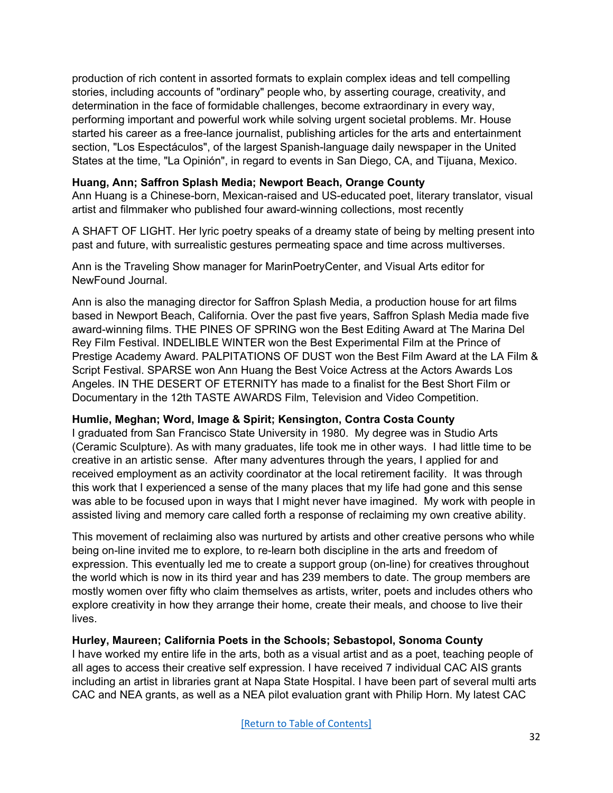production of rich content in assorted formats to explain complex ideas and tell compelling stories, including accounts of "ordinary" people who, by asserting courage, creativity, and determination in the face of formidable challenges, become extraordinary in every way, performing important and powerful work while solving urgent societal problems. Mr. House started his career as a free-lance journalist, publishing articles for the arts and entertainment section, "Los Espectáculos", of the largest Spanish-language daily newspaper in the United States at the time, "La Opinión", in regard to events in San Diego, CA, and Tijuana, Mexico.

### **Huang, Ann; Saffron Splash Media; Newport Beach, Orange County**

Ann Huang is a Chinese-born, Mexican-raised and US-educated poet, literary translator, visual artist and filmmaker who published four award-winning collections, most recently

A SHAFT OF LIGHT. Her lyric poetry speaks of a dreamy state of being by melting present into past and future, with surrealistic gestures permeating space and time across multiverses.

Ann is the Traveling Show manager for MarinPoetryCenter, and Visual Arts editor for NewFound Journal.

Ann is also the managing director for Saffron Splash Media, a production house for art films based in Newport Beach, California. Over the past five years, Saffron Splash Media made five award-winning films. THE PINES OF SPRING won the Best Editing Award at The Marina Del Rey Film Festival. INDELIBLE WINTER won the Best Experimental Film at the Prince of Prestige Academy Award. PALPITATIONS OF DUST won the Best Film Award at the LA Film & Script Festival. SPARSE won Ann Huang the Best Voice Actress at the Actors Awards Los Angeles. IN THE DESERT OF ETERNITY has made to a finalist for the Best Short Film or Documentary in the 12th TASTE AWARDS Film, Television and Video Competition.

#### **Humlie, Meghan; Word, Image & Spirit; Kensington, Contra Costa County**

I graduated from San Francisco State University in 1980. My degree was in Studio Arts (Ceramic Sculpture). As with many graduates, life took me in other ways. I had little time to be creative in an artistic sense. After many adventures through the years, I applied for and received employment as an activity coordinator at the local retirement facility. It was through this work that I experienced a sense of the many places that my life had gone and this sense was able to be focused upon in ways that I might never have imagined. My work with people in assisted living and memory care called forth a response of reclaiming my own creative ability.

This movement of reclaiming also was nurtured by artists and other creative persons who while being on-line invited me to explore, to re-learn both discipline in the arts and freedom of expression. This eventually led me to create a support group (on-line) for creatives throughout the world which is now in its third year and has 239 members to date. The group members are mostly women over fifty who claim themselves as artists, writer, poets and includes others who explore creativity in how they arrange their home, create their meals, and choose to live their lives.

# **Hurley, Maureen; California Poets in the Schools; Sebastopol, Sonoma County**

I have worked my entire life in the arts, both as a visual artist and as a poet, teaching people of all ages to access their creative self expression. I have received 7 individual CAC AIS grants including an artist in libraries grant at Napa State Hospital. I have been part of several multi arts CAC and NEA grants, as well as a NEA pilot evaluation grant with Philip Horn. My latest CAC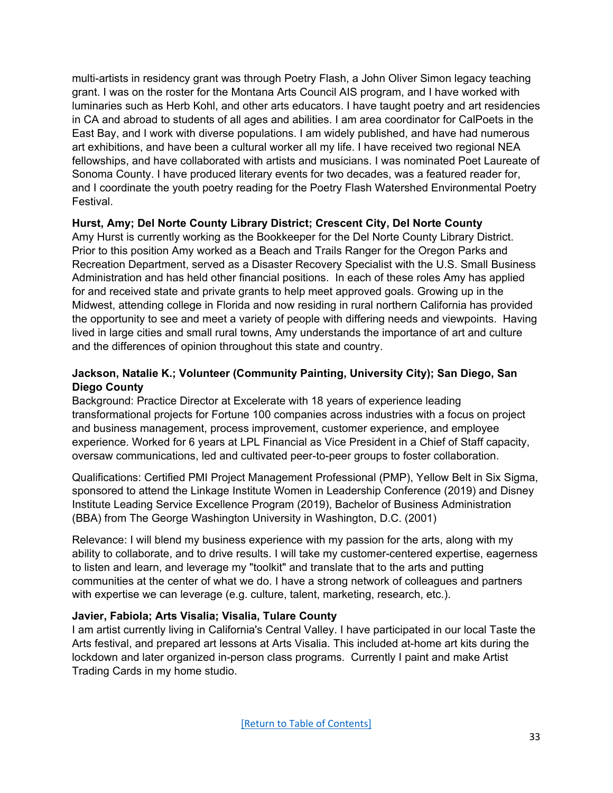multi-artists in residency grant was through Poetry Flash, a John Oliver Simon legacy teaching grant. I was on the roster for the Montana Arts Council AIS program, and I have worked with luminaries such as Herb Kohl, and other arts educators. I have taught poetry and art residencies in CA and abroad to students of all ages and abilities. I am area coordinator for CalPoets in the East Bay, and I work with diverse populations. I am widely published, and have had numerous art exhibitions, and have been a cultural worker all my life. I have received two regional NEA fellowships, and have collaborated with artists and musicians. I was nominated Poet Laureate of Sonoma County. I have produced literary events for two decades, was a featured reader for, and I coordinate the youth poetry reading for the Poetry Flash Watershed Environmental Poetry Festival.

# **Hurst, Amy; Del Norte County Library District; Crescent City, Del Norte County**

Amy Hurst is currently working as the Bookkeeper for the Del Norte County Library District. Prior to this position Amy worked as a Beach and Trails Ranger for the Oregon Parks and Recreation Department, served as a Disaster Recovery Specialist with the U.S. Small Business Administration and has held other financial positions. In each of these roles Amy has applied for and received state and private grants to help meet approved goals. Growing up in the Midwest, attending college in Florida and now residing in rural northern California has provided the opportunity to see and meet a variety of people with differing needs and viewpoints. Having lived in large cities and small rural towns, Amy understands the importance of art and culture and the differences of opinion throughout this state and country.

### <span id="page-32-0"></span>**Jackson, Natalie K.; Volunteer (Community Painting, University City); San Diego, San Diego County**

Background: Practice Director at Excelerate with 18 years of experience leading transformational projects for Fortune 100 companies across industries with a focus on project and business management, process improvement, customer experience, and employee experience. Worked for 6 years at LPL Financial as Vice President in a Chief of Staff capacity, oversaw communications, led and cultivated peer-to-peer groups to foster collaboration.

Qualifications: Certified PMI Project Management Professional (PMP), Yellow Belt in Six Sigma, sponsored to attend the Linkage Institute Women in Leadership Conference (2019) and Disney Institute Leading Service Excellence Program (2019), Bachelor of Business Administration (BBA) from The George Washington University in Washington, D.C. (2001)

Relevance: I will blend my business experience with my passion for the arts, along with my ability to collaborate, and to drive results. I will take my customer-centered expertise, eagerness to listen and learn, and leverage my "toolkit" and translate that to the arts and putting communities at the center of what we do. I have a strong network of colleagues and partners with expertise we can leverage (e.g. culture, talent, marketing, research, etc.).

#### **Javier, Fabiola; Arts Visalia; Visalia, Tulare County**

I am artist currently living in California's Central Valley. I have participated in our local Taste the Arts festival, and prepared art lessons at Arts Visalia. This included at-home art kits during the lockdown and later organized in-person class programs. Currently I paint and make Artist Trading Cards in my home studio.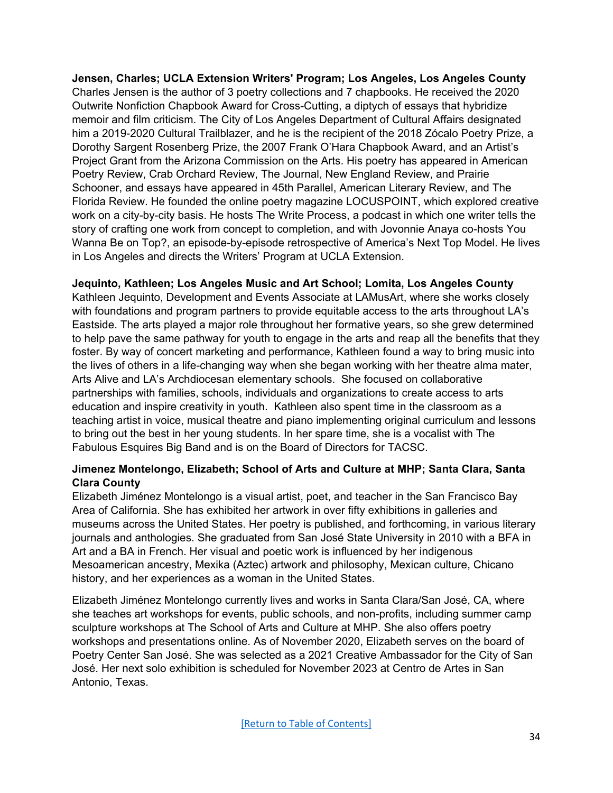**Jensen, Charles; UCLA Extension Writers' Program; Los Angeles, Los Angeles County** Charles Jensen is the author of 3 poetry collections and 7 chapbooks. He received the 2020 Outwrite Nonfiction Chapbook Award for Cross-Cutting, a diptych of essays that hybridize memoir and film criticism. The City of Los Angeles Department of Cultural Affairs designated him a 2019-2020 Cultural Trailblazer, and he is the recipient of the 2018 Zócalo Poetry Prize, a Dorothy Sargent Rosenberg Prize, the 2007 Frank O'Hara Chapbook Award, and an Artist's Project Grant from the Arizona Commission on the Arts. His poetry has appeared in American Poetry Review, Crab Orchard Review, The Journal, New England Review, and Prairie Schooner, and essays have appeared in 45th Parallel, American Literary Review, and The Florida Review. He founded the online poetry magazine LOCUSPOINT, which explored creative work on a city-by-city basis. He hosts The Write Process, a podcast in which one writer tells the story of crafting one work from concept to completion, and with Jovonnie Anaya co-hosts You Wanna Be on Top?, an episode-by-episode retrospective of America's Next Top Model. He lives in Los Angeles and directs the Writers' Program at UCLA Extension.

### **Jequinto, Kathleen; Los Angeles Music and Art School; Lomita, Los Angeles County**

Kathleen Jequinto, Development and Events Associate at LAMusArt, where she works closely with foundations and program partners to provide equitable access to the arts throughout LA's Eastside. The arts played a major role throughout her formative years, so she grew determined to help pave the same pathway for youth to engage in the arts and reap all the benefits that they foster. By way of concert marketing and performance, Kathleen found a way to bring music into the lives of others in a life-changing way when she began working with her theatre alma mater, Arts Alive and LA's Archdiocesan elementary schools. She focused on collaborative partnerships with families, schools, individuals and organizations to create access to arts education and inspire creativity in youth. Kathleen also spent time in the classroom as a teaching artist in voice, musical theatre and piano implementing original curriculum and lessons to bring out the best in her young students. In her spare time, she is a vocalist with The Fabulous Esquires Big Band and is on the Board of Directors for TACSC.

### **Jimenez Montelongo, Elizabeth; School of Arts and Culture at MHP; Santa Clara, Santa Clara County**

Elizabeth Jiménez Montelongo is a visual artist, poet, and teacher in the San Francisco Bay Area of California. She has exhibited her artwork in over fifty exhibitions in galleries and museums across the United States. Her poetry is published, and forthcoming, in various literary journals and anthologies. She graduated from San José State University in 2010 with a BFA in Art and a BA in French. Her visual and poetic work is influenced by her indigenous Mesoamerican ancestry, Mexika (Aztec) artwork and philosophy, Mexican culture, Chicano history, and her experiences as a woman in the United States.

Elizabeth Jiménez Montelongo currently lives and works in Santa Clara/San José, CA, where she teaches art workshops for events, public schools, and non-profits, including summer camp sculpture workshops at The School of Arts and Culture at MHP. She also offers poetry workshops and presentations online. As of November 2020, Elizabeth serves on the board of Poetry Center San José. She was selected as a 2021 Creative Ambassador for the City of San José. Her next solo exhibition is scheduled for November 2023 at Centro de Artes in San Antonio, Texas.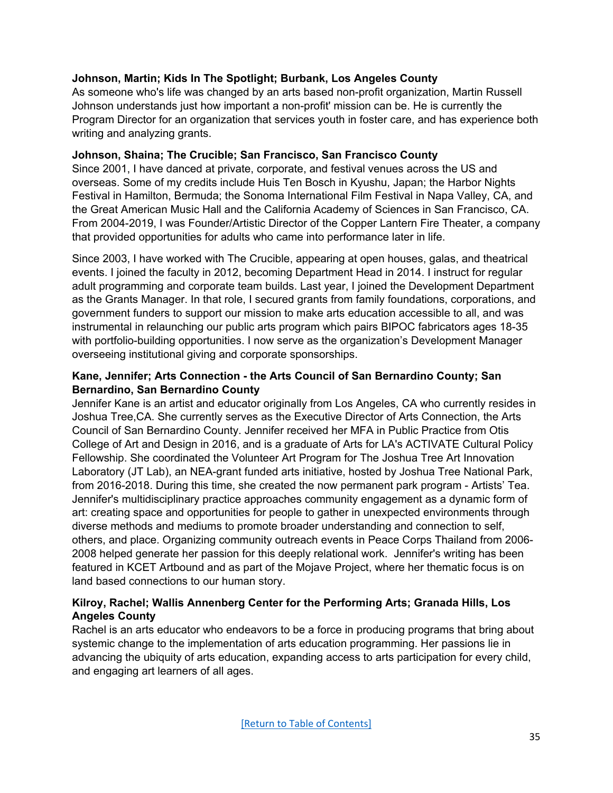# **Johnson, Martin; Kids In The Spotlight; Burbank, Los Angeles County**

As someone who's life was changed by an arts based non-profit organization, Martin Russell Johnson understands just how important a non-profit' mission can be. He is currently the Program Director for an organization that services youth in foster care, and has experience both writing and analyzing grants.

# **Johnson, Shaina; The Crucible; San Francisco, San Francisco County**

Since 2001, I have danced at private, corporate, and festival venues across the US and overseas. Some of my credits include Huis Ten Bosch in Kyushu, Japan; the Harbor Nights Festival in Hamilton, Bermuda; the Sonoma International Film Festival in Napa Valley, CA, and the Great American Music Hall and the California Academy of Sciences in San Francisco, CA. From 2004-2019, I was Founder/Artistic Director of the Copper Lantern Fire Theater, a company that provided opportunities for adults who came into performance later in life.

Since 2003, I have worked with The Crucible, appearing at open houses, galas, and theatrical events. I joined the faculty in 2012, becoming Department Head in 2014. I instruct for regular adult programming and corporate team builds. Last year, I joined the Development Department as the Grants Manager. In that role, I secured grants from family foundations, corporations, and government funders to support our mission to make arts education accessible to all, and was instrumental in relaunching our public arts program which pairs BIPOC fabricators ages 18-35 with portfolio-building opportunities. I now serve as the organization's Development Manager overseeing institutional giving and corporate sponsorships.

# <span id="page-34-0"></span>**Kane, Jennifer; Arts Connection - the Arts Council of San Bernardino County; San Bernardino, San Bernardino County**

Jennifer Kane is an artist and educator originally from Los Angeles, CA who currently resides in Joshua Tree,CA. She currently serves as the Executive Director of Arts Connection, the Arts Council of San Bernardino County. Jennifer received her MFA in Public Practice from Otis College of Art and Design in 2016, and is a graduate of Arts for LA's ACTIVATE Cultural Policy Fellowship. She coordinated the Volunteer Art Program for The Joshua Tree Art Innovation Laboratory (JT Lab), an NEA-grant funded arts initiative, hosted by Joshua Tree National Park, from 2016-2018. During this time, she created the now permanent park program - Artists' Tea. Jennifer's multidisciplinary practice approaches community engagement as a dynamic form of art: creating space and opportunities for people to gather in unexpected environments through diverse methods and mediums to promote broader understanding and connection to self, others, and place. Organizing community outreach events in Peace Corps Thailand from 2006- 2008 helped generate her passion for this deeply relational work. Jennifer's writing has been featured in KCET Artbound and as part of the Mojave Project, where her thematic focus is on land based connections to our human story.

# **Kilroy, Rachel; Wallis Annenberg Center for the Performing Arts; Granada Hills, Los Angeles County**

Rachel is an arts educator who endeavors to be a force in producing programs that bring about systemic change to the implementation of arts education programming. Her passions lie in advancing the ubiquity of arts education, expanding access to arts participation for every child, and engaging art learners of all ages.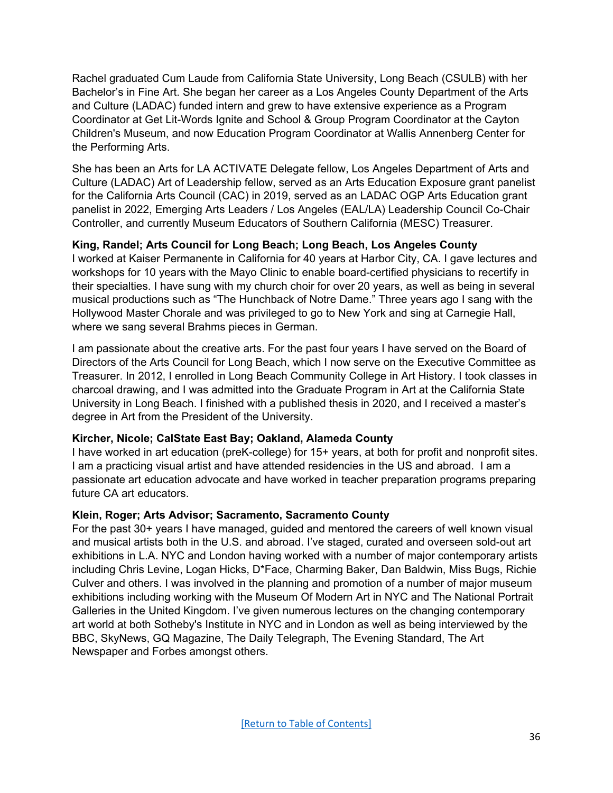Rachel graduated Cum Laude from California State University, Long Beach (CSULB) with her Bachelor's in Fine Art. She began her career as a Los Angeles County Department of the Arts and Culture (LADAC) funded intern and grew to have extensive experience as a Program Coordinator at Get Lit-Words Ignite and School & Group Program Coordinator at the Cayton Children's Museum, and now Education Program Coordinator at Wallis Annenberg Center for the Performing Arts.

She has been an Arts for LA ACTIVATE Delegate fellow, Los Angeles Department of Arts and Culture (LADAC) Art of Leadership fellow, served as an Arts Education Exposure grant panelist for the California Arts Council (CAC) in 2019, served as an LADAC OGP Arts Education grant panelist in 2022, Emerging Arts Leaders / Los Angeles (EAL/LA) Leadership Council Co-Chair Controller, and currently Museum Educators of Southern California (MESC) Treasurer.

# **King, Randel; Arts Council for Long Beach; Long Beach, Los Angeles County**

I worked at Kaiser Permanente in California for 40 years at Harbor City, CA. I gave lectures and workshops for 10 years with the Mayo Clinic to enable board-certified physicians to recertify in their specialties. I have sung with my church choir for over 20 years, as well as being in several musical productions such as "The Hunchback of Notre Dame." Three years ago I sang with the Hollywood Master Chorale and was privileged to go to New York and sing at Carnegie Hall, where we sang several Brahms pieces in German.

I am passionate about the creative arts. For the past four years I have served on the Board of Directors of the Arts Council for Long Beach, which I now serve on the Executive Committee as Treasurer. In 2012, I enrolled in Long Beach Community College in Art History. I took classes in charcoal drawing, and I was admitted into the Graduate Program in Art at the California State University in Long Beach. I finished with a published thesis in 2020, and I received a master's degree in Art from the President of the University.

# **Kircher, Nicole; CalState East Bay; Oakland, Alameda County**

I have worked in art education (preK-college) for 15+ years, at both for profit and nonprofit sites. I am a practicing visual artist and have attended residencies in the US and abroad. I am a passionate art education advocate and have worked in teacher preparation programs preparing future CA art educators.

# **Klein, Roger; Arts Advisor; Sacramento, Sacramento County**

For the past 30+ years I have managed, guided and mentored the careers of well known visual and musical artists both in the U.S. and abroad. I've staged, curated and overseen sold-out art exhibitions in L.A. NYC and London having worked with a number of major contemporary artists including Chris Levine, Logan Hicks, D\*Face, Charming Baker, Dan Baldwin, Miss Bugs, Richie Culver and others. I was involved in the planning and promotion of a number of major museum exhibitions including working with the Museum Of Modern Art in NYC and The National Portrait Galleries in the United Kingdom. I've given numerous lectures on the changing contemporary art world at both Sotheby's Institute in NYC and in London as well as being interviewed by the BBC, SkyNews, GQ Magazine, The Daily Telegraph, The Evening Standard, The Art Newspaper and Forbes amongst others.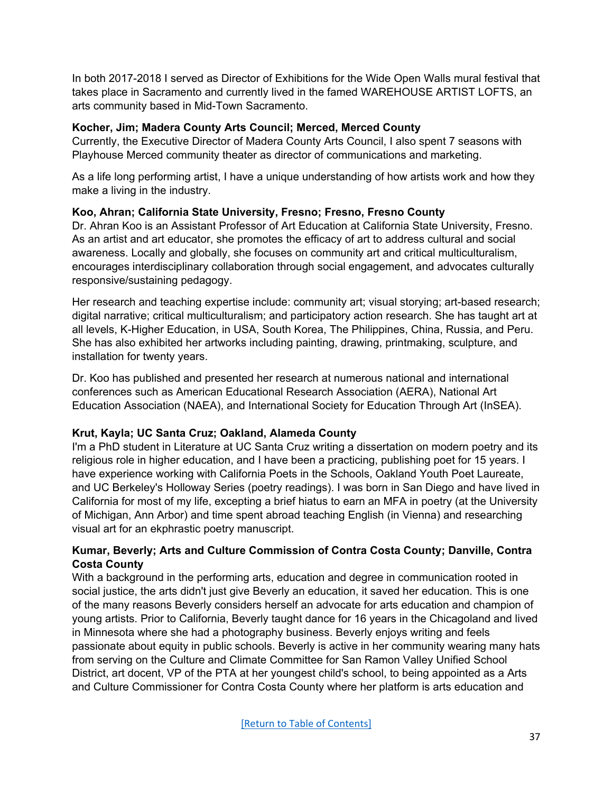In both 2017-2018 I served as Director of Exhibitions for the Wide Open Walls mural festival that takes place in Sacramento and currently lived in the famed WAREHOUSE ARTIST LOFTS, an arts community based in Mid-Town Sacramento.

### **Kocher, Jim; Madera County Arts Council; Merced, Merced County**

Currently, the Executive Director of Madera County Arts Council, I also spent 7 seasons with Playhouse Merced community theater as director of communications and marketing.

As a life long performing artist, I have a unique understanding of how artists work and how they make a living in the industry.

# **Koo, Ahran; California State University, Fresno; Fresno, Fresno County**

Dr. Ahran Koo is an Assistant Professor of Art Education at California State University, Fresno. As an artist and art educator, she promotes the efficacy of art to address cultural and social awareness. Locally and globally, she focuses on community art and critical multiculturalism, encourages interdisciplinary collaboration through social engagement, and advocates culturally responsive/sustaining pedagogy.

Her research and teaching expertise include: community art; visual storying; art-based research; digital narrative; critical multiculturalism; and participatory action research. She has taught art at all levels, K-Higher Education, in USA, South Korea, The Philippines, China, Russia, and Peru. She has also exhibited her artworks including painting, drawing, printmaking, sculpture, and installation for twenty years.

Dr. Koo has published and presented her research at numerous national and international conferences such as American Educational Research Association (AERA), National Art Education Association (NAEA), and International Society for Education Through Art (InSEA).

# **Krut, Kayla; UC Santa Cruz; Oakland, Alameda County**

I'm a PhD student in Literature at UC Santa Cruz writing a dissertation on modern poetry and its religious role in higher education, and I have been a practicing, publishing poet for 15 years. I have experience working with California Poets in the Schools, Oakland Youth Poet Laureate, and UC Berkeley's Holloway Series (poetry readings). I was born in San Diego and have lived in California for most of my life, excepting a brief hiatus to earn an MFA in poetry (at the University of Michigan, Ann Arbor) and time spent abroad teaching English (in Vienna) and researching visual art for an ekphrastic poetry manuscript.

# **Kumar, Beverly; Arts and Culture Commission of Contra Costa County; Danville, Contra Costa County**

With a background in the performing arts, education and degree in communication rooted in social justice, the arts didn't just give Beverly an education, it saved her education. This is one of the many reasons Beverly considers herself an advocate for arts education and champion of young artists. Prior to California, Beverly taught dance for 16 years in the Chicagoland and lived in Minnesota where she had a photography business. Beverly enjoys writing and feels passionate about equity in public schools. Beverly is active in her community wearing many hats from serving on the Culture and Climate Committee for San Ramon Valley Unified School District, art docent, VP of the PTA at her youngest child's school, to being appointed as a Arts and Culture Commissioner for Contra Costa County where her platform is arts education and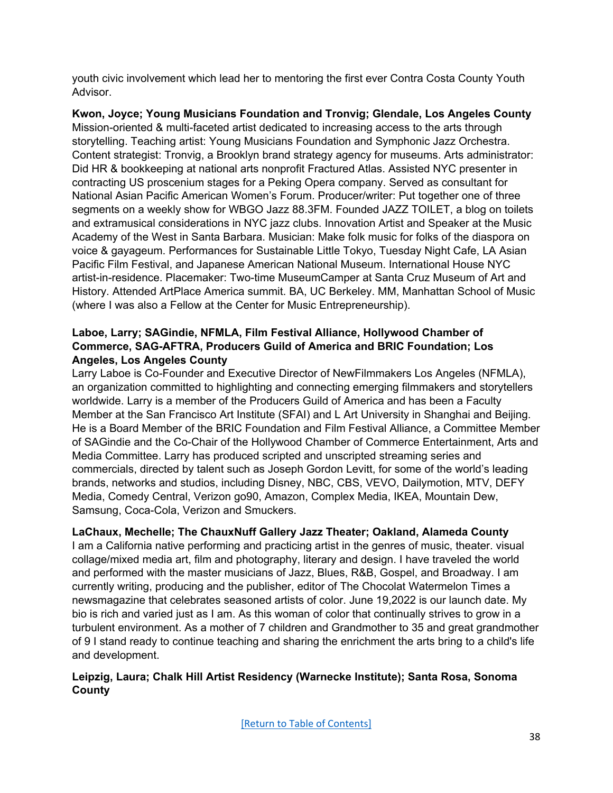youth civic involvement which lead her to mentoring the first ever Contra Costa County Youth Advisor.

**Kwon, Joyce; Young Musicians Foundation and Tronvig; Glendale, Los Angeles County** Mission-oriented & multi-faceted artist dedicated to increasing access to the arts through storytelling. Teaching artist: Young Musicians Foundation and Symphonic Jazz Orchestra. Content strategist: Tronvig, a Brooklyn brand strategy agency for museums. Arts administrator: Did HR & bookkeeping at national arts nonprofit Fractured Atlas. Assisted NYC presenter in contracting US proscenium stages for a Peking Opera company. Served as consultant for National Asian Pacific American Women's Forum. Producer/writer: Put together one of three segments on a weekly show for WBGO Jazz 88.3FM. Founded JAZZ TOILET, a blog on toilets and extramusical considerations in NYC jazz clubs. Innovation Artist and Speaker at the Music Academy of the West in Santa Barbara. Musician: Make folk music for folks of the diaspora on voice & gayageum. Performances for Sustainable Little Tokyo, Tuesday Night Cafe, LA Asian Pacific Film Festival, and Japanese American National Museum. International House NYC artist-in-residence. Placemaker: Two-time MuseumCamper at Santa Cruz Museum of Art and History. Attended ArtPlace America summit. BA, UC Berkeley. MM, Manhattan School of Music (where I was also a Fellow at the Center for Music Entrepreneurship).

# **Laboe, Larry; SAGindie, NFMLA, Film Festival Alliance, Hollywood Chamber of Commerce, SAG-AFTRA, Producers Guild of America and BRIC Foundation; Los Angeles, Los Angeles County**

Larry Laboe is Co-Founder and Executive Director of NewFilmmakers Los Angeles (NFMLA), an organization committed to highlighting and connecting emerging filmmakers and storytellers worldwide. Larry is a member of the Producers Guild of America and has been a Faculty Member at the San Francisco Art Institute (SFAI) and L Art University in Shanghai and Beijing. He is a Board Member of the BRIC Foundation and Film Festival Alliance, a Committee Member of SAGindie and the Co-Chair of the Hollywood Chamber of Commerce Entertainment, Arts and Media Committee. Larry has produced scripted and unscripted streaming series and commercials, directed by talent such as Joseph Gordon Levitt, for some of the world's leading brands, networks and studios, including Disney, NBC, CBS, VEVO, Dailymotion, MTV, DEFY Media, Comedy Central, Verizon go90, Amazon, Complex Media, IKEA, Mountain Dew, Samsung, Coca-Cola, Verizon and Smuckers.

**LaChaux, Mechelle; The ChauxNuff Gallery Jazz Theater; Oakland, Alameda County**

I am a California native performing and practicing artist in the genres of music, theater. visual collage/mixed media art, film and photography, literary and design. I have traveled the world and performed with the master musicians of Jazz, Blues, R&B, Gospel, and Broadway. I am currently writing, producing and the publisher, editor of The Chocolat Watermelon Times a newsmagazine that celebrates seasoned artists of color. June 19,2022 is our launch date. My bio is rich and varied just as I am. As this woman of color that continually strives to grow in a turbulent environment. As a mother of 7 children and Grandmother to 35 and great grandmother of 9 I stand ready to continue teaching and sharing the enrichment the arts bring to a child's life and development.

# **Leipzig, Laura; Chalk Hill Artist Residency (Warnecke Institute); Santa Rosa, Sonoma County**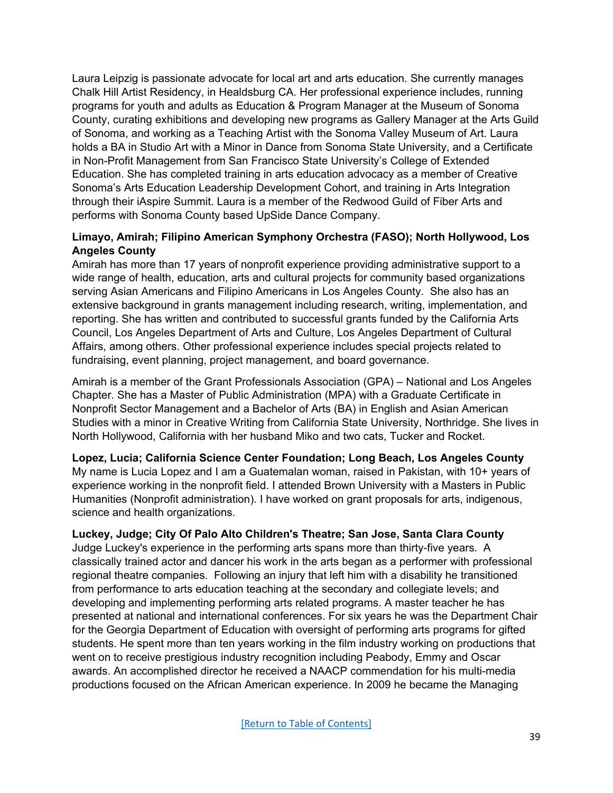Laura Leipzig is passionate advocate for local art and arts education. She currently manages Chalk Hill Artist Residency, in Healdsburg CA. Her professional experience includes, running programs for youth and adults as Education & Program Manager at the Museum of Sonoma County, curating exhibitions and developing new programs as Gallery Manager at the Arts Guild of Sonoma, and working as a Teaching Artist with the Sonoma Valley Museum of Art. Laura holds a BA in Studio Art with a Minor in Dance from Sonoma State University, and a Certificate in Non-Profit Management from San Francisco State University's College of Extended Education. She has completed training in arts education advocacy as a member of Creative Sonoma's Arts Education Leadership Development Cohort, and training in Arts Integration through their iAspire Summit. Laura is a member of the Redwood Guild of Fiber Arts and performs with Sonoma County based UpSide Dance Company.

### **Limayo, Amirah; Filipino American Symphony Orchestra (FASO); North Hollywood, Los Angeles County**

Amirah has more than 17 years of nonprofit experience providing administrative support to a wide range of health, education, arts and cultural projects for community based organizations serving Asian Americans and Filipino Americans in Los Angeles County. She also has an extensive background in grants management including research, writing, implementation, and reporting. She has written and contributed to successful grants funded by the California Arts Council, Los Angeles Department of Arts and Culture, Los Angeles Department of Cultural Affairs, among others. Other professional experience includes special projects related to fundraising, event planning, project management, and board governance.

Amirah is a member of the Grant Professionals Association (GPA) – National and Los Angeles Chapter. She has a Master of Public Administration (MPA) with a Graduate Certificate in Nonprofit Sector Management and a Bachelor of Arts (BA) in English and Asian American Studies with a minor in Creative Writing from California State University, Northridge. She lives in North Hollywood, California with her husband Miko and two cats, Tucker and Rocket.

# **Lopez, Lucia; California Science Center Foundation; Long Beach, Los Angeles County**

My name is Lucia Lopez and I am a Guatemalan woman, raised in Pakistan, with 10+ years of experience working in the nonprofit field. I attended Brown University with a Masters in Public Humanities (Nonprofit administration). I have worked on grant proposals for arts, indigenous, science and health organizations.

# **Luckey, Judge; City Of Palo Alto Children's Theatre; San Jose, Santa Clara County**

Judge Luckey's experience in the performing arts spans more than thirty-five years. A classically trained actor and dancer his work in the arts began as a performer with professional regional theatre companies. Following an injury that left him with a disability he transitioned from performance to arts education teaching at the secondary and collegiate levels; and developing and implementing performing arts related programs. A master teacher he has presented at national and international conferences. For six years he was the Department Chair for the Georgia Department of Education with oversight of performing arts programs for gifted students. He spent more than ten years working in the film industry working on productions that went on to receive prestigious industry recognition including Peabody, Emmy and Oscar awards. An accomplished director he received a NAACP commendation for his multi-media productions focused on the African American experience. In 2009 he became the Managing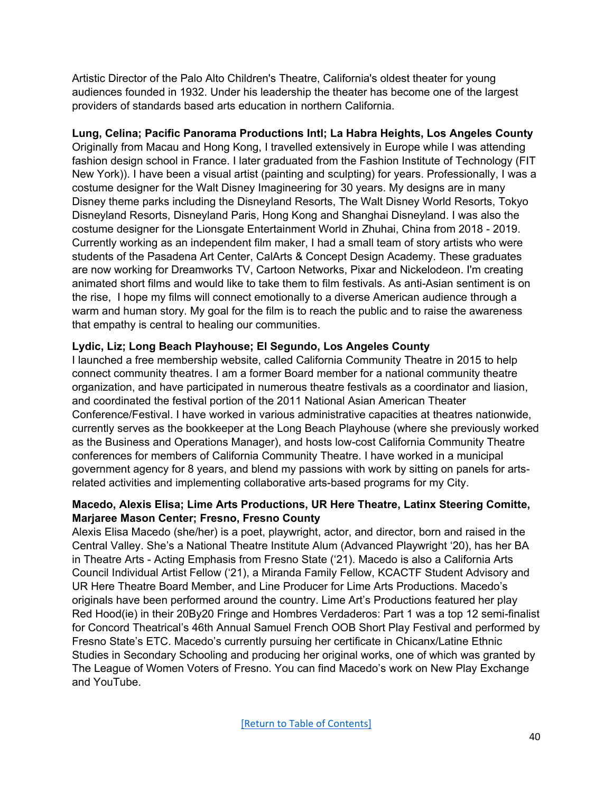Artistic Director of the Palo Alto Children's Theatre, California's oldest theater for young audiences founded in 1932. Under his leadership the theater has become one of the largest providers of standards based arts education in northern California.

**Lung, Celina; Pacific Panorama Productions Intl; La Habra Heights, Los Angeles County** Originally from Macau and Hong Kong, I travelled extensively in Europe while I was attending fashion design school in France. I later graduated from the Fashion Institute of Technology (FIT New York)). I have been a visual artist (painting and sculpting) for years. Professionally, I was a costume designer for the Walt Disney Imagineering for 30 years. My designs are in many Disney theme parks including the Disneyland Resorts, The Walt Disney World Resorts, Tokyo Disneyland Resorts, Disneyland Paris, Hong Kong and Shanghai Disneyland. I was also the costume designer for the Lionsgate Entertainment World in Zhuhai, China from 2018 - 2019. Currently working as an independent film maker, I had a small team of story artists who were students of the Pasadena Art Center, CalArts & Concept Design Academy. These graduates are now working for Dreamworks TV, Cartoon Networks, Pixar and Nickelodeon. I'm creating animated short films and would like to take them to film festivals. As anti-Asian sentiment is on the rise, I hope my films will connect emotionally to a diverse American audience through a warm and human story. My goal for the film is to reach the public and to raise the awareness that empathy is central to healing our communities.

### **Lydic, Liz; Long Beach Playhouse; El Segundo, Los Angeles County**

I launched a free membership website, called California Community Theatre in 2015 to help connect community theatres. I am a former Board member for a national community theatre organization, and have participated in numerous theatre festivals as a coordinator and liasion, and coordinated the festival portion of the 2011 National Asian American Theater Conference/Festival. I have worked in various administrative capacities at theatres nationwide, currently serves as the bookkeeper at the Long Beach Playhouse (where she previously worked as the Business and Operations Manager), and hosts low-cost California Community Theatre conferences for members of California Community Theatre. I have worked in a municipal government agency for 8 years, and blend my passions with work by sitting on panels for artsrelated activities and implementing collaborative arts-based programs for my City.

### **Macedo, Alexis Elisa; Lime Arts Productions, UR Here Theatre, Latinx Steering Comitte, Marjaree Mason Center; Fresno, Fresno County**

Alexis Elisa Macedo (she/her) is a poet, playwright, actor, and director, born and raised in the Central Valley. She's a National Theatre Institute Alum (Advanced Playwright '20), has her BA in Theatre Arts - Acting Emphasis from Fresno State ('21). Macedo is also a California Arts Council Individual Artist Fellow ('21), a Miranda Family Fellow, KCACTF Student Advisory and UR Here Theatre Board Member, and Line Producer for Lime Arts Productions. Macedo's originals have been performed around the country. Lime Art's Productions featured her play Red Hood(ie) in their 20By20 Fringe and Hombres Verdaderos: Part 1 was a top 12 semi-finalist for Concord Theatrical's 46th Annual Samuel French OOB Short Play Festival and performed by Fresno State's ETC. Macedo's currently pursuing her certificate in Chicanx/Latine Ethnic Studies in Secondary Schooling and producing her original works, one of which was granted by The League of Women Voters of Fresno. You can find Macedo's work on New Play Exchange and YouTube.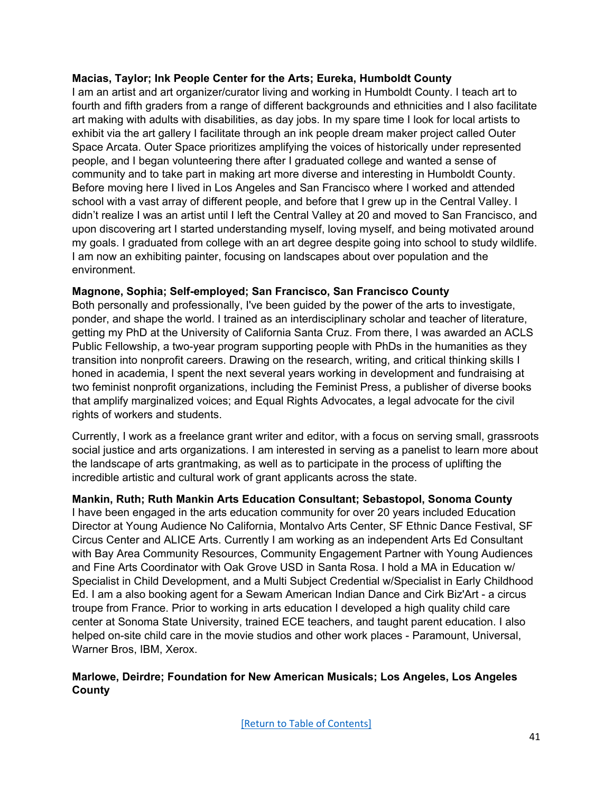#### **Macias, Taylor; Ink People Center for the Arts; Eureka, Humboldt County**

I am an artist and art organizer/curator living and working in Humboldt County. I teach art to fourth and fifth graders from a range of different backgrounds and ethnicities and I also facilitate art making with adults with disabilities, as day jobs. In my spare time I look for local artists to exhibit via the art gallery I facilitate through an ink people dream maker project called Outer Space Arcata. Outer Space prioritizes amplifying the voices of historically under represented people, and I began volunteering there after I graduated college and wanted a sense of community and to take part in making art more diverse and interesting in Humboldt County. Before moving here I lived in Los Angeles and San Francisco where I worked and attended school with a vast array of different people, and before that I grew up in the Central Valley. I didn't realize I was an artist until I left the Central Valley at 20 and moved to San Francisco, and upon discovering art I started understanding myself, loving myself, and being motivated around my goals. I graduated from college with an art degree despite going into school to study wildlife. I am now an exhibiting painter, focusing on landscapes about over population and the environment.

# **Magnone, Sophia; Self-employed; San Francisco, San Francisco County**

Both personally and professionally, I've been guided by the power of the arts to investigate, ponder, and shape the world. I trained as an interdisciplinary scholar and teacher of literature, getting my PhD at the University of California Santa Cruz. From there, I was awarded an ACLS Public Fellowship, a two-year program supporting people with PhDs in the humanities as they transition into nonprofit careers. Drawing on the research, writing, and critical thinking skills I honed in academia, I spent the next several years working in development and fundraising at two feminist nonprofit organizations, including the Feminist Press, a publisher of diverse books that amplify marginalized voices; and Equal Rights Advocates, a legal advocate for the civil rights of workers and students.

Currently, I work as a freelance grant writer and editor, with a focus on serving small, grassroots social justice and arts organizations. I am interested in serving as a panelist to learn more about the landscape of arts grantmaking, as well as to participate in the process of uplifting the incredible artistic and cultural work of grant applicants across the state.

#### **Mankin, Ruth; Ruth Mankin Arts Education Consultant; Sebastopol, Sonoma County**

I have been engaged in the arts education community for over 20 years included Education Director at Young Audience No California, Montalvo Arts Center, SF Ethnic Dance Festival, SF Circus Center and ALICE Arts. Currently I am working as an independent Arts Ed Consultant with Bay Area Community Resources, Community Engagement Partner with Young Audiences and Fine Arts Coordinator with Oak Grove USD in Santa Rosa. I hold a MA in Education w/ Specialist in Child Development, and a Multi Subject Credential w/Specialist in Early Childhood Ed. I am a also booking agent for a Sewam American Indian Dance and Cirk Biz'Art - a circus troupe from France. Prior to working in arts education I developed a high quality child care center at Sonoma State University, trained ECE teachers, and taught parent education. I also helped on-site child care in the movie studios and other work places - Paramount, Universal, Warner Bros, IBM, Xerox.

### **Marlowe, Deirdre; Foundation for New American Musicals; Los Angeles, Los Angeles County**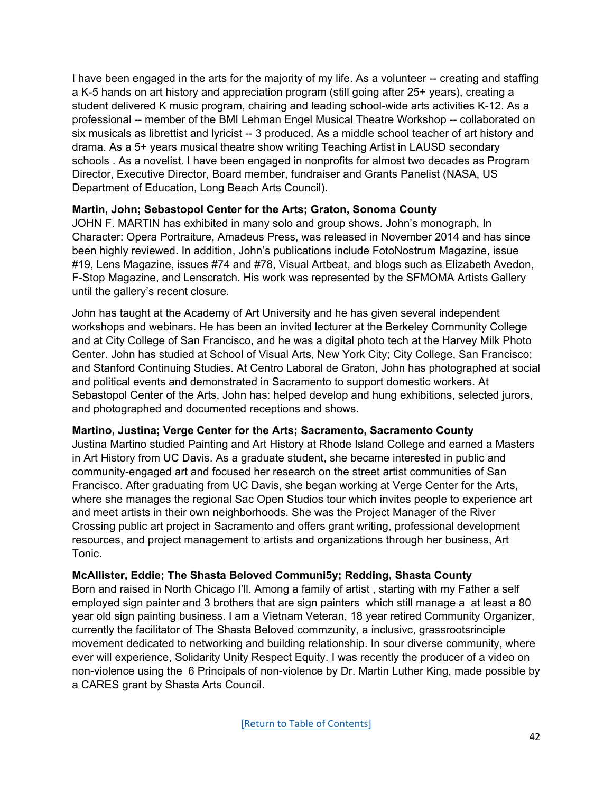I have been engaged in the arts for the majority of my life. As a volunteer -- creating and staffing a K-5 hands on art history and appreciation program (still going after 25+ years), creating a student delivered K music program, chairing and leading school-wide arts activities K-12. As a professional -- member of the BMI Lehman Engel Musical Theatre Workshop -- collaborated on six musicals as librettist and lyricist -- 3 produced. As a middle school teacher of art history and drama. As a 5+ years musical theatre show writing Teaching Artist in LAUSD secondary schools . As a novelist. I have been engaged in nonprofits for almost two decades as Program Director, Executive Director, Board member, fundraiser and Grants Panelist (NASA, US Department of Education, Long Beach Arts Council).

### **Martin, John; Sebastopol Center for the Arts; Graton, Sonoma County**

JOHN F. MARTIN has exhibited in many solo and group shows. John's monograph, In Character: Opera Portraiture, Amadeus Press, was released in November 2014 and has since been highly reviewed. In addition, John's publications include FotoNostrum Magazine, issue #19, Lens Magazine, issues #74 and #78, Visual Artbeat, and blogs such as Elizabeth Avedon, F-Stop Magazine, and Lenscratch. His work was represented by the SFMOMA Artists Gallery until the gallery's recent closure.

John has taught at the Academy of Art University and he has given several independent workshops and webinars. He has been an invited lecturer at the Berkeley Community College and at City College of San Francisco, and he was a digital photo tech at the Harvey Milk Photo Center. John has studied at School of Visual Arts, New York City; City College, San Francisco; and Stanford Continuing Studies. At Centro Laboral de Graton, John has photographed at social and political events and demonstrated in Sacramento to support domestic workers. At Sebastopol Center of the Arts, John has: helped develop and hung exhibitions, selected jurors, and photographed and documented receptions and shows.

#### **Martino, Justina; Verge Center for the Arts; Sacramento, Sacramento County**

Justina Martino studied Painting and Art History at Rhode Island College and earned a Masters in Art History from UC Davis. As a graduate student, she became interested in public and community-engaged art and focused her research on the street artist communities of San Francisco. After graduating from UC Davis, she began working at Verge Center for the Arts, where she manages the regional Sac Open Studios tour which invites people to experience art and meet artists in their own neighborhoods. She was the Project Manager of the River Crossing public art project in Sacramento and offers grant writing, professional development resources, and project management to artists and organizations through her business, Art Tonic.

#### **McAllister, Eddie; The Shasta Beloved Communi5y; Redding, Shasta County**

Born and raised in North Chicago I'll. Among a family of artist , starting with my Father a self employed sign painter and 3 brothers that are sign painters which still manage a at least a 80 year old sign painting business. I am a Vietnam Veteran, 18 year retired Community Organizer, currently the facilitator of The Shasta Beloved commzunity, a inclusivc, grassrootsrinciple movement dedicated to networking and building relationship. In sour diverse community, where ever will experience, Solidarity Unity Respect Equity. I was recently the producer of a video on non-violence using the 6 Principals of non-violence by Dr. Martin Luther King, made possible by a CARES grant by Shasta Arts Council.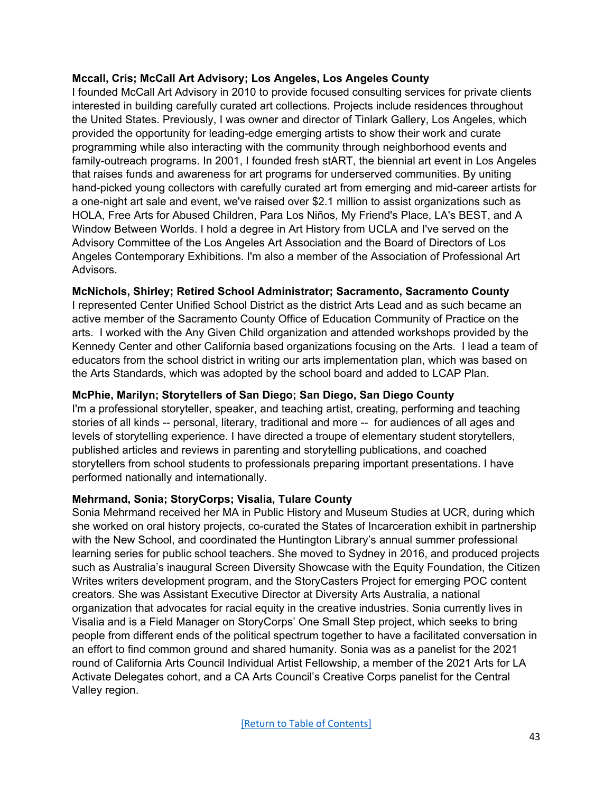### **Mccall, Cris; McCall Art Advisory; Los Angeles, Los Angeles County**

I founded McCall Art Advisory in 2010 to provide focused consulting services for private clients interested in building carefully curated art collections. Projects include residences throughout the United States. Previously, I was owner and director of Tinlark Gallery, Los Angeles, which provided the opportunity for leading-edge emerging artists to show their work and curate programming while also interacting with the community through neighborhood events and family-outreach programs. In 2001, I founded fresh stART, the biennial art event in Los Angeles that raises funds and awareness for art programs for underserved communities. By uniting hand-picked young collectors with carefully curated art from emerging and mid-career artists for a one-night art sale and event, we've raised over \$2.1 million to assist organizations such as HOLA, Free Arts for Abused Children, Para Los Niños, My Friend's Place, LA's BEST, and A Window Between Worlds. I hold a degree in Art History from UCLA and I've served on the Advisory Committee of the Los Angeles Art Association and the Board of Directors of Los Angeles Contemporary Exhibitions. I'm also a member of the Association of Professional Art Advisors.

### **McNichols, Shirley; Retired School Administrator; Sacramento, Sacramento County**

I represented Center Unified School District as the district Arts Lead and as such became an active member of the Sacramento County Office of Education Community of Practice on the arts. I worked with the Any Given Child organization and attended workshops provided by the Kennedy Center and other California based organizations focusing on the Arts. I lead a team of educators from the school district in writing our arts implementation plan, which was based on the Arts Standards, which was adopted by the school board and added to LCAP Plan.

### **McPhie, Marilyn; Storytellers of San Diego; San Diego, San Diego County**

I'm a professional storyteller, speaker, and teaching artist, creating, performing and teaching stories of all kinds -- personal, literary, traditional and more -- for audiences of all ages and levels of storytelling experience. I have directed a troupe of elementary student storytellers, published articles and reviews in parenting and storytelling publications, and coached storytellers from school students to professionals preparing important presentations. I have performed nationally and internationally.

# **Mehrmand, Sonia; StoryCorps; Visalia, Tulare County**

Sonia Mehrmand received her MA in Public History and Museum Studies at UCR, during which she worked on oral history projects, co-curated the States of Incarceration exhibit in partnership with the New School, and coordinated the Huntington Library's annual summer professional learning series for public school teachers. She moved to Sydney in 2016, and produced projects such as Australia's inaugural Screen Diversity Showcase with the Equity Foundation, the Citizen Writes writers development program, and the StoryCasters Project for emerging POC content creators. She was Assistant Executive Director at Diversity Arts Australia, a national organization that advocates for racial equity in the creative industries. Sonia currently lives in Visalia and is a Field Manager on StoryCorps' One Small Step project, which seeks to bring people from different ends of the political spectrum together to have a facilitated conversation in an effort to find common ground and shared humanity. Sonia was as a panelist for the 2021 round of California Arts Council Individual Artist Fellowship, a member of the 2021 Arts for LA Activate Delegates cohort, and a CA Arts Council's Creative Corps panelist for the Central Valley region.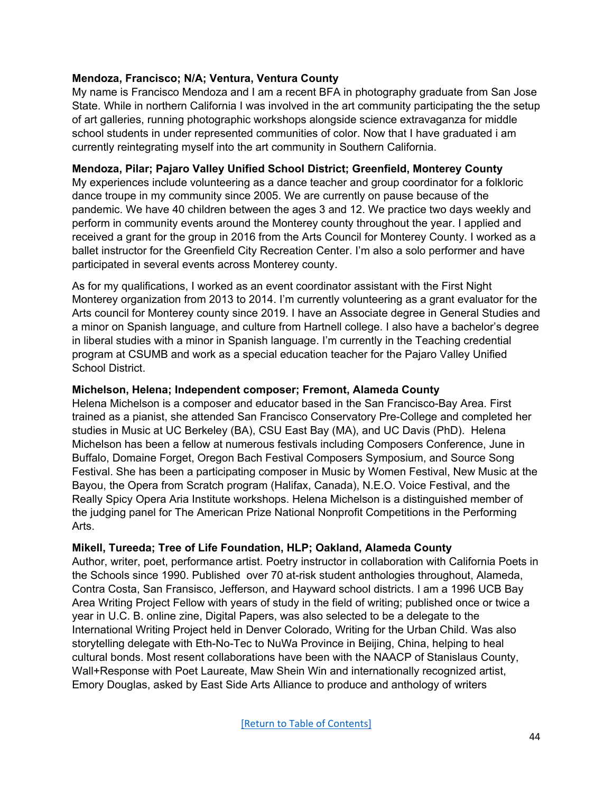### **Mendoza, Francisco; N/A; Ventura, Ventura County**

My name is Francisco Mendoza and I am a recent BFA in photography graduate from San Jose State. While in northern California I was involved in the art community participating the the setup of art galleries, running photographic workshops alongside science extravaganza for middle school students in under represented communities of color. Now that I have graduated i am currently reintegrating myself into the art community in Southern California.

#### **Mendoza, Pilar; Pajaro Valley Unified School District; Greenfield, Monterey County**

My experiences include volunteering as a dance teacher and group coordinator for a folkloric dance troupe in my community since 2005. We are currently on pause because of the pandemic. We have 40 children between the ages 3 and 12. We practice two days weekly and perform in community events around the Monterey county throughout the year. I applied and received a grant for the group in 2016 from the Arts Council for Monterey County. I worked as a ballet instructor for the Greenfield City Recreation Center. I'm also a solo performer and have participated in several events across Monterey county.

As for my qualifications, I worked as an event coordinator assistant with the First Night Monterey organization from 2013 to 2014. I'm currently volunteering as a grant evaluator for the Arts council for Monterey county since 2019. I have an Associate degree in General Studies and a minor on Spanish language, and culture from Hartnell college. I also have a bachelor's degree in liberal studies with a minor in Spanish language. I'm currently in the Teaching credential program at CSUMB and work as a special education teacher for the Pajaro Valley Unified School District.

### **Michelson, Helena; Independent composer; Fremont, Alameda County**

Helena Michelson is a composer and educator based in the San Francisco-Bay Area. First trained as a pianist, she attended San Francisco Conservatory Pre-College and completed her studies in Music at UC Berkeley (BA), CSU East Bay (MA), and UC Davis (PhD). Helena Michelson has been a fellow at numerous festivals including Composers Conference, June in Buffalo, Domaine Forget, Oregon Bach Festival Composers Symposium, and Source Song Festival. She has been a participating composer in Music by Women Festival, New Music at the Bayou, the Opera from Scratch program (Halifax, Canada), N.E.O. Voice Festival, and the Really Spicy Opera Aria Institute workshops. Helena Michelson is a distinguished member of the judging panel for The American Prize National Nonprofit Competitions in the Performing Arts.

# **Mikell, Tureeda; Tree of Life Foundation, HLP; Oakland, Alameda County**

Author, writer, poet, performance artist. Poetry instructor in collaboration with California Poets in the Schools since 1990. Published over 70 at-risk student anthologies throughout, Alameda, Contra Costa, San Fransisco, Jefferson, and Hayward school districts. I am a 1996 UCB Bay Area Writing Project Fellow with years of study in the field of writing; published once or twice a year in U.C. B. online zine, Digital Papers, was also selected to be a delegate to the International Writing Project held in Denver Colorado, Writing for the Urban Child. Was also storytelling delegate with Eth-No-Tec to NuWa Province in Beijing, China, helping to heal cultural bonds. Most resent collaborations have been with the NAACP of Stanislaus County, Wall+Response with Poet Laureate, Maw Shein Win and internationally recognized artist, Emory Douglas, asked by East Side Arts Alliance to produce and anthology of writers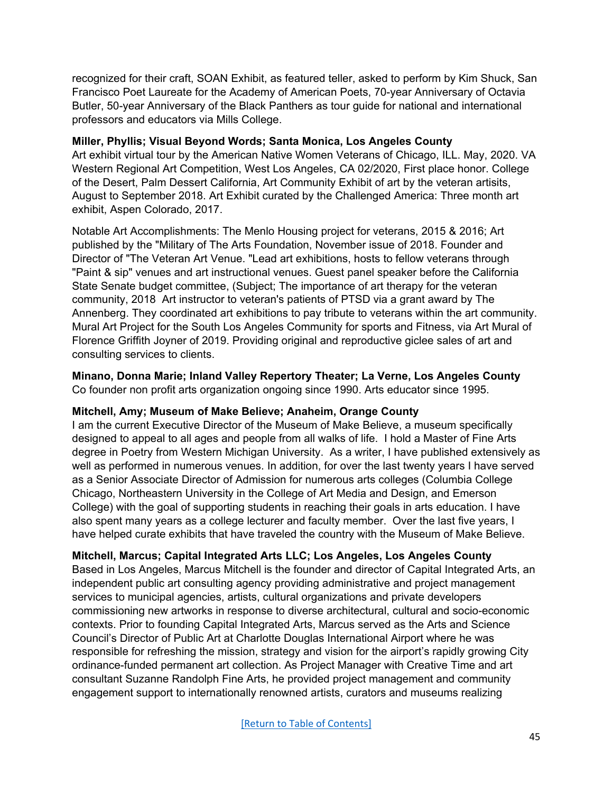recognized for their craft, SOAN Exhibit, as featured teller, asked to perform by Kim Shuck, San Francisco Poet Laureate for the Academy of American Poets, 70-year Anniversary of Octavia Butler, 50-year Anniversary of the Black Panthers as tour guide for national and international professors and educators via Mills College.

### **Miller, Phyllis; Visual Beyond Words; Santa Monica, Los Angeles County**

Art exhibit virtual tour by the American Native Women Veterans of Chicago, ILL. May, 2020. VA Western Regional Art Competition, West Los Angeles, CA 02/2020, First place honor. College of the Desert, Palm Dessert California, Art Community Exhibit of art by the veteran artisits, August to September 2018. Art Exhibit curated by the Challenged America: Three month art exhibit, Aspen Colorado, 2017.

Notable Art Accomplishments: The Menlo Housing project for veterans, 2015 & 2016; Art published by the "Military of The Arts Foundation, November issue of 2018. Founder and Director of "The Veteran Art Venue. "Lead art exhibitions, hosts to fellow veterans through "Paint & sip" venues and art instructional venues. Guest panel speaker before the California State Senate budget committee, (Subject; The importance of art therapy for the veteran community, 2018 Art instructor to veteran's patients of PTSD via a grant award by The Annenberg. They coordinated art exhibitions to pay tribute to veterans within the art community. Mural Art Project for the South Los Angeles Community for sports and Fitness, via Art Mural of Florence Griffith Joyner of 2019. Providing original and reproductive giclee sales of art and consulting services to clients.

#### **Minano, Donna Marie; Inland Valley Repertory Theater; La Verne, Los Angeles County** Co founder non profit arts organization ongoing since 1990. Arts educator since 1995.

# **Mitchell, Amy; Museum of Make Believe; Anaheim, Orange County**

I am the current Executive Director of the Museum of Make Believe, a museum specifically designed to appeal to all ages and people from all walks of life. I hold a Master of Fine Arts degree in Poetry from Western Michigan University. As a writer, I have published extensively as well as performed in numerous venues. In addition, for over the last twenty years I have served as a Senior Associate Director of Admission for numerous arts colleges (Columbia College Chicago, Northeastern University in the College of Art Media and Design, and Emerson College) with the goal of supporting students in reaching their goals in arts education. I have also spent many years as a college lecturer and faculty member. Over the last five years, I have helped curate exhibits that have traveled the country with the Museum of Make Believe.

# **Mitchell, Marcus; Capital Integrated Arts LLC; Los Angeles, Los Angeles County**

Based in Los Angeles, Marcus Mitchell is the founder and director of Capital Integrated Arts, an independent public art consulting agency providing administrative and project management services to municipal agencies, artists, cultural organizations and private developers commissioning new artworks in response to diverse architectural, cultural and socio-economic contexts. Prior to founding Capital Integrated Arts, Marcus served as the Arts and Science Council's Director of Public Art at Charlotte Douglas International Airport where he was responsible for refreshing the mission, strategy and vision for the airport's rapidly growing City ordinance-funded permanent art collection. As Project Manager with Creative Time and art consultant Suzanne Randolph Fine Arts, he provided project management and community engagement support to internationally renowned artists, curators and museums realizing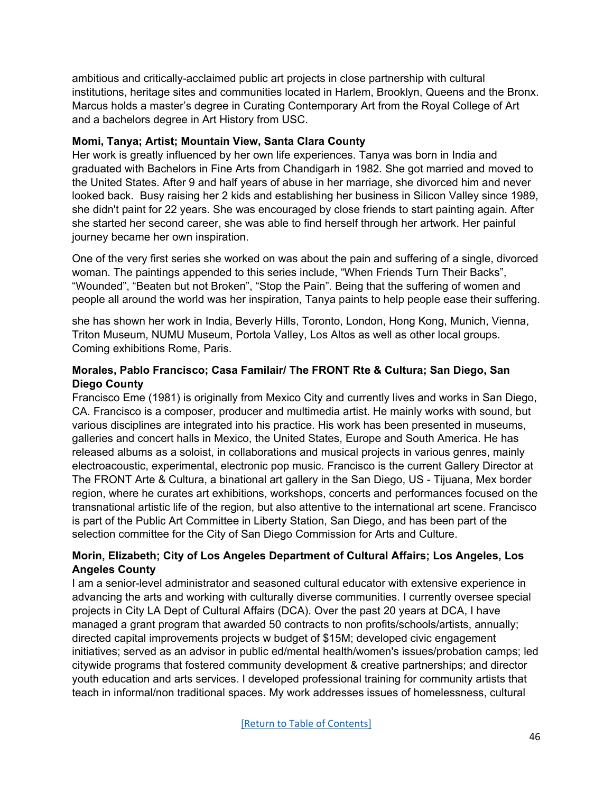ambitious and critically-acclaimed public art projects in close partnership with cultural institutions, heritage sites and communities located in Harlem, Brooklyn, Queens and the Bronx. Marcus holds a master's degree in Curating Contemporary Art from the Royal College of Art and a bachelors degree in Art History from USC.

### **Momi, Tanya; Artist; Mountain View, Santa Clara County**

Her work is greatly influenced by her own life experiences. Tanya was born in India and graduated with Bachelors in Fine Arts from Chandigarh in 1982. She got married and moved to the United States. After 9 and half years of abuse in her marriage, she divorced him and never looked back. Busy raising her 2 kids and establishing her business in Silicon Valley since 1989, she didn't paint for 22 years. She was encouraged by close friends to start painting again. After she started her second career, she was able to find herself through her artwork. Her painful journey became her own inspiration.

One of the very first series she worked on was about the pain and suffering of a single, divorced woman. The paintings appended to this series include, "When Friends Turn Their Backs", "Wounded", "Beaten but not Broken", "Stop the Pain". Being that the suffering of women and people all around the world was her inspiration, Tanya paints to help people ease their suffering.

she has shown her work in India, Beverly Hills, Toronto, London, Hong Kong, Munich, Vienna, Triton Museum, NUMU Museum, Portola Valley, Los Altos as well as other local groups. Coming exhibitions Rome, Paris.

### **Morales, Pablo Francisco; Casa Familair/ The FRONT Rte & Cultura; San Diego, San Diego County**

Francisco Eme (1981) is originally from Mexico City and currently lives and works in San Diego, CA. Francisco is a composer, producer and multimedia artist. He mainly works with sound, but various disciplines are integrated into his practice. His work has been presented in museums, galleries and concert halls in Mexico, the United States, Europe and South America. He has released albums as a soloist, in collaborations and musical projects in various genres, mainly electroacoustic, experimental, electronic pop music. Francisco is the current Gallery Director at The FRONT Arte & Cultura, a binational art gallery in the San Diego, US - Tijuana, Mex border region, where he curates art exhibitions, workshops, concerts and performances focused on the transnational artistic life of the region, but also attentive to the international art scene. Francisco is part of the Public Art Committee in Liberty Station, San Diego, and has been part of the selection committee for the City of San Diego Commission for Arts and Culture.

# **Morin, Elizabeth; City of Los Angeles Department of Cultural Affairs; Los Angeles, Los Angeles County**

I am a senior-level administrator and seasoned cultural educator with extensive experience in advancing the arts and working with culturally diverse communities. I currently oversee special projects in City LA Dept of Cultural Affairs (DCA). Over the past 20 years at DCA, I have managed a grant program that awarded 50 contracts to non profits/schools/artists, annually; directed capital improvements projects w budget of \$15M; developed civic engagement initiatives; served as an advisor in public ed/mental health/women's issues/probation camps; led citywide programs that fostered community development & creative partnerships; and director youth education and arts services. I developed professional training for community artists that teach in informal/non traditional spaces. My work addresses issues of homelessness, cultural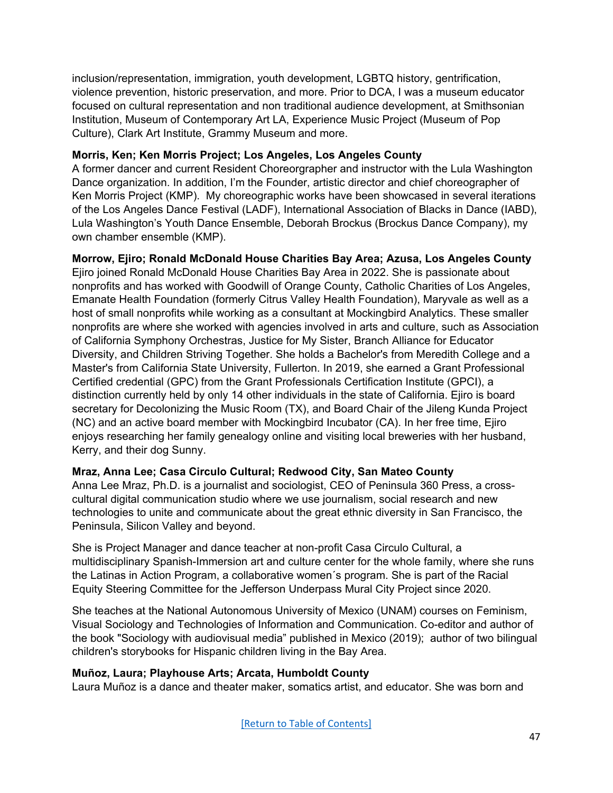inclusion/representation, immigration, youth development, LGBTQ history, gentrification, violence prevention, historic preservation, and more. Prior to DCA, I was a museum educator focused on cultural representation and non traditional audience development, at Smithsonian Institution, Museum of Contemporary Art LA, Experience Music Project (Museum of Pop Culture), Clark Art Institute, Grammy Museum and more.

# **Morris, Ken; Ken Morris Project; Los Angeles, Los Angeles County**

A former dancer and current Resident Choreorgrapher and instructor with the Lula Washington Dance organization. In addition, I'm the Founder, artistic director and chief choreographer of Ken Morris Project (KMP). My choreographic works have been showcased in several iterations of the Los Angeles Dance Festival (LADF), International Association of Blacks in Dance (IABD), Lula Washington's Youth Dance Ensemble, Deborah Brockus (Brockus Dance Company), my own chamber ensemble (KMP).

# **Morrow, Ejiro; Ronald McDonald House Charities Bay Area; Azusa, Los Angeles County**

Ejiro joined Ronald McDonald House Charities Bay Area in 2022. She is passionate about nonprofits and has worked with Goodwill of Orange County, Catholic Charities of Los Angeles, Emanate Health Foundation (formerly Citrus Valley Health Foundation), Maryvale as well as a host of small nonprofits while working as a consultant at Mockingbird Analytics. These smaller nonprofits are where she worked with agencies involved in arts and culture, such as Association of California Symphony Orchestras, Justice for My Sister, Branch Alliance for Educator Diversity, and Children Striving Together. She holds a Bachelor's from Meredith College and a Master's from California State University, Fullerton. In 2019, she earned a Grant Professional Certified credential (GPC) from the Grant Professionals Certification Institute (GPCI), a distinction currently held by only 14 other individuals in the state of California. Ejiro is board secretary for Decolonizing the Music Room (TX), and Board Chair of the Jileng Kunda Project (NC) and an active board member with Mockingbird Incubator (CA). In her free time, Ejiro enjoys researching her family genealogy online and visiting local breweries with her husband, Kerry, and their dog Sunny.

# **Mraz, Anna Lee; Casa Circulo Cultural; Redwood City, San Mateo County**

Anna Lee Mraz, Ph.D. is a journalist and sociologist, CEO of Peninsula 360 Press, a crosscultural digital communication studio where we use journalism, social research and new technologies to unite and communicate about the great ethnic diversity in San Francisco, the Peninsula, Silicon Valley and beyond.

She is Project Manager and dance teacher at non-profit Casa Circulo Cultural, a multidisciplinary Spanish-Immersion art and culture center for the whole family, where she runs the Latinas in Action Program, a collaborative women´s program. She is part of the Racial Equity Steering Committee for the Jefferson Underpass Mural City Project since 2020.

She teaches at the National Autonomous University of Mexico (UNAM) courses on Feminism, Visual Sociology and Technologies of Information and Communication. Co-editor and author of the book "Sociology with audiovisual media" published in Mexico (2019); author of two bilingual children's storybooks for Hispanic children living in the Bay Area.

# **Muñoz, Laura; Playhouse Arts; Arcata, Humboldt County**

Laura Muñoz is a dance and theater maker, somatics artist, and educator. She was born and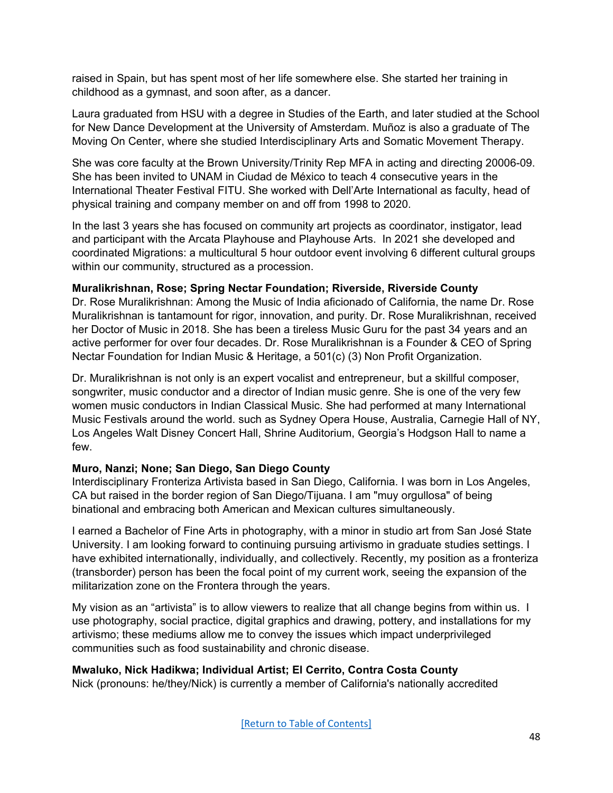raised in Spain, but has spent most of her life somewhere else. She started her training in childhood as a gymnast, and soon after, as a dancer.

Laura graduated from HSU with a degree in Studies of the Earth, and later studied at the School for New Dance Development at the University of Amsterdam. Muñoz is also a graduate of The Moving On Center, where she studied Interdisciplinary Arts and Somatic Movement Therapy.

She was core faculty at the Brown University/Trinity Rep MFA in acting and directing 20006-09. She has been invited to UNAM in Ciudad de México to teach 4 consecutive years in the International Theater Festival FITU. She worked with Dell'Arte International as faculty, head of physical training and company member on and off from 1998 to 2020.

In the last 3 years she has focused on community art projects as coordinator, instigator, lead and participant with the Arcata Playhouse and Playhouse Arts. In 2021 she developed and coordinated Migrations: a multicultural 5 hour outdoor event involving 6 different cultural groups within our community, structured as a procession.

### **Muralikrishnan, Rose; Spring Nectar Foundation; Riverside, Riverside County**

Dr. Rose Muralikrishnan: Among the Music of India aficionado of California, the name Dr. Rose Muralikrishnan is tantamount for rigor, innovation, and purity. Dr. Rose Muralikrishnan, received her Doctor of Music in 2018. She has been a tireless Music Guru for the past 34 years and an active performer for over four decades. Dr. Rose Muralikrishnan is a Founder & CEO of Spring Nectar Foundation for Indian Music & Heritage, a 501(c) (3) Non Profit Organization.

Dr. Muralikrishnan is not only is an expert vocalist and entrepreneur, but a skillful composer, songwriter, music conductor and a director of Indian music genre. She is one of the very few women music conductors in Indian Classical Music. She had performed at many International Music Festivals around the world. such as Sydney Opera House, Australia, Carnegie Hall of NY, Los Angeles Walt Disney Concert Hall, Shrine Auditorium, Georgia's Hodgson Hall to name a few.

# **Muro, Nanzi; None; San Diego, San Diego County**

Interdisciplinary Fronteriza Artivista based in San Diego, California. I was born in Los Angeles, CA but raised in the border region of San Diego/Tijuana. I am "muy orgullosa" of being binational and embracing both American and Mexican cultures simultaneously.

I earned a Bachelor of Fine Arts in photography, with a minor in studio art from San José State University. I am looking forward to continuing pursuing artivismo in graduate studies settings. I have exhibited internationally, individually, and collectively. Recently, my position as a fronteriza (transborder) person has been the focal point of my current work, seeing the expansion of the militarization zone on the Frontera through the years.

My vision as an "artivista" is to allow viewers to realize that all change begins from within us. I use photography, social practice, digital graphics and drawing, pottery, and installations for my artivismo; these mediums allow me to convey the issues which impact underprivileged communities such as food sustainability and chronic disease.

# **Mwaluko, Nick Hadikwa; Individual Artist; El Cerrito, Contra Costa County**

Nick (pronouns: he/they/Nick) is currently a member of California's nationally accredited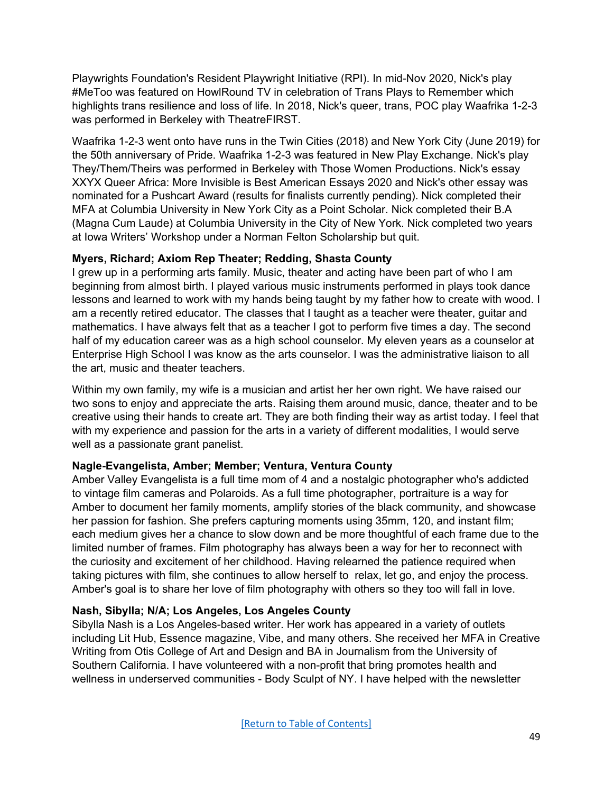Playwrights Foundation's Resident Playwright Initiative (RPI). In mid-Nov 2020, Nick's play #MeToo was featured on HowlRound TV in celebration of Trans Plays to Remember which highlights trans resilience and loss of life. In 2018, Nick's queer, trans, POC play Waafrika 1-2-3 was performed in Berkeley with TheatreFIRST.

Waafrika 1-2-3 went onto have runs in the Twin Cities (2018) and New York City (June 2019) for the 50th anniversary of Pride. Waafrika 1-2-3 was featured in New Play Exchange. Nick's play They/Them/Theirs was performed in Berkeley with Those Women Productions. Nick's essay XXYX Queer Africa: More Invisible is Best American Essays 2020 and Nick's other essay was nominated for a Pushcart Award (results for finalists currently pending). Nick completed their MFA at Columbia University in New York City as a Point Scholar. Nick completed their B.A (Magna Cum Laude) at Columbia University in the City of New York. Nick completed two years at Iowa Writers' Workshop under a Norman Felton Scholarship but quit.

### **Myers, Richard; Axiom Rep Theater; Redding, Shasta County**

I grew up in a performing arts family. Music, theater and acting have been part of who I am beginning from almost birth. I played various music instruments performed in plays took dance lessons and learned to work with my hands being taught by my father how to create with wood. I am a recently retired educator. The classes that I taught as a teacher were theater, guitar and mathematics. I have always felt that as a teacher I got to perform five times a day. The second half of my education career was as a high school counselor. My eleven years as a counselor at Enterprise High School I was know as the arts counselor. I was the administrative liaison to all the art, music and theater teachers.

Within my own family, my wife is a musician and artist her her own right. We have raised our two sons to enjoy and appreciate the arts. Raising them around music, dance, theater and to be creative using their hands to create art. They are both finding their way as artist today. I feel that with my experience and passion for the arts in a variety of different modalities, I would serve well as a passionate grant panelist.

# **Nagle-Evangelista, Amber; Member; Ventura, Ventura County**

Amber Valley Evangelista is a full time mom of 4 and a nostalgic photographer who's addicted to vintage film cameras and Polaroids. As a full time photographer, portraiture is a way for Amber to document her family moments, amplify stories of the black community, and showcase her passion for fashion. She prefers capturing moments using 35mm, 120, and instant film; each medium gives her a chance to slow down and be more thoughtful of each frame due to the limited number of frames. Film photography has always been a way for her to reconnect with the curiosity and excitement of her childhood. Having relearned the patience required when taking pictures with film, she continues to allow herself to relax, let go, and enjoy the process. Amber's goal is to share her love of film photography with others so they too will fall in love.

#### **Nash, Sibylla; N/A; Los Angeles, Los Angeles County**

Sibylla Nash is a Los Angeles-based writer. Her work has appeared in a variety of outlets including Lit Hub, Essence magazine, Vibe, and many others. She received her MFA in Creative Writing from Otis College of Art and Design and BA in Journalism from the University of Southern California. I have volunteered with a non-profit that bring promotes health and wellness in underserved communities - Body Sculpt of NY. I have helped with the newsletter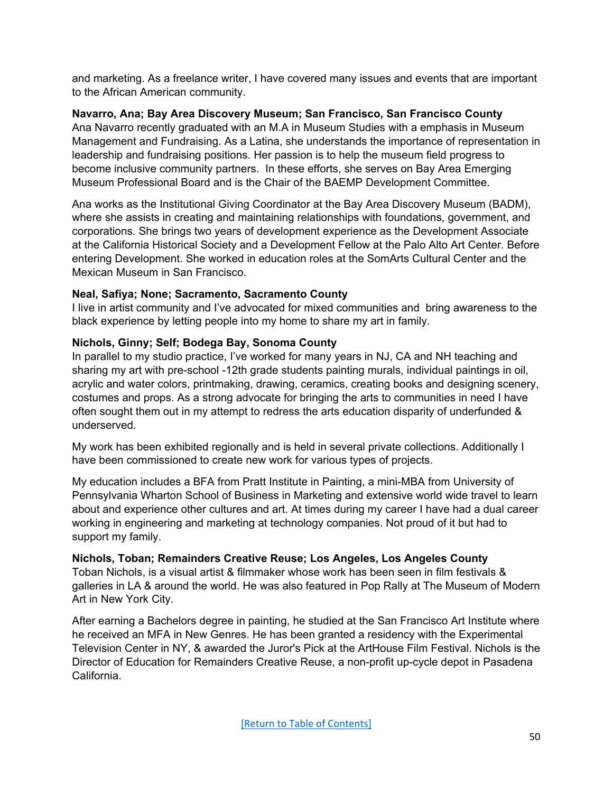and marketing. As a freelance writer, I have covered many issues and events that are important to the African American community.

# **Navarro, Ana; Bay Area Discovery Museum; San Francisco, San Francisco County**

Ana Navarro recently graduated with an M.A in Museum Studies with a emphasis in Museum Management and Fundraising. As a Latina, she understands the importance of representation in leadership and fundraising positions. Her passion is to help the museum field progress to become inclusive community partners. In these efforts, she serves on Bay Area Emerging Museum Professional Board and is the Chair of the BAEMP Development Committee.

Ana works as the Institutional Giving Coordinator at the Bay Area Discovery Museum (BADM), where she assists in creating and maintaining relationships with foundations, government, and corporations. She brings two years of development experience as the Development Associate at the California Historical Society and a Development Fellow at the Palo Alto Art Center. Before entering Development. She worked in education roles at the SomArts Cultural Center and the Mexican Museum in San Francisco.

# **Neal, Safiya; None; Sacramento, Sacramento County**

I live in artist community and I've advocated for mixed communities and bring awareness to the black experience by letting people into my home to share my art in family.

# **Nichols, Ginny; Self; Bodega Bay, Sonoma County**

In parallel to my studio practice, I've worked for many years in NJ, CA and NH teaching and sharing my art with pre-school -12th grade students painting murals, individual paintings in oil, acrylic and water colors, printmaking, drawing, ceramics, creating books and designing scenery, costumes and props. As a strong advocate for bringing the arts to communities in need I have often sought them out in my attempt to redress the arts education disparity of underfunded & underserved.

My work has been exhibited regionally and is held in several private collections. Additionally I have been commissioned to create new work for various types of projects.

My education includes a BFA from Pratt Institute in Painting, a mini-MBA from University of Pennsylvania Wharton School of Business in Marketing and extensive world wide travel to learn about and experience other cultures and art. At times during my career I have had a dual career working in engineering and marketing at technology companies. Not proud of it but had to support my family.

# **Nichols, Toban; Remainders Creative Reuse; Los Angeles, Los Angeles County**

Toban Nichols, is a visual artist & filmmaker whose work has been seen in film festivals & galleries in LA & around the world. He was also featured in Pop Rally at The Museum of Modern Art in New York City.

After earning a Bachelors degree in painting, he studied at the San Francisco Art Institute where he received an MFA in New Genres. He has been granted a residency with the Experimental Television Center in NY, & awarded the Juror's Pick at the ArtHouse Film Festival. Nichols is the Director of Education for Remainders Creative Reuse, a non-profit up-cycle depot in Pasadena California.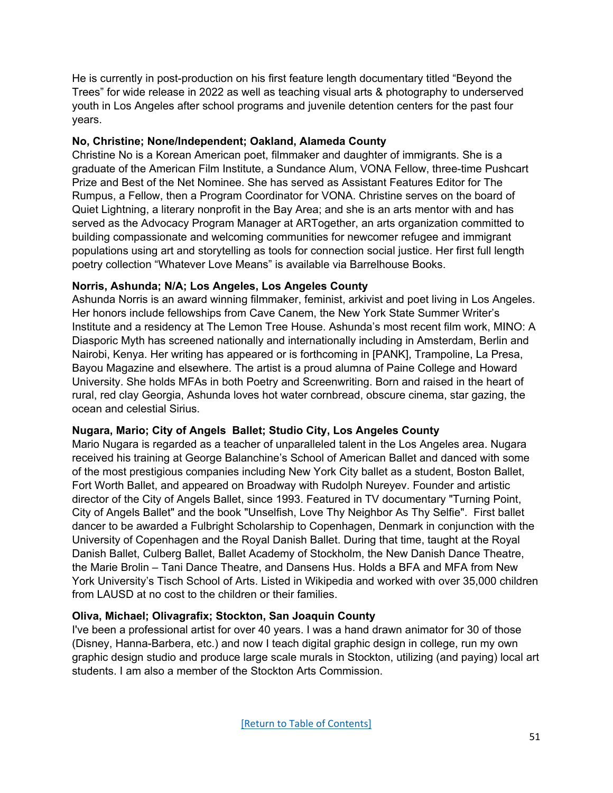He is currently in post-production on his first feature length documentary titled "Beyond the Trees" for wide release in 2022 as well as teaching visual arts & photography to underserved youth in Los Angeles after school programs and juvenile detention centers for the past four years.

### **No, Christine; None/Independent; Oakland, Alameda County**

Christine No is a Korean American poet, filmmaker and daughter of immigrants. She is a graduate of the American Film Institute, a Sundance Alum, VONA Fellow, three-time Pushcart Prize and Best of the Net Nominee. She has served as Assistant Features Editor for The Rumpus, a Fellow, then a Program Coordinator for VONA. Christine serves on the board of Quiet Lightning, a literary nonprofit in the Bay Area; and she is an arts mentor with and has served as the Advocacy Program Manager at ARTogether, an arts organization committed to building compassionate and welcoming communities for newcomer refugee and immigrant populations using art and storytelling as tools for connection social justice. Her first full length poetry collection "Whatever Love Means" is available via Barrelhouse Books.

### **Norris, Ashunda; N/A; Los Angeles, Los Angeles County**

Ashunda Norris is an award winning filmmaker, feminist, arkivist and poet living in Los Angeles. Her honors include fellowships from Cave Canem, the New York State Summer Writer's Institute and a residency at The Lemon Tree House. Ashunda's most recent film work, MINO: A Diasporic Myth has screened nationally and internationally including in Amsterdam, Berlin and Nairobi, Kenya. Her writing has appeared or is forthcoming in [PANK], Trampoline, La Presa, Bayou Magazine and elsewhere. The artist is a proud alumna of Paine College and Howard University. She holds MFAs in both Poetry and Screenwriting. Born and raised in the heart of rural, red clay Georgia, Ashunda loves hot water cornbread, obscure cinema, star gazing, the ocean and celestial Sirius.

#### **Nugara, Mario; City of Angels Ballet; Studio City, Los Angeles County**

Mario Nugara is regarded as a teacher of unparalleled talent in the Los Angeles area. Nugara received his training at George Balanchine's School of American Ballet and danced with some of the most prestigious companies including New York City ballet as a student, Boston Ballet, Fort Worth Ballet, and appeared on Broadway with Rudolph Nureyev. Founder and artistic director of the City of Angels Ballet, since 1993. Featured in TV documentary "Turning Point, City of Angels Ballet" and the book "Unselfish, Love Thy Neighbor As Thy Selfie". First ballet dancer to be awarded a Fulbright Scholarship to Copenhagen, Denmark in conjunction with the University of Copenhagen and the Royal Danish Ballet. During that time, taught at the Royal Danish Ballet, Culberg Ballet, Ballet Academy of Stockholm, the New Danish Dance Theatre, the Marie Brolin – Tani Dance Theatre, and Dansens Hus. Holds a BFA and MFA from New York University's Tisch School of Arts. Listed in Wikipedia and worked with over 35,000 children from LAUSD at no cost to the children or their families.

# **Oliva, Michael; Olivagrafix; Stockton, San Joaquin County**

I've been a professional artist for over 40 years. I was a hand drawn animator for 30 of those (Disney, Hanna-Barbera, etc.) and now I teach digital graphic design in college, run my own graphic design studio and produce large scale murals in Stockton, utilizing (and paying) local art students. I am also a member of the Stockton Arts Commission.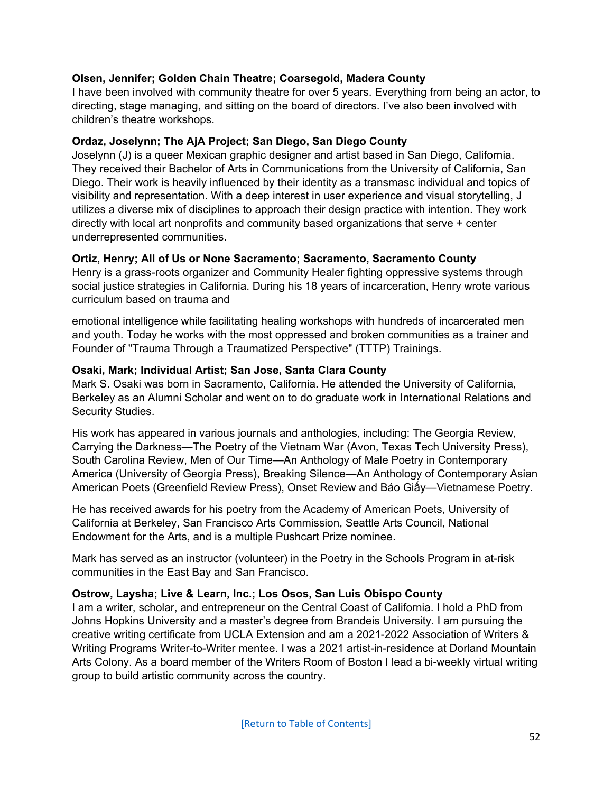# **Olsen, Jennifer; Golden Chain Theatre; Coarsegold, Madera County**

I have been involved with community theatre for over 5 years. Everything from being an actor, to directing, stage managing, and sitting on the board of directors. I've also been involved with children's theatre workshops.

### **Ordaz, Joselynn; The AjA Project; San Diego, San Diego County**

Joselynn (J) is a queer Mexican graphic designer and artist based in San Diego, California. They received their Bachelor of Arts in Communications from the University of California, San Diego. Their work is heavily influenced by their identity as a transmasc individual and topics of visibility and representation. With a deep interest in user experience and visual storytelling, J utilizes a diverse mix of disciplines to approach their design practice with intention. They work directly with local art nonprofits and community based organizations that serve + center underrepresented communities.

### **Ortiz, Henry; All of Us or None Sacramento; Sacramento, Sacramento County**

Henry is a grass-roots organizer and Community Healer fighting oppressive systems through social justice strategies in California. During his 18 years of incarceration, Henry wrote various curriculum based on trauma and

emotional intelligence while facilitating healing workshops with hundreds of incarcerated men and youth. Today he works with the most oppressed and broken communities as a trainer and Founder of "Trauma Through a Traumatized Perspective" (TTTP) Trainings.

### **Osaki, Mark; Individual Artist; San Jose, Santa Clara County**

Mark S. Osaki was born in Sacramento, California. He attended the University of California, Berkeley as an Alumni Scholar and went on to do graduate work in International Relations and Security Studies.

His work has appeared in various journals and anthologies, including: The Georgia Review, Carrying the Darkness—The Poetry of the Vietnam War (Avon, Texas Tech University Press), South Carolina Review, Men of Our Time—An Anthology of Male Poetry in Contemporary America (University of Georgia Press), Breaking Silence—An Anthology of Contemporary Asian American Poets (Greenfield Review Press), Onset Review and Báo Giấy—Vietnamese Poetry.

He has received awards for his poetry from the Academy of American Poets, University of California at Berkeley, San Francisco Arts Commission, Seattle Arts Council, National Endowment for the Arts, and is a multiple Pushcart Prize nominee.

Mark has served as an instructor (volunteer) in the Poetry in the Schools Program in at-risk communities in the East Bay and San Francisco.

#### **Ostrow, Laysha; Live & Learn, Inc.; Los Osos, San Luis Obispo County**

I am a writer, scholar, and entrepreneur on the Central Coast of California. I hold a PhD from Johns Hopkins University and a master's degree from Brandeis University. I am pursuing the creative writing certificate from UCLA Extension and am a 2021-2022 Association of Writers & Writing Programs Writer-to-Writer mentee. I was a 2021 artist-in-residence at Dorland Mountain Arts Colony. As a board member of the Writers Room of Boston I lead a bi-weekly virtual writing group to build artistic community across the country.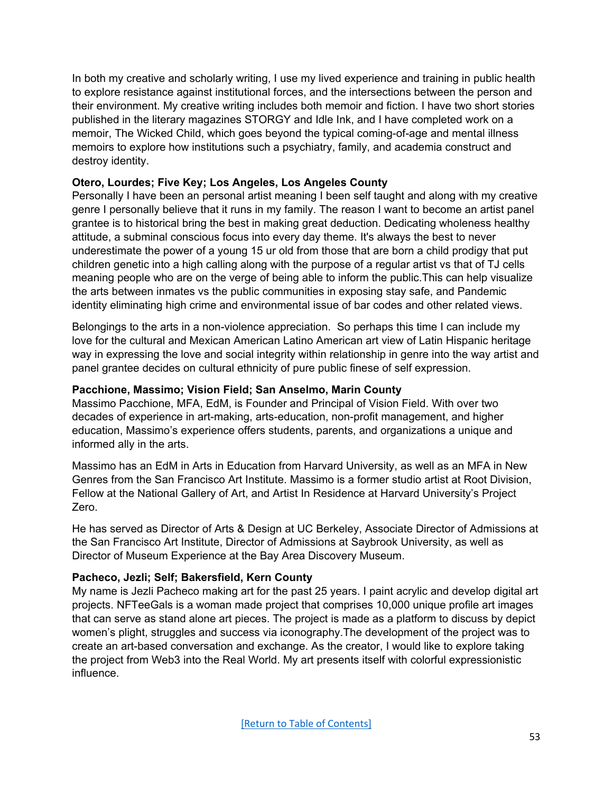In both my creative and scholarly writing, I use my lived experience and training in public health to explore resistance against institutional forces, and the intersections between the person and their environment. My creative writing includes both memoir and fiction. I have two short stories published in the literary magazines STORGY and Idle Ink, and I have completed work on a memoir, The Wicked Child, which goes beyond the typical coming-of-age and mental illness memoirs to explore how institutions such a psychiatry, family, and academia construct and destroy identity.

### **Otero, Lourdes; Five Key; Los Angeles, Los Angeles County**

Personally I have been an personal artist meaning I been self taught and along with my creative genre I personally believe that it runs in my family. The reason I want to become an artist panel grantee is to historical bring the best in making great deduction. Dedicating wholeness healthy attitude, a subminal conscious focus into every day theme. It's always the best to never underestimate the power of a young 15 ur old from those that are born a child prodigy that put children genetic into a high calling along with the purpose of a regular artist vs that of TJ cells meaning people who are on the verge of being able to inform the public.This can help visualize the arts between inmates vs the public communities in exposing stay safe, and Pandemic identity eliminating high crime and environmental issue of bar codes and other related views.

Belongings to the arts in a non-violence appreciation. So perhaps this time I can include my love for the cultural and Mexican American Latino American art view of Latin Hispanic heritage way in expressing the love and social integrity within relationship in genre into the way artist and panel grantee decides on cultural ethnicity of pure public finese of self expression.

### **Pacchione, Massimo; Vision Field; San Anselmo, Marin County**

Massimo Pacchione, MFA, EdM, is Founder and Principal of Vision Field. With over two decades of experience in art-making, arts-education, non-profit management, and higher education, Massimo's experience offers students, parents, and organizations a unique and informed ally in the arts.

Massimo has an EdM in Arts in Education from Harvard University, as well as an MFA in New Genres from the San Francisco Art Institute. Massimo is a former studio artist at Root Division, Fellow at the National Gallery of Art, and Artist In Residence at Harvard University's Project Zero.

He has served as Director of Arts & Design at UC Berkeley, Associate Director of Admissions at the San Francisco Art Institute, Director of Admissions at Saybrook University, as well as Director of Museum Experience at the Bay Area Discovery Museum.

#### **Pacheco, Jezli; Self; Bakersfield, Kern County**

My name is Jezli Pacheco making art for the past 25 years. I paint acrylic and develop digital art projects. NFTeeGals is a woman made project that comprises 10,000 unique profile art images that can serve as stand alone art pieces. The project is made as a platform to discuss by depict women's plight, struggles and success via iconography.The development of the project was to create an art-based conversation and exchange. As the creator, I would like to explore taking the project from Web3 into the Real World. My art presents itself with colorful expressionistic influence.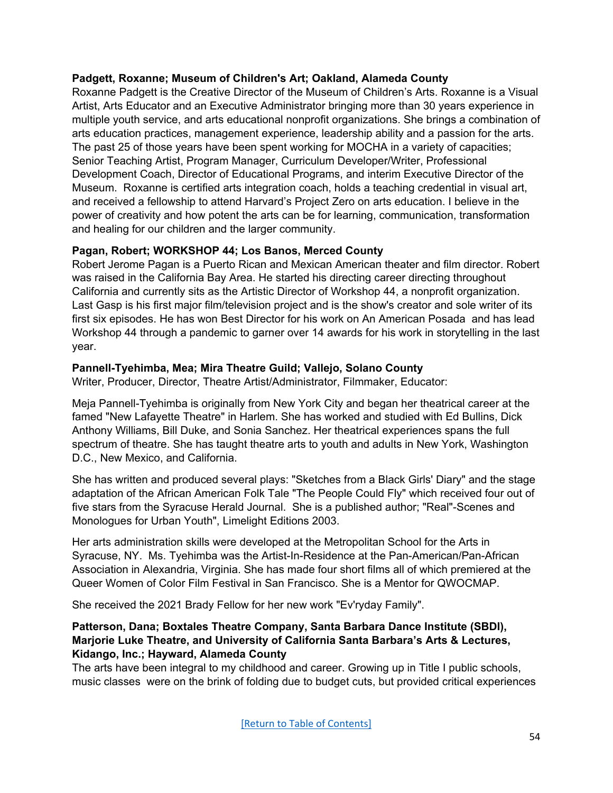# **Padgett, Roxanne; Museum of Children's Art; Oakland, Alameda County**

Roxanne Padgett is the Creative Director of the Museum of Children's Arts. Roxanne is a Visual Artist, Arts Educator and an Executive Administrator bringing more than 30 years experience in multiple youth service, and arts educational nonprofit organizations. She brings a combination of arts education practices, management experience, leadership ability and a passion for the arts. The past 25 of those years have been spent working for MOCHA in a variety of capacities; Senior Teaching Artist, Program Manager, Curriculum Developer/Writer, Professional Development Coach, Director of Educational Programs, and interim Executive Director of the Museum. Roxanne is certified arts integration coach, holds a teaching credential in visual art, and received a fellowship to attend Harvard's Project Zero on arts education. I believe in the power of creativity and how potent the arts can be for learning, communication, transformation and healing for our children and the larger community.

### **Pagan, Robert; WORKSHOP 44; Los Banos, Merced County**

Robert Jerome Pagan is a Puerto Rican and Mexican American theater and film director. Robert was raised in the California Bay Area. He started his directing career directing throughout California and currently sits as the Artistic Director of Workshop 44, a nonprofit organization. Last Gasp is his first major film/television project and is the show's creator and sole writer of its first six episodes. He has won Best Director for his work on An American Posada and has lead Workshop 44 through a pandemic to garner over 14 awards for his work in storytelling in the last year.

### **Pannell-Tyehimba, Mea; Mira Theatre Guild; Vallejo, Solano County**

Writer, Producer, Director, Theatre Artist/Administrator, Filmmaker, Educator:

Meja Pannell-Tyehimba is originally from New York City and began her theatrical career at the famed "New Lafayette Theatre" in Harlem. She has worked and studied with Ed Bullins, Dick Anthony Williams, Bill Duke, and Sonia Sanchez. Her theatrical experiences spans the full spectrum of theatre. She has taught theatre arts to youth and adults in New York, Washington D.C., New Mexico, and California.

She has written and produced several plays: "Sketches from a Black Girls' Diary" and the stage adaptation of the African American Folk Tale "The People Could Fly" which received four out of five stars from the Syracuse Herald Journal. She is a published author; "Real"-Scenes and Monologues for Urban Youth", Limelight Editions 2003.

Her arts administration skills were developed at the Metropolitan School for the Arts in Syracuse, NY. Ms. Tyehimba was the Artist-In-Residence at the Pan-American/Pan-African Association in Alexandria, Virginia. She has made four short films all of which premiered at the Queer Women of Color Film Festival in San Francisco. She is a Mentor for QWOCMAP.

She received the 2021 Brady Fellow for her new work "Ev'ryday Family".

#### **Patterson, Dana; Boxtales Theatre Company, Santa Barbara Dance Institute (SBDI), Marjorie Luke Theatre, and University of California Santa Barbara's Arts & Lectures, Kidango, Inc.; Hayward, Alameda County**

The arts have been integral to my childhood and career. Growing up in Title I public schools, music classes were on the brink of folding due to budget cuts, but provided critical experiences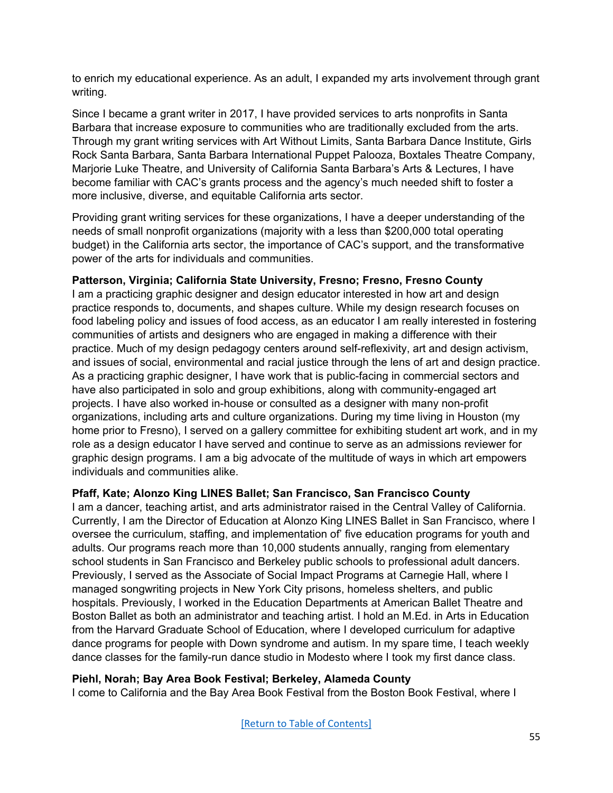to enrich my educational experience. As an adult, I expanded my arts involvement through grant writing.

Since I became a grant writer in 2017, I have provided services to arts nonprofits in Santa Barbara that increase exposure to communities who are traditionally excluded from the arts. Through my grant writing services with Art Without Limits, Santa Barbara Dance Institute, Girls Rock Santa Barbara, Santa Barbara International Puppet Palooza, Boxtales Theatre Company, Marjorie Luke Theatre, and University of California Santa Barbara's Arts & Lectures, I have become familiar with CAC's grants process and the agency's much needed shift to foster a more inclusive, diverse, and equitable California arts sector.

Providing grant writing services for these organizations, I have a deeper understanding of the needs of small nonprofit organizations (majority with a less than \$200,000 total operating budget) in the California arts sector, the importance of CAC's support, and the transformative power of the arts for individuals and communities.

### **Patterson, Virginia; California State University, Fresno; Fresno, Fresno County**

I am a practicing graphic designer and design educator interested in how art and design practice responds to, documents, and shapes culture. While my design research focuses on food labeling policy and issues of food access, as an educator I am really interested in fostering communities of artists and designers who are engaged in making a difference with their practice. Much of my design pedagogy centers around self-reflexivity, art and design activism, and issues of social, environmental and racial justice through the lens of art and design practice. As a practicing graphic designer, I have work that is public-facing in commercial sectors and have also participated in solo and group exhibitions, along with community-engaged art projects. I have also worked in-house or consulted as a designer with many non-profit organizations, including arts and culture organizations. During my time living in Houston (my home prior to Fresno), I served on a gallery committee for exhibiting student art work, and in my role as a design educator I have served and continue to serve as an admissions reviewer for graphic design programs. I am a big advocate of the multitude of ways in which art empowers individuals and communities alike.

#### **Pfaff, Kate; Alonzo King LINES Ballet; San Francisco, San Francisco County**

I am a dancer, teaching artist, and arts administrator raised in the Central Valley of California. Currently, I am the Director of Education at Alonzo King LINES Ballet in San Francisco, where I oversee the curriculum, staffing, and implementation of' five education programs for youth and adults. Our programs reach more than 10,000 students annually, ranging from elementary school students in San Francisco and Berkeley public schools to professional adult dancers. Previously, I served as the Associate of Social Impact Programs at Carnegie Hall, where I managed songwriting projects in New York City prisons, homeless shelters, and public hospitals. Previously, I worked in the Education Departments at American Ballet Theatre and Boston Ballet as both an administrator and teaching artist. I hold an M.Ed. in Arts in Education from the Harvard Graduate School of Education, where I developed curriculum for adaptive dance programs for people with Down syndrome and autism. In my spare time, I teach weekly dance classes for the family-run dance studio in Modesto where I took my first dance class.

#### **Piehl, Norah; Bay Area Book Festival; Berkeley, Alameda County**

I come to California and the Bay Area Book Festival from the Boston Book Festival, where I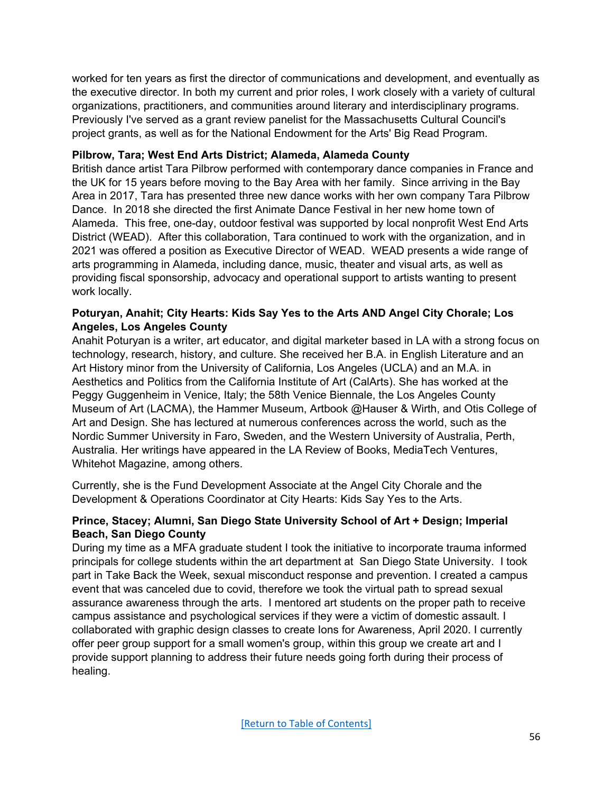worked for ten years as first the director of communications and development, and eventually as the executive director. In both my current and prior roles, I work closely with a variety of cultural organizations, practitioners, and communities around literary and interdisciplinary programs. Previously I've served as a grant review panelist for the Massachusetts Cultural Council's project grants, as well as for the National Endowment for the Arts' Big Read Program.

# **Pilbrow, Tara; West End Arts District; Alameda, Alameda County**

British dance artist Tara Pilbrow performed with contemporary dance companies in France and the UK for 15 years before moving to the Bay Area with her family. Since arriving in the Bay Area in 2017, Tara has presented three new dance works with her own company Tara Pilbrow Dance. In 2018 she directed the first Animate Dance Festival in her new home town of Alameda. This free, one-day, outdoor festival was supported by local nonprofit West End Arts District (WEAD). After this collaboration, Tara continued to work with the organization, and in 2021 was offered a position as Executive Director of WEAD. WEAD presents a wide range of arts programming in Alameda, including dance, music, theater and visual arts, as well as providing fiscal sponsorship, advocacy and operational support to artists wanting to present work locally.

### **Poturyan, Anahit; City Hearts: Kids Say Yes to the Arts AND Angel City Chorale; Los Angeles, Los Angeles County**

Anahit Poturyan is a writer, art educator, and digital marketer based in LA with a strong focus on technology, research, history, and culture. She received her B.A. in English Literature and an Art History minor from the University of California, Los Angeles (UCLA) and an M.A. in Aesthetics and Politics from the California Institute of Art (CalArts). She has worked at the Peggy Guggenheim in Venice, Italy; the 58th Venice Biennale, the Los Angeles County Museum of Art (LACMA), the Hammer Museum, Artbook @Hauser & Wirth, and Otis College of Art and Design. She has lectured at numerous conferences across the world, such as the Nordic Summer University in Faro, Sweden, and the Western University of Australia, Perth, Australia. Her writings have appeared in the LA Review of Books, MediaTech Ventures, Whitehot Magazine, among others.

Currently, she is the Fund Development Associate at the Angel City Chorale and the Development & Operations Coordinator at City Hearts: Kids Say Yes to the Arts.

# **Prince, Stacey; Alumni, San Diego State University School of Art + Design; Imperial Beach, San Diego County**

During my time as a MFA graduate student I took the initiative to incorporate trauma informed principals for college students within the art department at San Diego State University. I took part in Take Back the Week, sexual misconduct response and prevention. I created a campus event that was canceled due to covid, therefore we took the virtual path to spread sexual assurance awareness through the arts. I mentored art students on the proper path to receive campus assistance and psychological services if they were a victim of domestic assault. I collaborated with graphic design classes to create Ions for Awareness, April 2020. I currently offer peer group support for a small women's group, within this group we create art and I provide support planning to address their future needs going forth during their process of healing.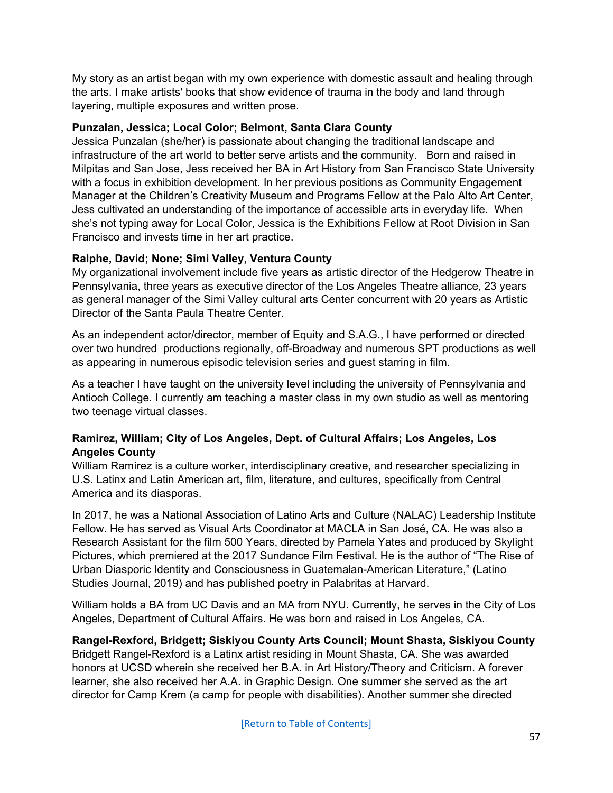My story as an artist began with my own experience with domestic assault and healing through the arts. I make artists' books that show evidence of trauma in the body and land through layering, multiple exposures and written prose.

### **Punzalan, Jessica; Local Color; Belmont, Santa Clara County**

Jessica Punzalan (she/her) is passionate about changing the traditional landscape and infrastructure of the art world to better serve artists and the community. Born and raised in Milpitas and San Jose, Jess received her BA in Art History from San Francisco State University with a focus in exhibition development. In her previous positions as Community Engagement Manager at the Children's Creativity Museum and Programs Fellow at the Palo Alto Art Center, Jess cultivated an understanding of the importance of accessible arts in everyday life. When she's not typing away for Local Color, Jessica is the Exhibitions Fellow at Root Division in San Francisco and invests time in her art practice.

# **Ralphe, David; None; Simi Valley, Ventura County**

My organizational involvement include five years as artistic director of the Hedgerow Theatre in Pennsylvania, three years as executive director of the Los Angeles Theatre alliance, 23 years as general manager of the Simi Valley cultural arts Center concurrent with 20 years as Artistic Director of the Santa Paula Theatre Center.

As an independent actor/director, member of Equity and S.A.G., I have performed or directed over two hundred productions regionally, off-Broadway and numerous SPT productions as well as appearing in numerous episodic television series and guest starring in film.

As a teacher I have taught on the university level including the university of Pennsylvania and Antioch College. I currently am teaching a master class in my own studio as well as mentoring two teenage virtual classes.

# **Ramirez, William; City of Los Angeles, Dept. of Cultural Affairs; Los Angeles, Los Angeles County**

William Ramírez is a culture worker, interdisciplinary creative, and researcher specializing in U.S. Latinx and Latin American art, film, literature, and cultures, specifically from Central America and its diasporas.

In 2017, he was a National Association of Latino Arts and Culture (NALAC) Leadership Institute Fellow. He has served as Visual Arts Coordinator at MACLA in San José, CA. He was also a Research Assistant for the film 500 Years, directed by Pamela Yates and produced by Skylight Pictures, which premiered at the 2017 Sundance Film Festival. He is the author of "The Rise of Urban Diasporic Identity and Consciousness in Guatemalan-American Literature," (Latino Studies Journal, 2019) and has published poetry in Palabritas at Harvard.

William holds a BA from UC Davis and an MA from NYU. Currently, he serves in the City of Los Angeles, Department of Cultural Affairs. He was born and raised in Los Angeles, CA.

# **Rangel-Rexford, Bridgett; Siskiyou County Arts Council; Mount Shasta, Siskiyou County**

Bridgett Rangel-Rexford is a Latinx artist residing in Mount Shasta, CA. She was awarded honors at UCSD wherein she received her B.A. in Art History/Theory and Criticism. A forever learner, she also received her A.A. in Graphic Design. One summer she served as the art director for Camp Krem (a camp for people with disabilities). Another summer she directed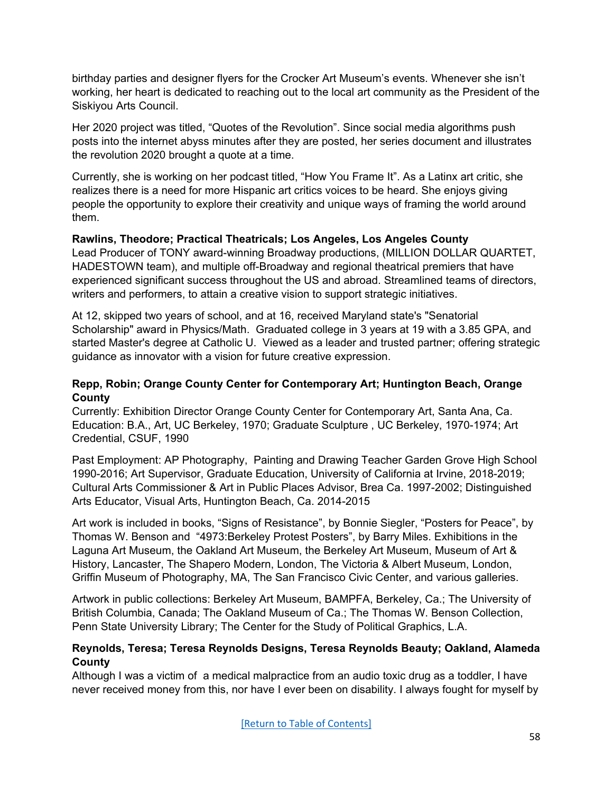birthday parties and designer flyers for the Crocker Art Museum's events. Whenever she isn't working, her heart is dedicated to reaching out to the local art community as the President of the Siskiyou Arts Council.

Her 2020 project was titled, "Quotes of the Revolution". Since social media algorithms push posts into the internet abyss minutes after they are posted, her series document and illustrates the revolution 2020 brought a quote at a time.

Currently, she is working on her podcast titled, "How You Frame It". As a Latinx art critic, she realizes there is a need for more Hispanic art critics voices to be heard. She enjoys giving people the opportunity to explore their creativity and unique ways of framing the world around them.

# **Rawlins, Theodore; Practical Theatricals; Los Angeles, Los Angeles County**

Lead Producer of TONY award-winning Broadway productions, (MILLION DOLLAR QUARTET, HADESTOWN team), and multiple off-Broadway and regional theatrical premiers that have experienced significant success throughout the US and abroad. Streamlined teams of directors, writers and performers, to attain a creative vision to support strategic initiatives.

At 12, skipped two years of school, and at 16, received Maryland state's "Senatorial Scholarship" award in Physics/Math. Graduated college in 3 years at 19 with a 3.85 GPA, and started Master's degree at Catholic U. Viewed as a leader and trusted partner; offering strategic guidance as innovator with a vision for future creative expression.

# **Repp, Robin; Orange County Center for Contemporary Art; Huntington Beach, Orange County**

Currently: Exhibition Director Orange County Center for Contemporary Art, Santa Ana, Ca. Education: B.A., Art, UC Berkeley, 1970; Graduate Sculpture , UC Berkeley, 1970-1974; Art Credential, CSUF, 1990

Past Employment: AP Photography, Painting and Drawing Teacher Garden Grove High School 1990-2016; Art Supervisor, Graduate Education, University of California at Irvine, 2018-2019; Cultural Arts Commissioner & Art in Public Places Advisor, Brea Ca. 1997-2002; Distinguished Arts Educator, Visual Arts, Huntington Beach, Ca. 2014-2015

Art work is included in books, "Signs of Resistance", by Bonnie Siegler, "Posters for Peace", by Thomas W. Benson and "4973:Berkeley Protest Posters", by Barry Miles. Exhibitions in the Laguna Art Museum, the Oakland Art Museum, the Berkeley Art Museum, Museum of Art & History, Lancaster, The Shapero Modern, London, The Victoria & Albert Museum, London, Griffin Museum of Photography, MA, The San Francisco Civic Center, and various galleries.

Artwork in public collections: Berkeley Art Museum, BAMPFA, Berkeley, Ca.; The University of British Columbia, Canada; The Oakland Museum of Ca.; The Thomas W. Benson Collection, Penn State University Library; The Center for the Study of Political Graphics, L.A.

# **Reynolds, Teresa; Teresa Reynolds Designs, Teresa Reynolds Beauty; Oakland, Alameda County**

Although I was a victim of a medical malpractice from an audio toxic drug as a toddler, I have never received money from this, nor have I ever been on disability. I always fought for myself by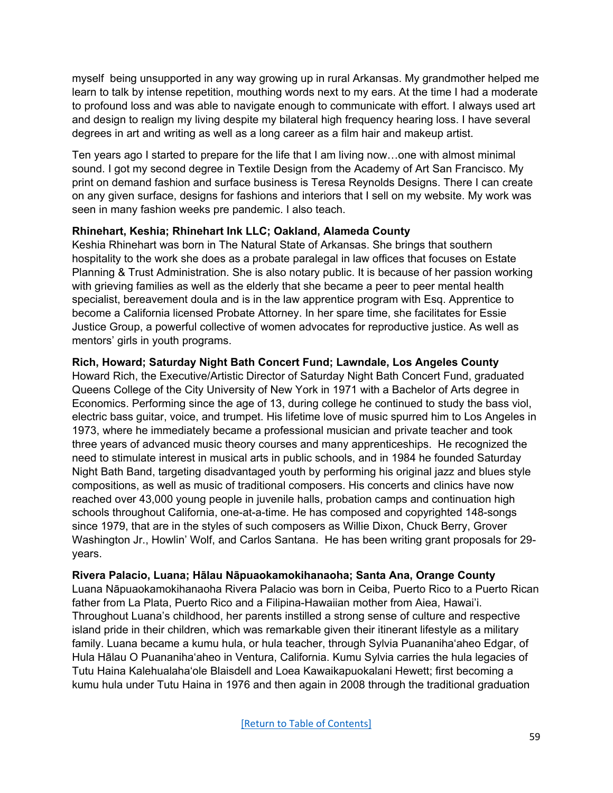myself being unsupported in any way growing up in rural Arkansas. My grandmother helped me learn to talk by intense repetition, mouthing words next to my ears. At the time I had a moderate to profound loss and was able to navigate enough to communicate with effort. I always used art and design to realign my living despite my bilateral high frequency hearing loss. I have several degrees in art and writing as well as a long career as a film hair and makeup artist.

Ten years ago I started to prepare for the life that I am living now…one with almost minimal sound. I got my second degree in Textile Design from the Academy of Art San Francisco. My print on demand fashion and surface business is Teresa Reynolds Designs. There I can create on any given surface, designs for fashions and interiors that I sell on my website. My work was seen in many fashion weeks pre pandemic. I also teach.

### **Rhinehart, Keshia; Rhinehart Ink LLC; Oakland, Alameda County**

Keshia Rhinehart was born in The Natural State of Arkansas. She brings that southern hospitality to the work she does as a probate paralegal in law offices that focuses on Estate Planning & Trust Administration. She is also notary public. It is because of her passion working with grieving families as well as the elderly that she became a peer to peer mental health specialist, bereavement doula and is in the law apprentice program with Esq. Apprentice to become a California licensed Probate Attorney. In her spare time, she facilitates for Essie Justice Group, a powerful collective of women advocates for reproductive justice. As well as mentors' girls in youth programs.

#### **Rich, Howard; Saturday Night Bath Concert Fund; Lawndale, Los Angeles County**

Howard Rich, the Executive/Artistic Director of Saturday Night Bath Concert Fund, graduated Queens College of the City University of New York in 1971 with a Bachelor of Arts degree in Economics. Performing since the age of 13, during college he continued to study the bass viol, electric bass guitar, voice, and trumpet. His lifetime love of music spurred him to Los Angeles in 1973, where he immediately became a professional musician and private teacher and took three years of advanced music theory courses and many apprenticeships. He recognized the need to stimulate interest in musical arts in public schools, and in 1984 he founded Saturday Night Bath Band, targeting disadvantaged youth by performing his original jazz and blues style compositions, as well as music of traditional composers. His concerts and clinics have now reached over 43,000 young people in juvenile halls, probation camps and continuation high schools throughout California, one-at-a-time. He has composed and copyrighted 148-songs since 1979, that are in the styles of such composers as Willie Dixon, Chuck Berry, Grover Washington Jr., Howlin' Wolf, and Carlos Santana. He has been writing grant proposals for 29 years.

#### **Rivera Palacio, Luana; Hālau Nāpuaokamokihanaoha; Santa Ana, Orange County**

Luana Nāpuaokamokihanaoha Rivera Palacio was born in Ceiba, Puerto Rico to a Puerto Rican father from La Plata, Puerto Rico and a Filipina-Hawaiian mother from Aiea, Hawai'i. Throughout Luana's childhood, her parents instilled a strong sense of culture and respective island pride in their children, which was remarkable given their itinerant lifestyle as a military family. Luana became a kumu hula, or hula teacher, through Sylvia Puananihaʻaheo Edgar, of Hula Hālau O Puananihaʻaheo in Ventura, California. Kumu Sylvia carries the hula legacies of Tutu Haina Kalehualahaʻole Blaisdell and Loea Kawaikapuokalani Hewett; first becoming a kumu hula under Tutu Haina in 1976 and then again in 2008 through the traditional graduation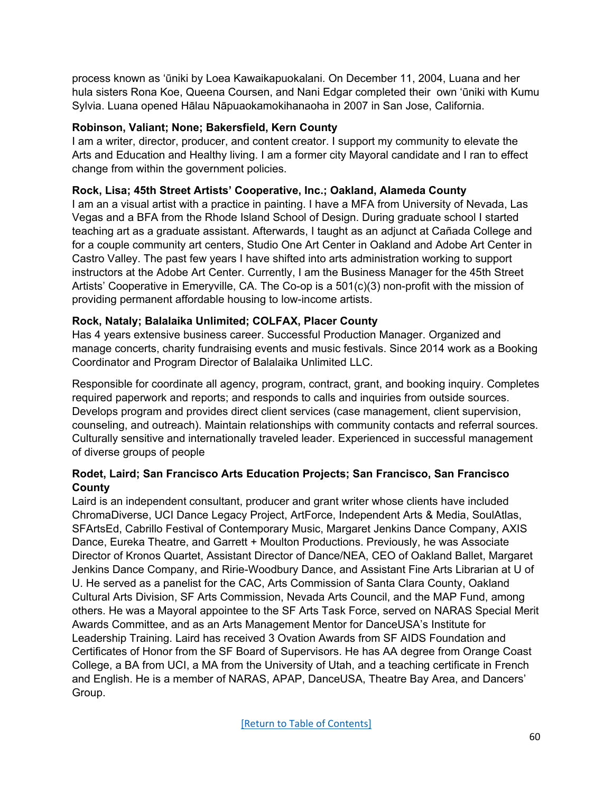process known as ʻūniki by Loea Kawaikapuokalani. On December 11, 2004, Luana and her hula sisters Rona Koe, Queena Coursen, and Nani Edgar completed their own ʻūniki with Kumu Sylvia. Luana opened Hālau Nāpuaokamokihanaoha in 2007 in San Jose, California.

# **Robinson, Valiant; None; Bakersfield, Kern County**

I am a writer, director, producer, and content creator. I support my community to elevate the Arts and Education and Healthy living. I am a former city Mayoral candidate and I ran to effect change from within the government policies.

# **Rock, Lisa; 45th Street Artists' Cooperative, Inc.; Oakland, Alameda County**

I am an a visual artist with a practice in painting. I have a MFA from University of Nevada, Las Vegas and a BFA from the Rhode Island School of Design. During graduate school I started teaching art as a graduate assistant. Afterwards, I taught as an adjunct at Cañada College and for a couple community art centers, Studio One Art Center in Oakland and Adobe Art Center in Castro Valley. The past few years I have shifted into arts administration working to support instructors at the Adobe Art Center. Currently, I am the Business Manager for the 45th Street Artists' Cooperative in Emeryville, CA. The Co-op is a 501(c)(3) non-profit with the mission of providing permanent affordable housing to low-income artists.

# **Rock, Nataly; Balalaika Unlimited; COLFAX, Placer County**

Has 4 years extensive business career. Successful Production Manager. Organized and manage concerts, charity fundraising events and music festivals. Since 2014 work as a Booking Coordinator and Program Director of Balalaika Unlimited LLC.

Responsible for coordinate all agency, program, contract, grant, and booking inquiry. Completes required paperwork and reports; and responds to calls and inquiries from outside sources. Develops program and provides direct client services (case management, client supervision, counseling, and outreach). Maintain relationships with community contacts and referral sources. Culturally sensitive and internationally traveled leader. Experienced in successful management of diverse groups of people

# **Rodet, Laird; San Francisco Arts Education Projects; San Francisco, San Francisco County**

Laird is an independent consultant, producer and grant writer whose clients have included ChromaDiverse, UCI Dance Legacy Project, ArtForce, Independent Arts & Media, SoulAtlas, SFArtsEd, Cabrillo Festival of Contemporary Music, Margaret Jenkins Dance Company, AXIS Dance, Eureka Theatre, and Garrett + Moulton Productions. Previously, he was Associate Director of Kronos Quartet, Assistant Director of Dance/NEA, CEO of Oakland Ballet, Margaret Jenkins Dance Company, and Ririe-Woodbury Dance, and Assistant Fine Arts Librarian at U of U. He served as a panelist for the CAC, Arts Commission of Santa Clara County, Oakland Cultural Arts Division, SF Arts Commission, Nevada Arts Council, and the MAP Fund, among others. He was a Mayoral appointee to the SF Arts Task Force, served on NARAS Special Merit Awards Committee, and as an Arts Management Mentor for DanceUSA's Institute for Leadership Training. Laird has received 3 Ovation Awards from SF AIDS Foundation and Certificates of Honor from the SF Board of Supervisors. He has AA degree from Orange Coast College, a BA from UCI, a MA from the University of Utah, and a teaching certificate in French and English. He is a member of NARAS, APAP, DanceUSA, Theatre Bay Area, and Dancers' Group.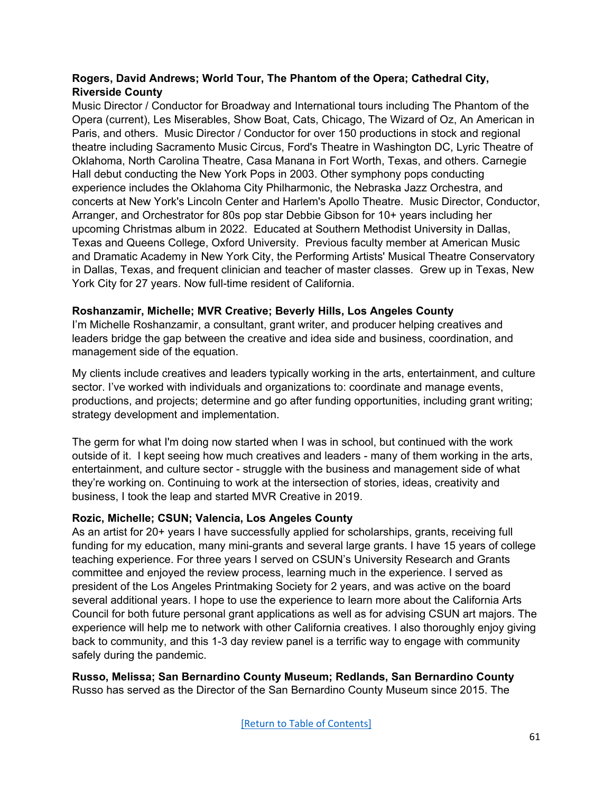### **Rogers, David Andrews; World Tour, The Phantom of the Opera; Cathedral City, Riverside County**

Music Director / Conductor for Broadway and International tours including The Phantom of the Opera (current), Les Miserables, Show Boat, Cats, Chicago, The Wizard of Oz, An American in Paris, and others. Music Director / Conductor for over 150 productions in stock and regional theatre including Sacramento Music Circus, Ford's Theatre in Washington DC, Lyric Theatre of Oklahoma, North Carolina Theatre, Casa Manana in Fort Worth, Texas, and others. Carnegie Hall debut conducting the New York Pops in 2003. Other symphony pops conducting experience includes the Oklahoma City Philharmonic, the Nebraska Jazz Orchestra, and concerts at New York's Lincoln Center and Harlem's Apollo Theatre. Music Director, Conductor, Arranger, and Orchestrator for 80s pop star Debbie Gibson for 10+ years including her upcoming Christmas album in 2022. Educated at Southern Methodist University in Dallas, Texas and Queens College, Oxford University. Previous faculty member at American Music and Dramatic Academy in New York City, the Performing Artists' Musical Theatre Conservatory in Dallas, Texas, and frequent clinician and teacher of master classes. Grew up in Texas, New York City for 27 years. Now full-time resident of California.

### **Roshanzamir, Michelle; MVR Creative; Beverly Hills, Los Angeles County**

I'm Michelle Roshanzamir, a consultant, grant writer, and producer helping creatives and leaders bridge the gap between the creative and idea side and business, coordination, and management side of the equation.

My clients include creatives and leaders typically working in the arts, entertainment, and culture sector. I've worked with individuals and organizations to: coordinate and manage events, productions, and projects; determine and go after funding opportunities, including grant writing; strategy development and implementation.

The germ for what I'm doing now started when I was in school, but continued with the work outside of it. I kept seeing how much creatives and leaders - many of them working in the arts, entertainment, and culture sector - struggle with the business and management side of what they're working on. Continuing to work at the intersection of stories, ideas, creativity and business, I took the leap and started MVR Creative in 2019.

# **Rozic, Michelle; CSUN; Valencia, Los Angeles County**

As an artist for 20+ years I have successfully applied for scholarships, grants, receiving full funding for my education, many mini-grants and several large grants. I have 15 years of college teaching experience. For three years I served on CSUN's University Research and Grants committee and enjoyed the review process, learning much in the experience. I served as president of the Los Angeles Printmaking Society for 2 years, and was active on the board several additional years. I hope to use the experience to learn more about the California Arts Council for both future personal grant applications as well as for advising CSUN art majors. The experience will help me to network with other California creatives. I also thoroughly enjoy giving back to community, and this 1-3 day review panel is a terrific way to engage with community safely during the pandemic.

**Russo, Melissa; San Bernardino County Museum; Redlands, San Bernardino County** Russo has served as the Director of the San Bernardino County Museum since 2015. The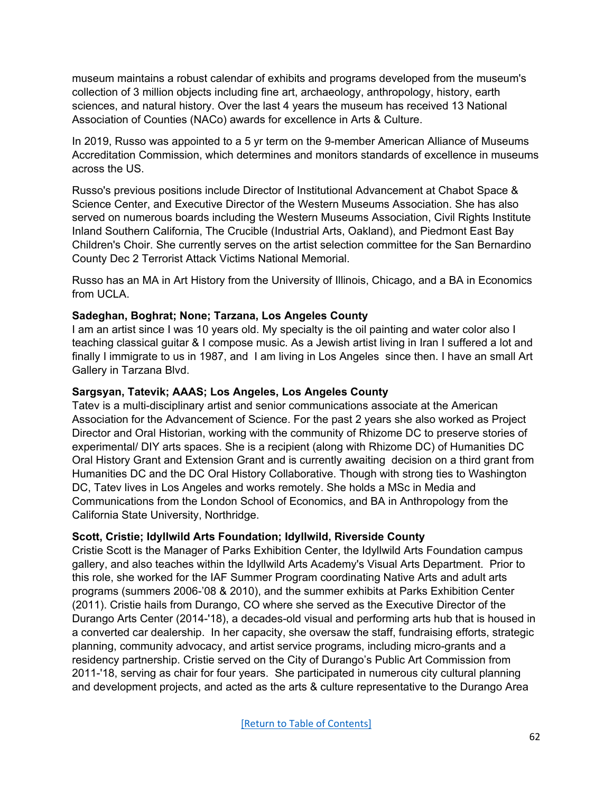museum maintains a robust calendar of exhibits and programs developed from the museum's collection of 3 million objects including fine art, archaeology, anthropology, history, earth sciences, and natural history. Over the last 4 years the museum has received 13 National Association of Counties (NACo) awards for excellence in Arts & Culture.

In 2019, Russo was appointed to a 5 yr term on the 9-member American Alliance of Museums Accreditation Commission, which determines and monitors standards of excellence in museums across the US.

Russo's previous positions include Director of Institutional Advancement at Chabot Space & Science Center, and Executive Director of the Western Museums Association. She has also served on numerous boards including the Western Museums Association, Civil Rights Institute Inland Southern California, The Crucible (Industrial Arts, Oakland), and Piedmont East Bay Children's Choir. She currently serves on the artist selection committee for the San Bernardino County Dec 2 Terrorist Attack Victims National Memorial.

Russo has an MA in Art History from the University of Illinois, Chicago, and a BA in Economics from UCLA.

### **Sadeghan, Boghrat; None; Tarzana, Los Angeles County**

I am an artist since I was 10 years old. My specialty is the oil painting and water color also I teaching classical guitar & I compose music. As a Jewish artist living in Iran I suffered a lot and finally I immigrate to us in 1987, and I am living in Los Angeles since then. I have an small Art Gallery in Tarzana Blvd.

### **Sargsyan, Tatevik; AAAS; Los Angeles, Los Angeles County**

Tatev is a multi-disciplinary artist and senior communications associate at the American Association for the Advancement of Science. For the past 2 years she also worked as Project Director and Oral Historian, working with the community of Rhizome DC to preserve stories of experimental/ DIY arts spaces. She is a recipient (along with Rhizome DC) of Humanities DC Oral History Grant and Extension Grant and is currently awaiting decision on a third grant from Humanities DC and the DC Oral History Collaborative. Though with strong ties to Washington DC, Tatev lives in Los Angeles and works remotely. She holds a MSc in Media and Communications from the London School of Economics, and BA in Anthropology from the California State University, Northridge.

# **Scott, Cristie; Idyllwild Arts Foundation; Idyllwild, Riverside County**

Cristie Scott is the Manager of Parks Exhibition Center, the Idyllwild Arts Foundation campus gallery, and also teaches within the Idyllwild Arts Academy's Visual Arts Department. Prior to this role, she worked for the IAF Summer Program coordinating Native Arts and adult arts programs (summers 2006-'08 & 2010), and the summer exhibits at Parks Exhibition Center (2011). Cristie hails from Durango, CO where she served as the Executive Director of the Durango Arts Center (2014-'18), a decades-old visual and performing arts hub that is housed in a converted car dealership. In her capacity, she oversaw the staff, fundraising efforts, strategic planning, community advocacy, and artist service programs, including micro-grants and a residency partnership. Cristie served on the City of Durango's Public Art Commission from 2011-'18, serving as chair for four years. She participated in numerous city cultural planning and development projects, and acted as the arts & culture representative to the Durango Area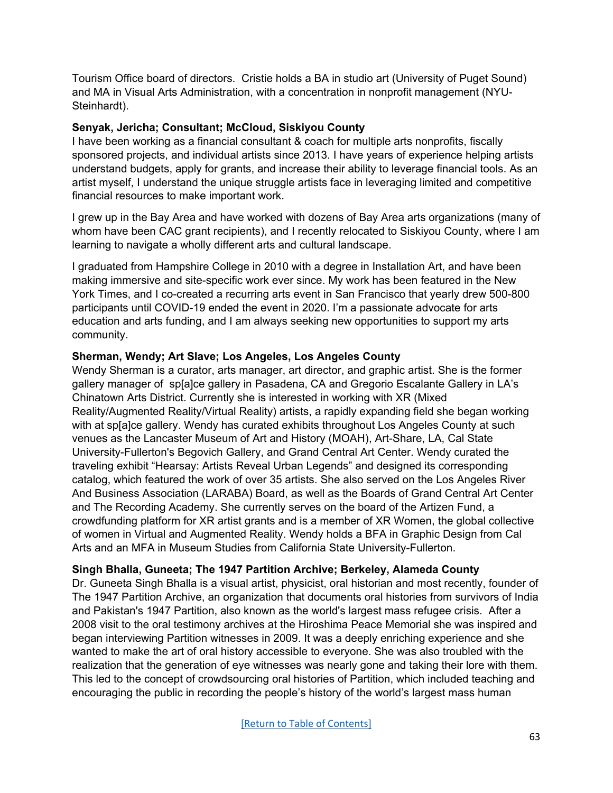Tourism Office board of directors. Cristie holds a BA in studio art (University of Puget Sound) and MA in Visual Arts Administration, with a concentration in nonprofit management (NYU-Steinhardt).

#### **Senyak, Jericha; Consultant; McCloud, Siskiyou County**

I have been working as a financial consultant & coach for multiple arts nonprofits, fiscally sponsored projects, and individual artists since 2013. I have years of experience helping artists understand budgets, apply for grants, and increase their ability to leverage financial tools. As an artist myself, I understand the unique struggle artists face in leveraging limited and competitive financial resources to make important work.

I grew up in the Bay Area and have worked with dozens of Bay Area arts organizations (many of whom have been CAC grant recipients), and I recently relocated to Siskiyou County, where I am learning to navigate a wholly different arts and cultural landscape.

I graduated from Hampshire College in 2010 with a degree in Installation Art, and have been making immersive and site-specific work ever since. My work has been featured in the New York Times, and I co-created a recurring arts event in San Francisco that yearly drew 500-800 participants until COVID-19 ended the event in 2020. I'm a passionate advocate for arts education and arts funding, and I am always seeking new opportunities to support my arts community.

### **Sherman, Wendy; Art Slave; Los Angeles, Los Angeles County**

Wendy Sherman is a curator, arts manager, art director, and graphic artist. She is the former gallery manager of sp[a]ce gallery in Pasadena, CA and Gregorio Escalante Gallery in LA's Chinatown Arts District. Currently she is interested in working with XR (Mixed Reality/Augmented Reality/Virtual Reality) artists, a rapidly expanding field she began working with at sp[a]ce gallery. Wendy has curated exhibits throughout Los Angeles County at such venues as the Lancaster Museum of Art and History (MOAH), Art-Share, LA, Cal State University-Fullerton's Begovich Gallery, and Grand Central Art Center. Wendy curated the traveling exhibit "Hearsay: Artists Reveal Urban Legends" and designed its corresponding catalog, which featured the work of over 35 artists. She also served on the Los Angeles River And Business Association (LARABA) Board, as well as the Boards of Grand Central Art Center and The Recording Academy. She currently serves on the board of the Artizen Fund, a crowdfunding platform for XR artist grants and is a member of XR Women, the global collective of women in Virtual and Augmented Reality. Wendy holds a BFA in Graphic Design from Cal Arts and an MFA in Museum Studies from California State University-Fullerton.

# **Singh Bhalla, Guneeta; The 1947 Partition Archive; Berkeley, Alameda County**

Dr. Guneeta Singh Bhalla is a visual artist, physicist, oral historian and most recently, founder of The 1947 Partition Archive, an organization that documents oral histories from survivors of India and Pakistan's 1947 Partition, also known as the world's largest mass refugee crisis. After a 2008 visit to the oral testimony archives at the Hiroshima Peace Memorial she was inspired and began interviewing Partition witnesses in 2009. It was a deeply enriching experience and she wanted to make the art of oral history accessible to everyone. She was also troubled with the realization that the generation of eye witnesses was nearly gone and taking their lore with them. This led to the concept of crowdsourcing oral histories of Partition, which included teaching and encouraging the public in recording the people's history of the world's largest mass human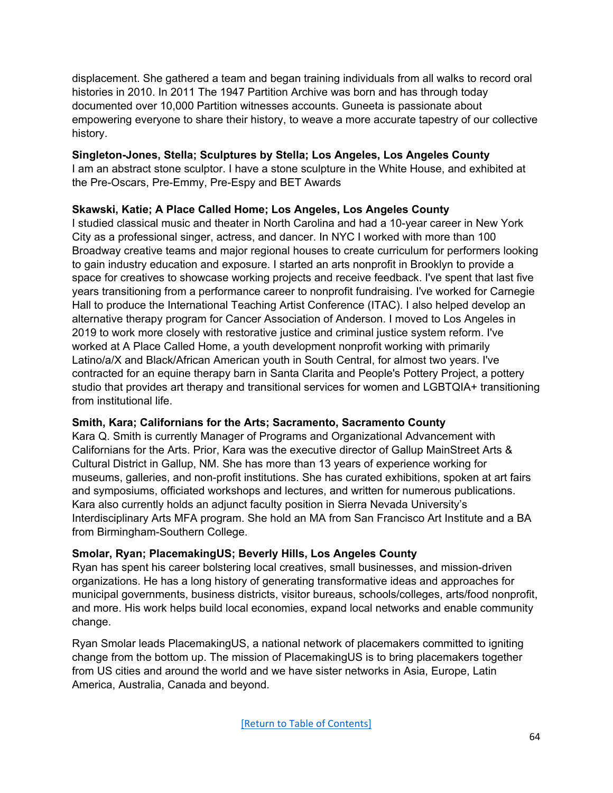displacement. She gathered a team and began training individuals from all walks to record oral histories in 2010. In 2011 The 1947 Partition Archive was born and has through today documented over 10,000 Partition witnesses accounts. Guneeta is passionate about empowering everyone to share their history, to weave a more accurate tapestry of our collective history.

# **Singleton-Jones, Stella; Sculptures by Stella; Los Angeles, Los Angeles County**

I am an abstract stone sculptor. I have a stone sculpture in the White House, and exhibited at the Pre-Oscars, Pre-Emmy, Pre-Espy and BET Awards

# **Skawski, Katie; A Place Called Home; Los Angeles, Los Angeles County**

I studied classical music and theater in North Carolina and had a 10-year career in New York City as a professional singer, actress, and dancer. In NYC I worked with more than 100 Broadway creative teams and major regional houses to create curriculum for performers looking to gain industry education and exposure. I started an arts nonprofit in Brooklyn to provide a space for creatives to showcase working projects and receive feedback. I've spent that last five years transitioning from a performance career to nonprofit fundraising. I've worked for Carnegie Hall to produce the International Teaching Artist Conference (ITAC). I also helped develop an alternative therapy program for Cancer Association of Anderson. I moved to Los Angeles in 2019 to work more closely with restorative justice and criminal justice system reform. I've worked at A Place Called Home, a youth development nonprofit working with primarily Latino/a/X and Black/African American youth in South Central, for almost two years. I've contracted for an equine therapy barn in Santa Clarita and People's Pottery Project, a pottery studio that provides art therapy and transitional services for women and LGBTQIA+ transitioning from institutional life.

# **Smith, Kara; Californians for the Arts; Sacramento, Sacramento County**

Kara Q. Smith is currently Manager of Programs and Organizational Advancement with Californians for the Arts. Prior, Kara was the executive director of Gallup MainStreet Arts & Cultural District in Gallup, NM. She has more than 13 years of experience working for museums, galleries, and non-profit institutions. She has curated exhibitions, spoken at art fairs and symposiums, officiated workshops and lectures, and written for numerous publications. Kara also currently holds an adjunct faculty position in Sierra Nevada University's Interdisciplinary Arts MFA program. She hold an MA from San Francisco Art Institute and a BA from Birmingham-Southern College.

# **Smolar, Ryan; PlacemakingUS; Beverly Hills, Los Angeles County**

Ryan has spent his career bolstering local creatives, small businesses, and mission-driven organizations. He has a long history of generating transformative ideas and approaches for municipal governments, business districts, visitor bureaus, schools/colleges, arts/food nonprofit, and more. His work helps build local economies, expand local networks and enable community change.

Ryan Smolar leads PlacemakingUS, a national network of placemakers committed to igniting change from the bottom up. The mission of PlacemakingUS is to bring placemakers together from US cities and around the world and we have sister networks in Asia, Europe, Latin America, Australia, Canada and beyond.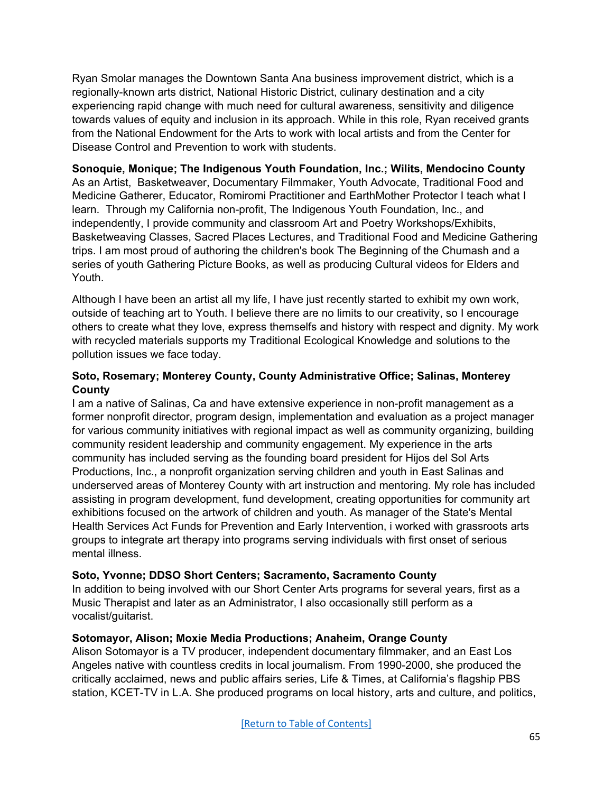Ryan Smolar manages the Downtown Santa Ana business improvement district, which is a regionally-known arts district, National Historic District, culinary destination and a city experiencing rapid change with much need for cultural awareness, sensitivity and diligence towards values of equity and inclusion in its approach. While in this role, Ryan received grants from the National Endowment for the Arts to work with local artists and from the Center for Disease Control and Prevention to work with students.

# **Sonoquie, Monique; The Indigenous Youth Foundation, Inc.; Wilits, Mendocino County**

As an Artist, Basketweaver, Documentary Filmmaker, Youth Advocate, Traditional Food and Medicine Gatherer, Educator, Romiromi Practitioner and EarthMother Protector I teach what I learn. Through my California non-profit, The Indigenous Youth Foundation, Inc., and independently, I provide community and classroom Art and Poetry Workshops/Exhibits, Basketweaving Classes, Sacred Places Lectures, and Traditional Food and Medicine Gathering trips. I am most proud of authoring the children's book The Beginning of the Chumash and a series of youth Gathering Picture Books, as well as producing Cultural videos for Elders and Youth.

Although I have been an artist all my life, I have just recently started to exhibit my own work, outside of teaching art to Youth. I believe there are no limits to our creativity, so I encourage others to create what they love, express themselfs and history with respect and dignity. My work with recycled materials supports my Traditional Ecological Knowledge and solutions to the pollution issues we face today.

### **Soto, Rosemary; Monterey County, County Administrative Office; Salinas, Monterey County**

I am a native of Salinas, Ca and have extensive experience in non-profit management as a former nonprofit director, program design, implementation and evaluation as a project manager for various community initiatives with regional impact as well as community organizing, building community resident leadership and community engagement. My experience in the arts community has included serving as the founding board president for Hijos del Sol Arts Productions, Inc., a nonprofit organization serving children and youth in East Salinas and underserved areas of Monterey County with art instruction and mentoring. My role has included assisting in program development, fund development, creating opportunities for community art exhibitions focused on the artwork of children and youth. As manager of the State's Mental Health Services Act Funds for Prevention and Early Intervention, i worked with grassroots arts groups to integrate art therapy into programs serving individuals with first onset of serious mental illness.

#### **Soto, Yvonne; DDSO Short Centers; Sacramento, Sacramento County**

In addition to being involved with our Short Center Arts programs for several years, first as a Music Therapist and later as an Administrator, I also occasionally still perform as a vocalist/guitarist.

#### **Sotomayor, Alison; Moxie Media Productions; Anaheim, Orange County**

Alison Sotomayor is a TV producer, independent documentary filmmaker, and an East Los Angeles native with countless credits in local journalism. From 1990-2000, she produced the critically acclaimed, news and public affairs series, Life & Times, at California's flagship PBS station, KCET-TV in L.A. She produced programs on local history, arts and culture, and politics,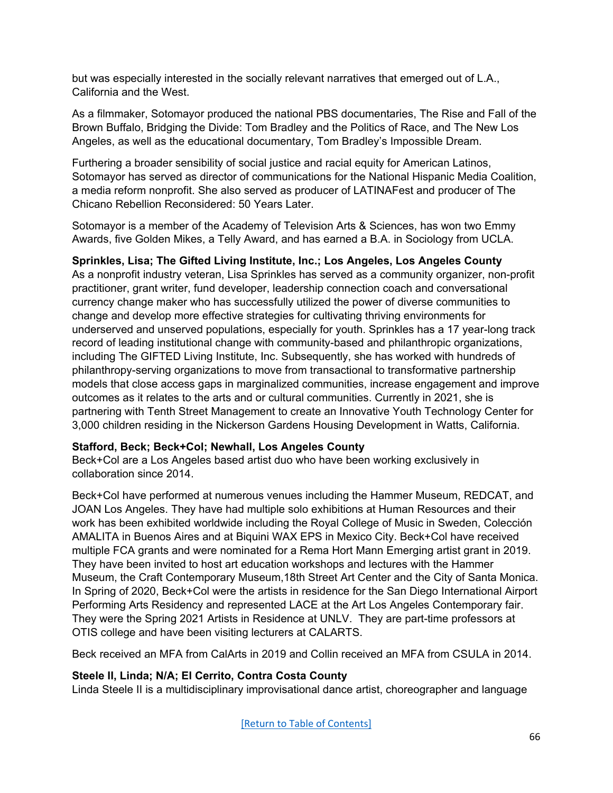but was especially interested in the socially relevant narratives that emerged out of L.A., California and the West.

As a filmmaker, Sotomayor produced the national PBS documentaries, The Rise and Fall of the Brown Buffalo, Bridging the Divide: Tom Bradley and the Politics of Race, and The New Los Angeles, as well as the educational documentary, Tom Bradley's Impossible Dream.

Furthering a broader sensibility of social justice and racial equity for American Latinos, Sotomayor has served as director of communications for the National Hispanic Media Coalition, a media reform nonprofit. She also served as producer of LATINAFest and producer of The Chicano Rebellion Reconsidered: 50 Years Later.

Sotomayor is a member of the Academy of Television Arts & Sciences, has won two Emmy Awards, five Golden Mikes, a Telly Award, and has earned a B.A. in Sociology from UCLA.

# **Sprinkles, Lisa; The Gifted Living Institute, Inc.; Los Angeles, Los Angeles County**

As a nonprofit industry veteran, Lisa Sprinkles has served as a community organizer, non-profit practitioner, grant writer, fund developer, leadership connection coach and conversational currency change maker who has successfully utilized the power of diverse communities to change and develop more effective strategies for cultivating thriving environments for underserved and unserved populations, especially for youth. Sprinkles has a 17 year-long track record of leading institutional change with community-based and philanthropic organizations, including The GIFTED Living Institute, Inc. Subsequently, she has worked with hundreds of philanthropy-serving organizations to move from transactional to transformative partnership models that close access gaps in marginalized communities, increase engagement and improve outcomes as it relates to the arts and or cultural communities. Currently in 2021, she is partnering with Tenth Street Management to create an Innovative Youth Technology Center for 3,000 children residing in the Nickerson Gardens Housing Development in Watts, California.

# **Stafford, Beck; Beck+Col; Newhall, Los Angeles County**

Beck+Col are a Los Angeles based artist duo who have been working exclusively in collaboration since 2014.

Beck+Col have performed at numerous venues including the Hammer Museum, REDCAT, and JOAN Los Angeles. They have had multiple solo exhibitions at Human Resources and their work has been exhibited worldwide including the Royal College of Music in Sweden, Colección AMALITA in Buenos Aires and at Biquini WAX EPS in Mexico City. Beck+Col have received multiple FCA grants and were nominated for a Rema Hort Mann Emerging artist grant in 2019. They have been invited to host art education workshops and lectures with the Hammer Museum, the Craft Contemporary Museum,18th Street Art Center and the City of Santa Monica. In Spring of 2020, Beck+Col were the artists in residence for the San Diego International Airport Performing Arts Residency and represented LACE at the Art Los Angeles Contemporary fair. They were the Spring 2021 Artists in Residence at UNLV. They are part-time professors at OTIS college and have been visiting lecturers at CALARTS.

Beck received an MFA from CalArts in 2019 and Collin received an MFA from CSULA in 2014.

# **Steele II, Linda; N/A; El Cerrito, Contra Costa County**

Linda Steele II is a multidisciplinary improvisational dance artist, choreographer and language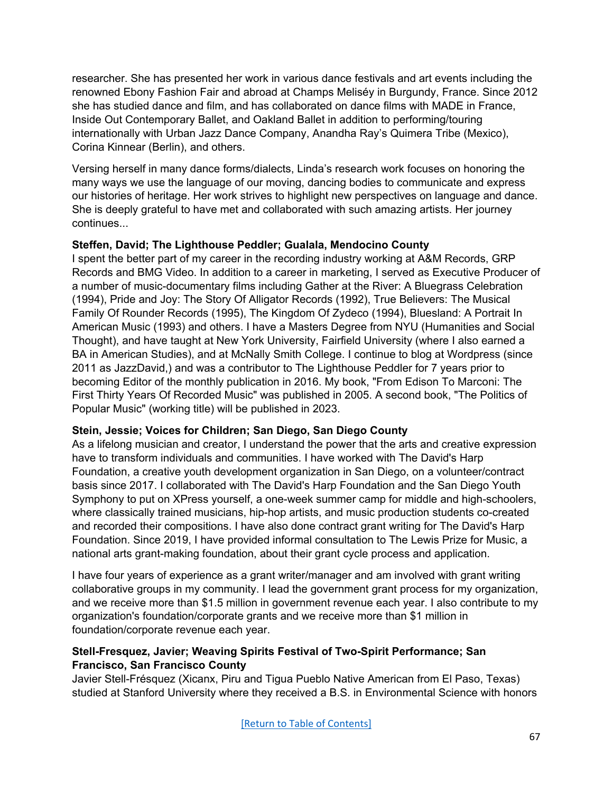researcher. She has presented her work in various dance festivals and art events including the renowned Ebony Fashion Fair and abroad at Champs Meliséy in Burgundy, France. Since 2012 she has studied dance and film, and has collaborated on dance films with MADE in France, Inside Out Contemporary Ballet, and Oakland Ballet in addition to performing/touring internationally with Urban Jazz Dance Company, Anandha Ray's Quimera Tribe (Mexico), Corina Kinnear (Berlin), and others.

Versing herself in many dance forms/dialects, Linda's research work focuses on honoring the many ways we use the language of our moving, dancing bodies to communicate and express our histories of heritage. Her work strives to highlight new perspectives on language and dance. She is deeply grateful to have met and collaborated with such amazing artists. Her journey continues...

# **Steffen, David; The Lighthouse Peddler; Gualala, Mendocino County**

I spent the better part of my career in the recording industry working at A&M Records, GRP Records and BMG Video. In addition to a career in marketing, I served as Executive Producer of a number of music-documentary films including Gather at the River: A Bluegrass Celebration (1994), Pride and Joy: The Story Of Alligator Records (1992), True Believers: The Musical Family Of Rounder Records (1995), The Kingdom Of Zydeco (1994), Bluesland: A Portrait In American Music (1993) and others. I have a Masters Degree from NYU (Humanities and Social Thought), and have taught at New York University, Fairfield University (where I also earned a BA in American Studies), and at McNally Smith College. I continue to blog at Wordpress (since 2011 as JazzDavid,) and was a contributor to The Lighthouse Peddler for 7 years prior to becoming Editor of the monthly publication in 2016. My book, "From Edison To Marconi: The First Thirty Years Of Recorded Music" was published in 2005. A second book, "The Politics of Popular Music" (working title) will be published in 2023.

#### **Stein, Jessie; Voices for Children; San Diego, San Diego County**

As a lifelong musician and creator, I understand the power that the arts and creative expression have to transform individuals and communities. I have worked with The David's Harp Foundation, a creative youth development organization in San Diego, on a volunteer/contract basis since 2017. I collaborated with The David's Harp Foundation and the San Diego Youth Symphony to put on XPress yourself, a one-week summer camp for middle and high-schoolers, where classically trained musicians, hip-hop artists, and music production students co-created and recorded their compositions. I have also done contract grant writing for The David's Harp Foundation. Since 2019, I have provided informal consultation to The Lewis Prize for Music, a national arts grant-making foundation, about their grant cycle process and application.

I have four years of experience as a grant writer/manager and am involved with grant writing collaborative groups in my community. I lead the government grant process for my organization, and we receive more than \$1.5 million in government revenue each year. I also contribute to my organization's foundation/corporate grants and we receive more than \$1 million in foundation/corporate revenue each year.

# **Stell-Fresquez, Javier; Weaving Spirits Festival of Two-Spirit Performance; San Francisco, San Francisco County**

Javier Stell-Frésquez (Xicanx, Piru and Tigua Pueblo Native American from El Paso, Texas) studied at Stanford University where they received a B.S. in Environmental Science with honors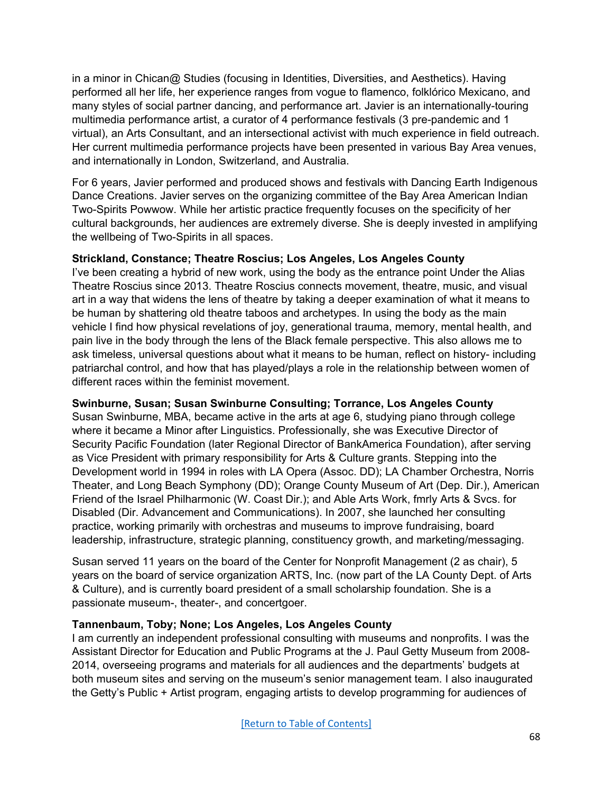in a minor in Chican@ Studies (focusing in Identities, Diversities, and Aesthetics). Having performed all her life, her experience ranges from vogue to flamenco, folklórico Mexicano, and many styles of social partner dancing, and performance art. Javier is an internationally-touring multimedia performance artist, a curator of 4 performance festivals (3 pre-pandemic and 1 virtual), an Arts Consultant, and an intersectional activist with much experience in field outreach. Her current multimedia performance projects have been presented in various Bay Area venues, and internationally in London, Switzerland, and Australia.

For 6 years, Javier performed and produced shows and festivals with Dancing Earth Indigenous Dance Creations. Javier serves on the organizing committee of the Bay Area American Indian Two-Spirits Powwow. While her artistic practice frequently focuses on the specificity of her cultural backgrounds, her audiences are extremely diverse. She is deeply invested in amplifying the wellbeing of Two-Spirits in all spaces.

### **Strickland, Constance; Theatre Roscius; Los Angeles, Los Angeles County**

I've been creating a hybrid of new work, using the body as the entrance point Under the Alias Theatre Roscius since 2013. Theatre Roscius connects movement, theatre, music, and visual art in a way that widens the lens of theatre by taking a deeper examination of what it means to be human by shattering old theatre taboos and archetypes. In using the body as the main vehicle I find how physical revelations of joy, generational trauma, memory, mental health, and pain live in the body through the lens of the Black female perspective. This also allows me to ask timeless, universal questions about what it means to be human, reflect on history- including patriarchal control, and how that has played/plays a role in the relationship between women of different races within the feminist movement.

#### **Swinburne, Susan; Susan Swinburne Consulting; Torrance, Los Angeles County**

Susan Swinburne, MBA, became active in the arts at age 6, studying piano through college where it became a Minor after Linguistics. Professionally, she was Executive Director of Security Pacific Foundation (later Regional Director of BankAmerica Foundation), after serving as Vice President with primary responsibility for Arts & Culture grants. Stepping into the Development world in 1994 in roles with LA Opera (Assoc. DD); LA Chamber Orchestra, Norris Theater, and Long Beach Symphony (DD); Orange County Museum of Art (Dep. Dir.), American Friend of the Israel Philharmonic (W. Coast Dir.); and Able Arts Work, fmrly Arts & Svcs. for Disabled (Dir. Advancement and Communications). In 2007, she launched her consulting practice, working primarily with orchestras and museums to improve fundraising, board leadership, infrastructure, strategic planning, constituency growth, and marketing/messaging.

Susan served 11 years on the board of the Center for Nonprofit Management (2 as chair), 5 years on the board of service organization ARTS, Inc. (now part of the LA County Dept. of Arts & Culture), and is currently board president of a small scholarship foundation. She is a passionate museum-, theater-, and concertgoer.

#### **Tannenbaum, Toby; None; Los Angeles, Los Angeles County**

I am currently an independent professional consulting with museums and nonprofits. I was the Assistant Director for Education and Public Programs at the J. Paul Getty Museum from 2008- 2014, overseeing programs and materials for all audiences and the departments' budgets at both museum sites and serving on the museum's senior management team. I also inaugurated the Getty's Public + Artist program, engaging artists to develop programming for audiences of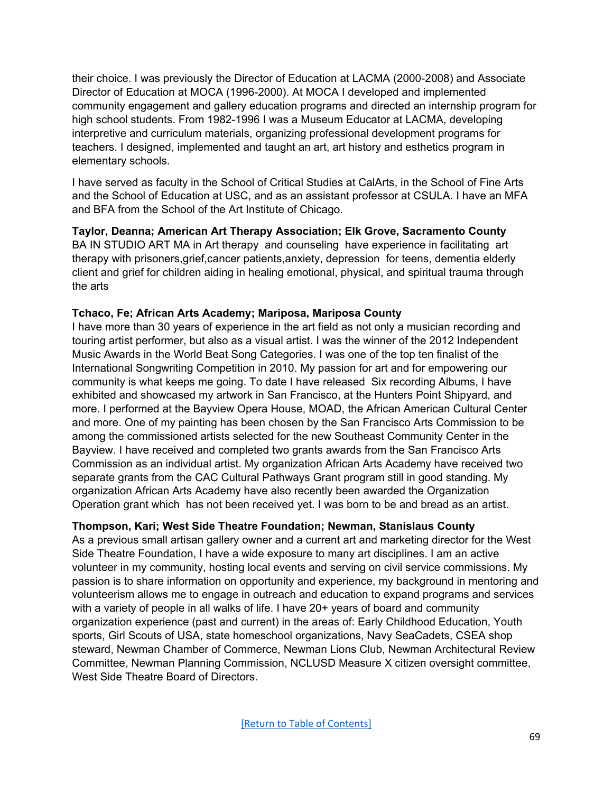their choice. I was previously the Director of Education at LACMA (2000-2008) and Associate Director of Education at MOCA (1996-2000). At MOCA I developed and implemented community engagement and gallery education programs and directed an internship program for high school students. From 1982-1996 I was a Museum Educator at LACMA, developing interpretive and curriculum materials, organizing professional development programs for teachers. I designed, implemented and taught an art, art history and esthetics program in elementary schools.

I have served as faculty in the School of Critical Studies at CalArts, in the School of Fine Arts and the School of Education at USC, and as an assistant professor at CSULA. I have an MFA and BFA from the School of the Art Institute of Chicago.

#### **Taylor, Deanna; American Art Therapy Association; Elk Grove, Sacramento County**

BA IN STUDIO ART MA in Art therapy and counseling have experience in facilitating art therapy with prisoners,grief,cancer patients,anxiety, depression for teens, dementia elderly client and grief for children aiding in healing emotional, physical, and spiritual trauma through the arts

### **Tchaco, Fe; African Arts Academy; Mariposa, Mariposa County**

I have more than 30 years of experience in the art field as not only a musician recording and touring artist performer, but also as a visual artist. I was the winner of the 2012 Independent Music Awards in the World Beat Song Categories. I was one of the top ten finalist of the International Songwriting Competition in 2010. My passion for art and for empowering our community is what keeps me going. To date I have released Six recording Albums, I have exhibited and showcased my artwork in San Francisco, at the Hunters Point Shipyard, and more. I performed at the Bayview Opera House, MOAD, the African American Cultural Center and more. One of my painting has been chosen by the San Francisco Arts Commission to be among the commissioned artists selected for the new Southeast Community Center in the Bayview. I have received and completed two grants awards from the San Francisco Arts Commission as an individual artist. My organization African Arts Academy have received two separate grants from the CAC Cultural Pathways Grant program still in good standing. My organization African Arts Academy have also recently been awarded the Organization Operation grant which has not been received yet. I was born to be and bread as an artist.

# **Thompson, Kari; West Side Theatre Foundation; Newman, Stanislaus County**

As a previous small artisan gallery owner and a current art and marketing director for the West Side Theatre Foundation, I have a wide exposure to many art disciplines. I am an active volunteer in my community, hosting local events and serving on civil service commissions. My passion is to share information on opportunity and experience, my background in mentoring and volunteerism allows me to engage in outreach and education to expand programs and services with a variety of people in all walks of life. I have 20+ years of board and community organization experience (past and current) in the areas of: Early Childhood Education, Youth sports, Girl Scouts of USA, state homeschool organizations, Navy SeaCadets, CSEA shop steward, Newman Chamber of Commerce, Newman Lions Club, Newman Architectural Review Committee, Newman Planning Commission, NCLUSD Measure X citizen oversight committee, West Side Theatre Board of Directors.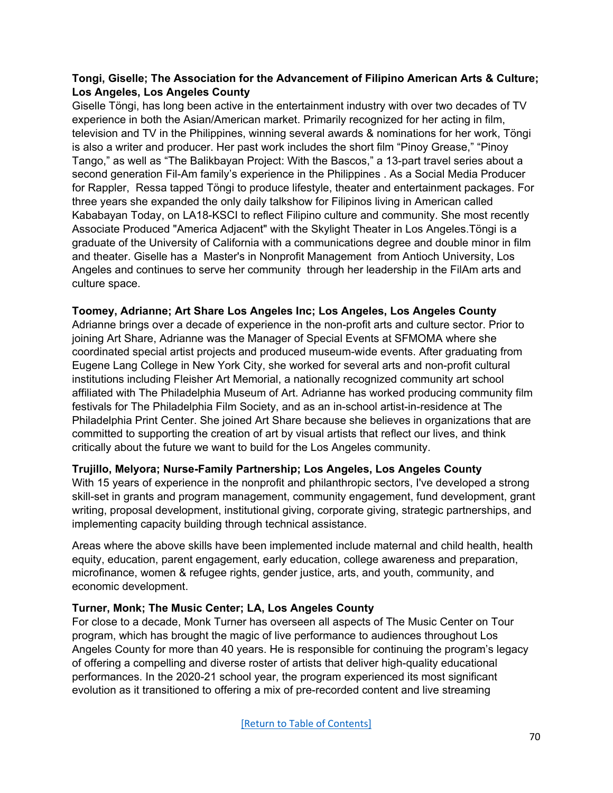### **Tongi, Giselle; The Association for the Advancement of Filipino American Arts & Culture; Los Angeles, Los Angeles County**

Giselle Töngi, has long been active in the entertainment industry with over two decades of TV experience in both the Asian/American market. Primarily recognized for her acting in film, television and TV in the Philippines, winning several awards & nominations for her work, Töngi is also a writer and producer. Her past work includes the short film "Pinoy Grease," "Pinoy Tango," as well as "The Balikbayan Project: With the Bascos," a 13-part travel series about a second generation Fil-Am family's experience in the Philippines . As a Social Media Producer for Rappler, Ressa tapped Töngi to produce lifestyle, theater and entertainment packages. For three years she expanded the only daily talkshow for Filipinos living in American called Kababayan Today, on LA18-KSCI to reflect Filipino culture and community. She most recently Associate Produced "America Adjacent" with the Skylight Theater in Los Angeles.Töngi is a graduate of the University of California with a communications degree and double minor in film and theater. Giselle has a Master's in Nonprofit Management from Antioch University, Los Angeles and continues to serve her community through her leadership in the FilAm arts and culture space.

### **Toomey, Adrianne; Art Share Los Angeles Inc; Los Angeles, Los Angeles County**

Adrianne brings over a decade of experience in the non-profit arts and culture sector. Prior to joining Art Share, Adrianne was the Manager of Special Events at SFMOMA where she coordinated special artist projects and produced museum-wide events. After graduating from Eugene Lang College in New York City, she worked for several arts and non-profit cultural institutions including Fleisher Art Memorial, a nationally recognized community art school affiliated with The Philadelphia Museum of Art. Adrianne has worked producing community film festivals for The Philadelphia Film Society, and as an in-school artist-in-residence at The Philadelphia Print Center. She joined Art Share because she believes in organizations that are committed to supporting the creation of art by visual artists that reflect our lives, and think critically about the future we want to build for the Los Angeles community.

#### **Trujillo, Melyora; Nurse-Family Partnership; Los Angeles, Los Angeles County**

With 15 years of experience in the nonprofit and philanthropic sectors, I've developed a strong skill-set in grants and program management, community engagement, fund development, grant writing, proposal development, institutional giving, corporate giving, strategic partnerships, and implementing capacity building through technical assistance.

Areas where the above skills have been implemented include maternal and child health, health equity, education, parent engagement, early education, college awareness and preparation, microfinance, women & refugee rights, gender justice, arts, and youth, community, and economic development.

#### **Turner, Monk; The Music Center; LA, Los Angeles County**

For close to a decade, Monk Turner has overseen all aspects of The Music Center on Tour program, which has brought the magic of live performance to audiences throughout Los Angeles County for more than 40 years. He is responsible for continuing the program's legacy of offering a compelling and diverse roster of artists that deliver high-quality educational performances. In the 2020-21 school year, the program experienced its most significant evolution as it transitioned to offering a mix of pre-recorded content and live streaming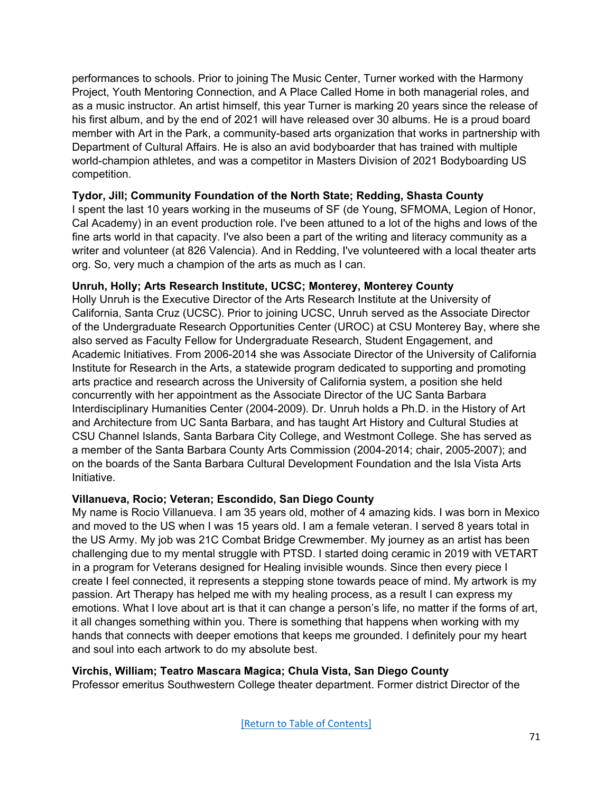performances to schools. Prior to joining The Music Center, Turner worked with the Harmony Project, Youth Mentoring Connection, and A Place Called Home in both managerial roles, and as a music instructor. An artist himself, this year Turner is marking 20 years since the release of his first album, and by the end of 2021 will have released over 30 albums. He is a proud board member with Art in the Park, a community-based arts organization that works in partnership with Department of Cultural Affairs. He is also an avid bodyboarder that has trained with multiple world-champion athletes, and was a competitor in Masters Division of 2021 Bodyboarding US competition.

#### **Tydor, Jill; Community Foundation of the North State; Redding, Shasta County**

I spent the last 10 years working in the museums of SF (de Young, SFMOMA, Legion of Honor, Cal Academy) in an event production role. I've been attuned to a lot of the highs and lows of the fine arts world in that capacity. I've also been a part of the writing and literacy community as a writer and volunteer (at 826 Valencia). And in Redding, I've volunteered with a local theater arts org. So, very much a champion of the arts as much as I can.

### **Unruh, Holly; Arts Research Institute, UCSC; Monterey, Monterey County**

Holly Unruh is the Executive Director of the Arts Research Institute at the University of California, Santa Cruz (UCSC). Prior to joining UCSC, Unruh served as the Associate Director of the Undergraduate Research Opportunities Center (UROC) at CSU Monterey Bay, where she also served as Faculty Fellow for Undergraduate Research, Student Engagement, and Academic Initiatives. From 2006-2014 she was Associate Director of the University of California Institute for Research in the Arts, a statewide program dedicated to supporting and promoting arts practice and research across the University of California system, a position she held concurrently with her appointment as the Associate Director of the UC Santa Barbara Interdisciplinary Humanities Center (2004-2009). Dr. Unruh holds a Ph.D. in the History of Art and Architecture from UC Santa Barbara, and has taught Art History and Cultural Studies at CSU Channel Islands, Santa Barbara City College, and Westmont College. She has served as a member of the Santa Barbara County Arts Commission (2004-2014; chair, 2005-2007); and on the boards of the Santa Barbara Cultural Development Foundation and the Isla Vista Arts Initiative.

#### **Villanueva, Rocio; Veteran; Escondido, San Diego County**

My name is Rocio Villanueva. I am 35 years old, mother of 4 amazing kids. I was born in Mexico and moved to the US when I was 15 years old. I am a female veteran. I served 8 years total in the US Army. My job was 21C Combat Bridge Crewmember. My journey as an artist has been challenging due to my mental struggle with PTSD. I started doing ceramic in 2019 with VETART in a program for Veterans designed for Healing invisible wounds. Since then every piece I create I feel connected, it represents a stepping stone towards peace of mind. My artwork is my passion. Art Therapy has helped me with my healing process, as a result I can express my emotions. What I love about art is that it can change a person's life, no matter if the forms of art, it all changes something within you. There is something that happens when working with my hands that connects with deeper emotions that keeps me grounded. I definitely pour my heart and soul into each artwork to do my absolute best.

# **Virchis, William; Teatro Mascara Magica; Chula Vista, San Diego County**

Professor emeritus Southwestern College theater department. Former district Director of the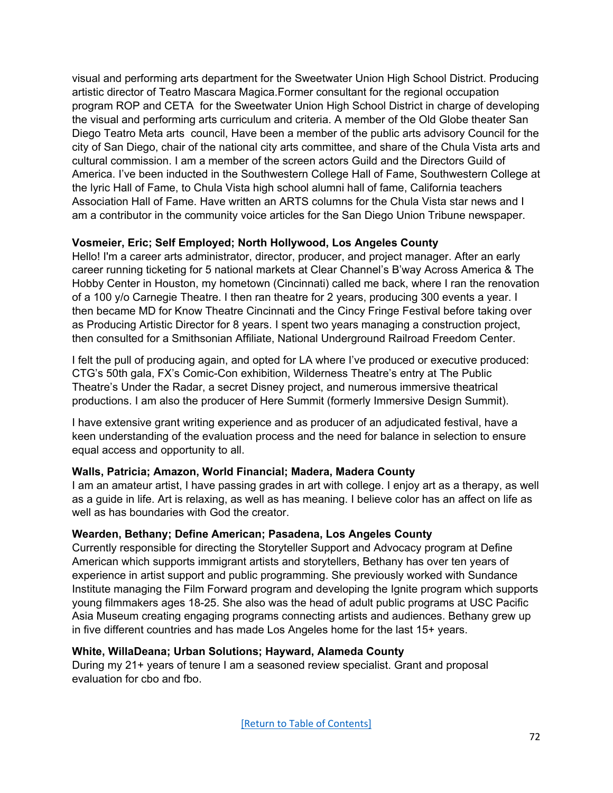visual and performing arts department for the Sweetwater Union High School District. Producing artistic director of Teatro Mascara Magica.Former consultant for the regional occupation program ROP and CETA for the Sweetwater Union High School District in charge of developing the visual and performing arts curriculum and criteria. A member of the Old Globe theater San Diego Teatro Meta arts council, Have been a member of the public arts advisory Council for the city of San Diego, chair of the national city arts committee, and share of the Chula Vista arts and cultural commission. I am a member of the screen actors Guild and the Directors Guild of America. I've been inducted in the Southwestern College Hall of Fame, Southwestern College at the lyric Hall of Fame, to Chula Vista high school alumni hall of fame, California teachers Association Hall of Fame. Have written an ARTS columns for the Chula Vista star news and I am a contributor in the community voice articles for the San Diego Union Tribune newspaper.

# **Vosmeier, Eric; Self Employed; North Hollywood, Los Angeles County**

Hello! I'm a career arts administrator, director, producer, and project manager. After an early career running ticketing for 5 national markets at Clear Channel's B'way Across America & The Hobby Center in Houston, my hometown (Cincinnati) called me back, where I ran the renovation of a 100 y/o Carnegie Theatre. I then ran theatre for 2 years, producing 300 events a year. I then became MD for Know Theatre Cincinnati and the Cincy Fringe Festival before taking over as Producing Artistic Director for 8 years. I spent two years managing a construction project, then consulted for a Smithsonian Affiliate, National Underground Railroad Freedom Center.

I felt the pull of producing again, and opted for LA where I've produced or executive produced: CTG's 50th gala, FX's Comic-Con exhibition, Wilderness Theatre's entry at The Public Theatre's Under the Radar, a secret Disney project, and numerous immersive theatrical productions. I am also the producer of Here Summit (formerly Immersive Design Summit).

I have extensive grant writing experience and as producer of an adjudicated festival, have a keen understanding of the evaluation process and the need for balance in selection to ensure equal access and opportunity to all.

#### **Walls, Patricia; Amazon, World Financial; Madera, Madera County**

I am an amateur artist, I have passing grades in art with college. I enjoy art as a therapy, as well as a guide in life. Art is relaxing, as well as has meaning. I believe color has an affect on life as well as has boundaries with God the creator.

# **Wearden, Bethany; Define American; Pasadena, Los Angeles County**

Currently responsible for directing the Storyteller Support and Advocacy program at Define American which supports immigrant artists and storytellers, Bethany has over ten years of experience in artist support and public programming. She previously worked with Sundance Institute managing the Film Forward program and developing the Ignite program which supports young filmmakers ages 18-25. She also was the head of adult public programs at USC Pacific Asia Museum creating engaging programs connecting artists and audiences. Bethany grew up in five different countries and has made Los Angeles home for the last 15+ years.

#### **White, WillaDeana; Urban Solutions; Hayward, Alameda County**

During my 21+ years of tenure I am a seasoned review specialist. Grant and proposal evaluation for cbo and fbo.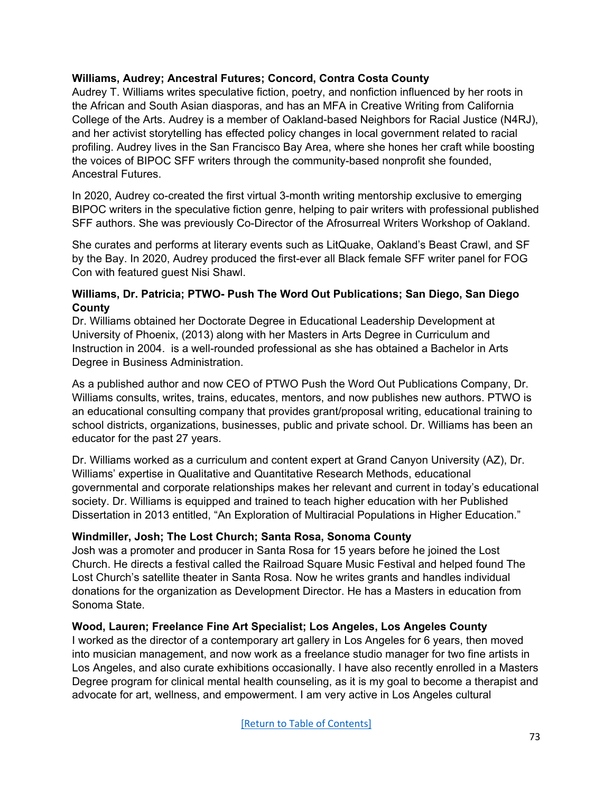## **Williams, Audrey; Ancestral Futures; Concord, Contra Costa County**

Audrey T. Williams writes speculative fiction, poetry, and nonfiction influenced by her roots in the African and South Asian diasporas, and has an MFA in Creative Writing from California College of the Arts. Audrey is a member of Oakland-based Neighbors for Racial Justice (N4RJ), and her activist storytelling has effected policy changes in local government related to racial profiling. Audrey lives in the San Francisco Bay Area, where she hones her craft while boosting the voices of BIPOC SFF writers through the community-based nonprofit she founded, Ancestral Futures.

In 2020, Audrey co-created the first virtual 3-month writing mentorship exclusive to emerging BIPOC writers in the speculative fiction genre, helping to pair writers with professional published SFF authors. She was previously Co-Director of the Afrosurreal Writers Workshop of Oakland.

She curates and performs at literary events such as LitQuake, Oakland's Beast Crawl, and SF by the Bay. In 2020, Audrey produced the first-ever all Black female SFF writer panel for FOG Con with featured guest Nisi Shawl.

#### **Williams, Dr. Patricia; PTWO- Push The Word Out Publications; San Diego, San Diego County**

Dr. Williams obtained her Doctorate Degree in Educational Leadership Development at University of Phoenix, (2013) along with her Masters in Arts Degree in Curriculum and Instruction in 2004. is a well-rounded professional as she has obtained a Bachelor in Arts Degree in Business Administration.

As a published author and now CEO of PTWO Push the Word Out Publications Company, Dr. Williams consults, writes, trains, educates, mentors, and now publishes new authors. PTWO is an educational consulting company that provides grant/proposal writing, educational training to school districts, organizations, businesses, public and private school. Dr. Williams has been an educator for the past 27 years.

Dr. Williams worked as a curriculum and content expert at Grand Canyon University (AZ), Dr. Williams' expertise in Qualitative and Quantitative Research Methods, educational governmental and corporate relationships makes her relevant and current in today's educational society. Dr. Williams is equipped and trained to teach higher education with her Published Dissertation in 2013 entitled, "An Exploration of Multiracial Populations in Higher Education."

# **Windmiller, Josh; The Lost Church; Santa Rosa, Sonoma County**

Josh was a promoter and producer in Santa Rosa for 15 years before he joined the Lost Church. He directs a festival called the Railroad Square Music Festival and helped found The Lost Church's satellite theater in Santa Rosa. Now he writes grants and handles individual donations for the organization as Development Director. He has a Masters in education from Sonoma State.

#### **Wood, Lauren; Freelance Fine Art Specialist; Los Angeles, Los Angeles County**

I worked as the director of a contemporary art gallery in Los Angeles for 6 years, then moved into musician management, and now work as a freelance studio manager for two fine artists in Los Angeles, and also curate exhibitions occasionally. I have also recently enrolled in a Masters Degree program for clinical mental health counseling, as it is my goal to become a therapist and advocate for art, wellness, and empowerment. I am very active in Los Angeles cultural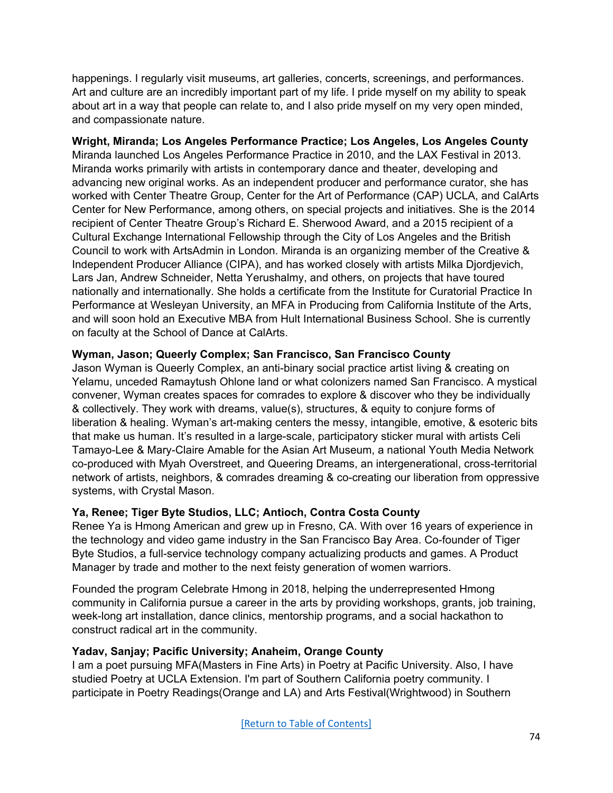happenings. I regularly visit museums, art galleries, concerts, screenings, and performances. Art and culture are an incredibly important part of my life. I pride myself on my ability to speak about art in a way that people can relate to, and I also pride myself on my very open minded, and compassionate nature.

**Wright, Miranda; Los Angeles Performance Practice; Los Angeles, Los Angeles County** Miranda launched Los Angeles Performance Practice in 2010, and the LAX Festival in 2013. Miranda works primarily with artists in contemporary dance and theater, developing and advancing new original works. As an independent producer and performance curator, she has worked with Center Theatre Group, Center for the Art of Performance (CAP) UCLA, and CalArts Center for New Performance, among others, on special projects and initiatives. She is the 2014 recipient of Center Theatre Group's Richard E. Sherwood Award, and a 2015 recipient of a Cultural Exchange International Fellowship through the City of Los Angeles and the British Council to work with ArtsAdmin in London. Miranda is an organizing member of the Creative & Independent Producer Alliance (CIPA), and has worked closely with artists Milka Djordjevich, Lars Jan, Andrew Schneider, Netta Yerushalmy, and others, on projects that have toured nationally and internationally. She holds a certificate from the Institute for Curatorial Practice In Performance at Wesleyan University, an MFA in Producing from California Institute of the Arts, and will soon hold an Executive MBA from Hult International Business School. She is currently on faculty at the School of Dance at CalArts.

## **Wyman, Jason; Queerly Complex; San Francisco, San Francisco County**

Jason Wyman is Queerly Complex, an anti-binary social practice artist living & creating on Yelamu, unceded Ramaytush Ohlone land or what colonizers named San Francisco. A mystical convener, Wyman creates spaces for comrades to explore & discover who they be individually & collectively. They work with dreams, value(s), structures, & equity to conjure forms of liberation & healing. Wyman's art-making centers the messy, intangible, emotive, & esoteric bits that make us human. It's resulted in a large-scale, participatory sticker mural with artists Celi Tamayo-Lee & Mary-Claire Amable for the Asian Art Museum, a national Youth Media Network co-produced with Myah Overstreet, and Queering Dreams, an intergenerational, cross-territorial network of artists, neighbors, & comrades dreaming & co-creating our liberation from oppressive systems, with Crystal Mason.

# **Ya, Renee; Tiger Byte Studios, LLC; Antioch, Contra Costa County**

Renee Ya is Hmong American and grew up in Fresno, CA. With over 16 years of experience in the technology and video game industry in the San Francisco Bay Area. Co-founder of Tiger Byte Studios, a full-service technology company actualizing products and games. A Product Manager by trade and mother to the next feisty generation of women warriors.

Founded the program Celebrate Hmong in 2018, helping the underrepresented Hmong community in California pursue a career in the arts by providing workshops, grants, job training, week-long art installation, dance clinics, mentorship programs, and a social hackathon to construct radical art in the community.

# **Yadav, Sanjay; Pacific University; Anaheim, Orange County**

I am a poet pursuing MFA(Masters in Fine Arts) in Poetry at Pacific University. Also, I have studied Poetry at UCLA Extension. I'm part of Southern California poetry community. I participate in Poetry Readings(Orange and LA) and Arts Festival(Wrightwood) in Southern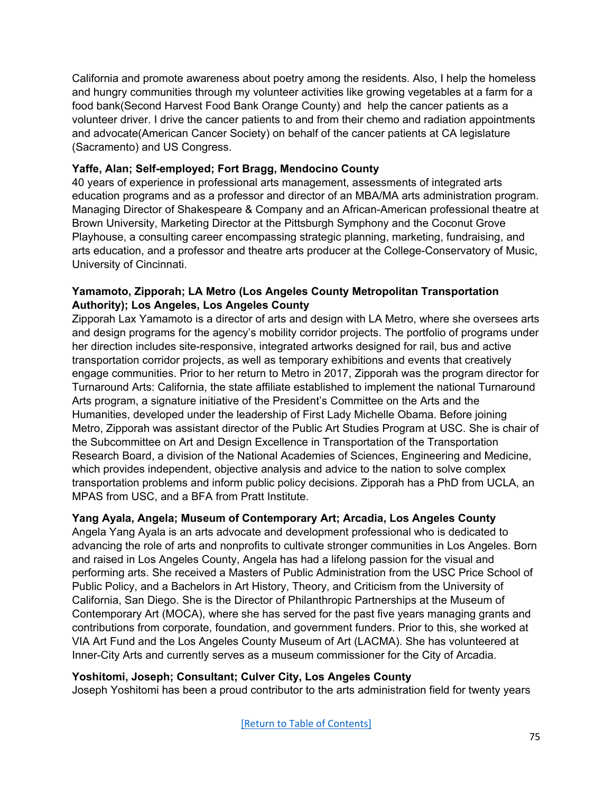California and promote awareness about poetry among the residents. Also, I help the homeless and hungry communities through my volunteer activities like growing vegetables at a farm for a food bank(Second Harvest Food Bank Orange County) and help the cancer patients as a volunteer driver. I drive the cancer patients to and from their chemo and radiation appointments and advocate(American Cancer Society) on behalf of the cancer patients at CA legislature (Sacramento) and US Congress.

# **Yaffe, Alan; Self-employed; Fort Bragg, Mendocino County**

40 years of experience in professional arts management, assessments of integrated arts education programs and as a professor and director of an MBA/MA arts administration program. Managing Director of Shakespeare & Company and an African-American professional theatre at Brown University, Marketing Director at the Pittsburgh Symphony and the Coconut Grove Playhouse, a consulting career encompassing strategic planning, marketing, fundraising, and arts education, and a professor and theatre arts producer at the College-Conservatory of Music, University of Cincinnati.

## **Yamamoto, Zipporah; LA Metro (Los Angeles County Metropolitan Transportation Authority); Los Angeles, Los Angeles County**

Zipporah Lax Yamamoto is a director of arts and design with LA Metro, where she oversees arts and design programs for the agency's mobility corridor projects. The portfolio of programs under her direction includes site-responsive, integrated artworks designed for rail, bus and active transportation corridor projects, as well as temporary exhibitions and events that creatively engage communities. Prior to her return to Metro in 2017, Zipporah was the program director for Turnaround Arts: California, the state affiliate established to implement the national Turnaround Arts program, a signature initiative of the President's Committee on the Arts and the Humanities, developed under the leadership of First Lady Michelle Obama. Before joining Metro, Zipporah was assistant director of the Public Art Studies Program at USC. She is chair of the Subcommittee on Art and Design Excellence in Transportation of the Transportation Research Board, a division of the National Academies of Sciences, Engineering and Medicine, which provides independent, objective analysis and advice to the nation to solve complex transportation problems and inform public policy decisions. Zipporah has a PhD from UCLA, an MPAS from USC, and a BFA from Pratt Institute.

# **Yang Ayala, Angela; Museum of Contemporary Art; Arcadia, Los Angeles County**

Angela Yang Ayala is an arts advocate and development professional who is dedicated to advancing the role of arts and nonprofits to cultivate stronger communities in Los Angeles. Born and raised in Los Angeles County, Angela has had a lifelong passion for the visual and performing arts. She received a Masters of Public Administration from the USC Price School of Public Policy, and a Bachelors in Art History, Theory, and Criticism from the University of California, San Diego. She is the Director of Philanthropic Partnerships at the Museum of Contemporary Art (MOCA), where she has served for the past five years managing grants and contributions from corporate, foundation, and government funders. Prior to this, she worked at VIA Art Fund and the Los Angeles County Museum of Art (LACMA). She has volunteered at Inner-City Arts and currently serves as a museum commissioner for the City of Arcadia.

#### **Yoshitomi, Joseph; Consultant; Culver City, Los Angeles County**

Joseph Yoshitomi has been a proud contributor to the arts administration field for twenty years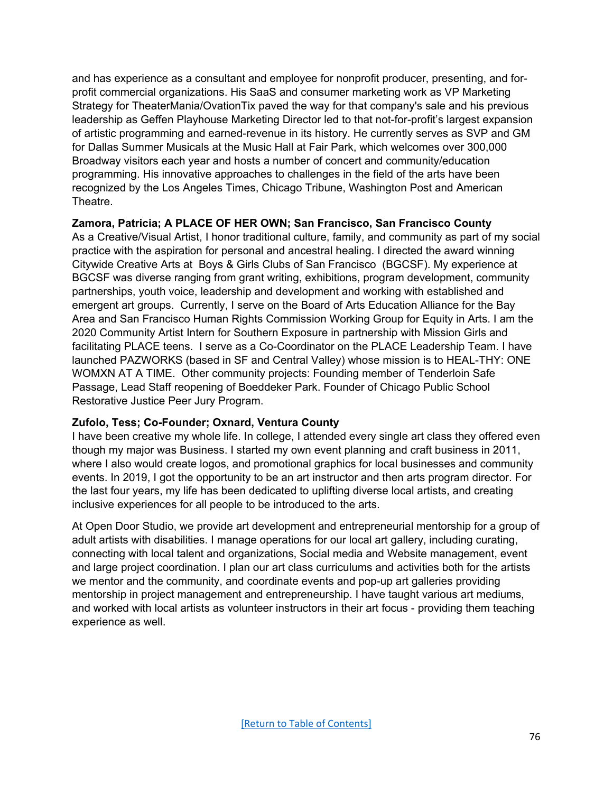and has experience as a consultant and employee for nonprofit producer, presenting, and forprofit commercial organizations. His SaaS and consumer marketing work as VP Marketing Strategy for TheaterMania/OvationTix paved the way for that company's sale and his previous leadership as Geffen Playhouse Marketing Director led to that not-for-profit's largest expansion of artistic programming and earned-revenue in its history. He currently serves as SVP and GM for Dallas Summer Musicals at the Music Hall at Fair Park, which welcomes over 300,000 Broadway visitors each year and hosts a number of concert and community/education programming. His innovative approaches to challenges in the field of the arts have been recognized by the Los Angeles Times, Chicago Tribune, Washington Post and American Theatre.

## **Zamora, Patricia; A PLACE OF HER OWN; San Francisco, San Francisco County**

As a Creative/Visual Artist, I honor traditional culture, family, and community as part of my social practice with the aspiration for personal and ancestral healing. I directed the award winning Citywide Creative Arts at Boys & Girls Clubs of San Francisco (BGCSF). My experience at BGCSF was diverse ranging from grant writing, exhibitions, program development, community partnerships, youth voice, leadership and development and working with established and emergent art groups. Currently, I serve on the Board of Arts Education Alliance for the Bay Area and San Francisco Human Rights Commission Working Group for Equity in Arts. I am the 2020 Community Artist Intern for Southern Exposure in partnership with Mission Girls and facilitating PLACE teens. I serve as a Co-Coordinator on the PLACE Leadership Team. I have launched PAZWORKS (based in SF and Central Valley) whose mission is to HEAL-THY: ONE WOMXN AT A TIME. Other community projects: Founding member of Tenderloin Safe Passage, Lead Staff reopening of Boeddeker Park. Founder of Chicago Public School Restorative Justice Peer Jury Program.

#### **Zufolo, Tess; Co-Founder; Oxnard, Ventura County**

I have been creative my whole life. In college, I attended every single art class they offered even though my major was Business. I started my own event planning and craft business in 2011, where I also would create logos, and promotional graphics for local businesses and community events. In 2019, I got the opportunity to be an art instructor and then arts program director. For the last four years, my life has been dedicated to uplifting diverse local artists, and creating inclusive experiences for all people to be introduced to the arts.

At Open Door Studio, we provide art development and entrepreneurial mentorship for a group of adult artists with disabilities. I manage operations for our local art gallery, including curating, connecting with local talent and organizations, Social media and Website management, event and large project coordination. I plan our art class curriculums and activities both for the artists we mentor and the community, and coordinate events and pop-up art galleries providing mentorship in project management and entrepreneurship. I have taught various art mediums, and worked with local artists as volunteer instructors in their art focus - providing them teaching experience as well.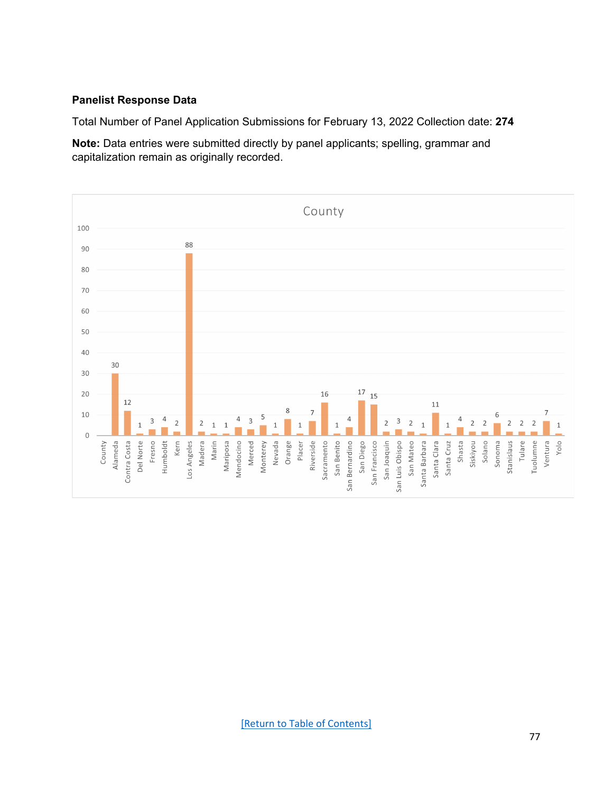#### **Panelist Response Data**

Total Number of Panel Application Submissions for February 13, 2022 Collection date: **274** 

**Note:** Data entries were submitted directly by panel applicants; spelling, grammar and capitalization remain as originally recorded.

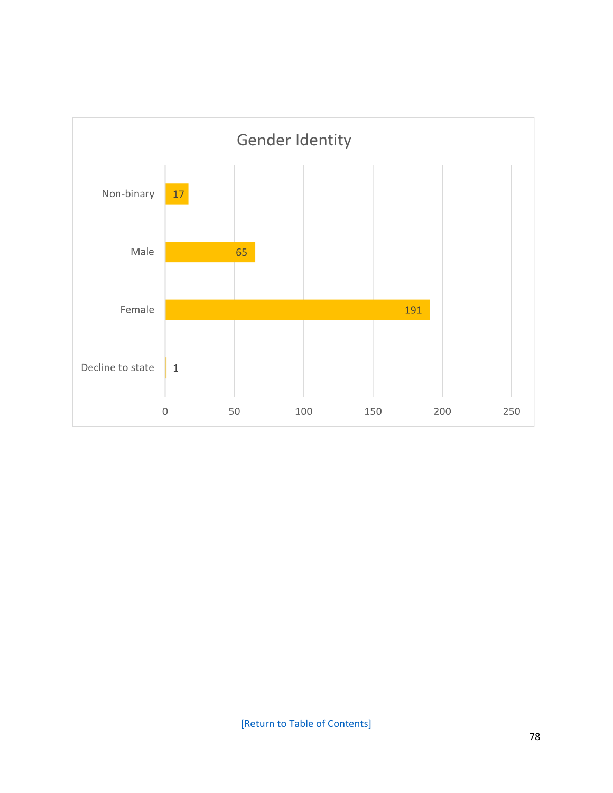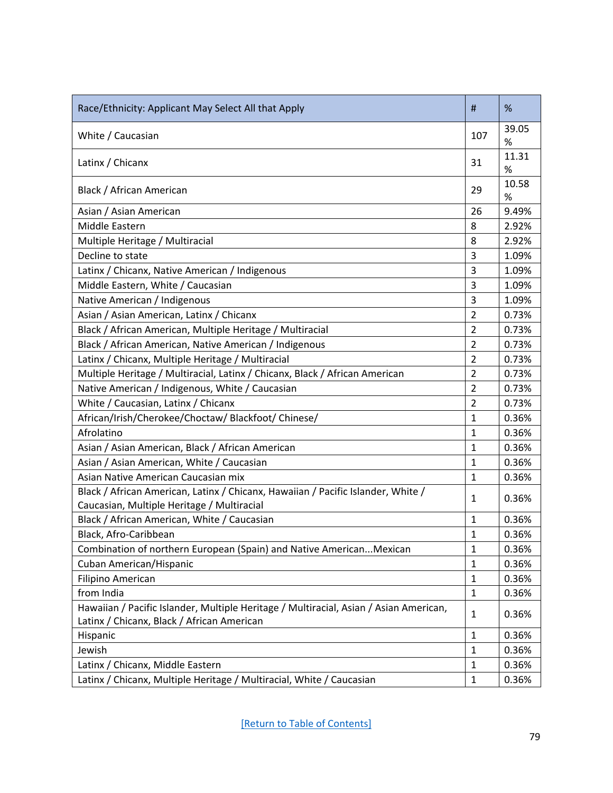| Race/Ethnicity: Applicant May Select All that Apply                                                                            | #              | %             |
|--------------------------------------------------------------------------------------------------------------------------------|----------------|---------------|
| White / Caucasian                                                                                                              | 107            | 39.05<br>$\%$ |
| Latinx / Chicanx                                                                                                               | 31             | 11.31<br>%    |
| Black / African American                                                                                                       | 29             | 10.58<br>$\%$ |
| Asian / Asian American                                                                                                         | 26             | 9.49%         |
| Middle Eastern                                                                                                                 | 8              | 2.92%         |
| Multiple Heritage / Multiracial                                                                                                | 8              | 2.92%         |
| Decline to state                                                                                                               | 3              | 1.09%         |
| Latinx / Chicanx, Native American / Indigenous                                                                                 | 3              | 1.09%         |
| Middle Eastern, White / Caucasian                                                                                              | 3              | 1.09%         |
| Native American / Indigenous                                                                                                   | 3              | 1.09%         |
| Asian / Asian American, Latinx / Chicanx                                                                                       | $\overline{2}$ | 0.73%         |
| Black / African American, Multiple Heritage / Multiracial                                                                      | $\overline{2}$ | 0.73%         |
| Black / African American, Native American / Indigenous                                                                         | $\overline{2}$ | 0.73%         |
| Latinx / Chicanx, Multiple Heritage / Multiracial                                                                              | 2              | 0.73%         |
| Multiple Heritage / Multiracial, Latinx / Chicanx, Black / African American                                                    | $\overline{2}$ | 0.73%         |
| Native American / Indigenous, White / Caucasian                                                                                | $\overline{2}$ | 0.73%         |
| White / Caucasian, Latinx / Chicanx                                                                                            | $\overline{2}$ | 0.73%         |
| African/Irish/Cherokee/Choctaw/ Blackfoot/ Chinese/                                                                            | $\mathbf{1}$   | 0.36%         |
| Afrolatino                                                                                                                     | 1              | 0.36%         |
| Asian / Asian American, Black / African American                                                                               | $\mathbf{1}$   | 0.36%         |
| Asian / Asian American, White / Caucasian                                                                                      | $\mathbf{1}$   | 0.36%         |
| Asian Native American Caucasian mix                                                                                            | $\mathbf{1}$   | 0.36%         |
| Black / African American, Latinx / Chicanx, Hawaiian / Pacific Islander, White /<br>Caucasian, Multiple Heritage / Multiracial | $\mathbf{1}$   | 0.36%         |
| Black / African American, White / Caucasian                                                                                    | $\mathbf{1}$   | 0.36%         |
| Black, Afro-Caribbean                                                                                                          | $\mathbf{1}$   | 0.36%         |
| Combination of northern European (Spain) and Native AmericanMexican                                                            | $\mathbf{1}$   | 0.36%         |
| Cuban American/Hispanic                                                                                                        | $\mathbf 1$    | 0.36%         |
| Filipino American                                                                                                              | $\mathbf{1}$   | 0.36%         |
| from India                                                                                                                     | $\mathbf{1}$   | 0.36%         |
| Hawaiian / Pacific Islander, Multiple Heritage / Multiracial, Asian / Asian American,                                          | $\mathbf{1}$   | 0.36%         |
| Latinx / Chicanx, Black / African American                                                                                     |                |               |
| Hispanic                                                                                                                       | $\mathbf{1}$   | 0.36%         |
| Jewish                                                                                                                         | $\mathbf{1}$   | 0.36%         |
| Latinx / Chicanx, Middle Eastern                                                                                               | $\mathbf{1}$   | 0.36%         |
| Chicanx, Multiple Heritage / Multiracial, White / Caucasian<br>Latinx/                                                         | $\mathbf{1}$   | 0.36%         |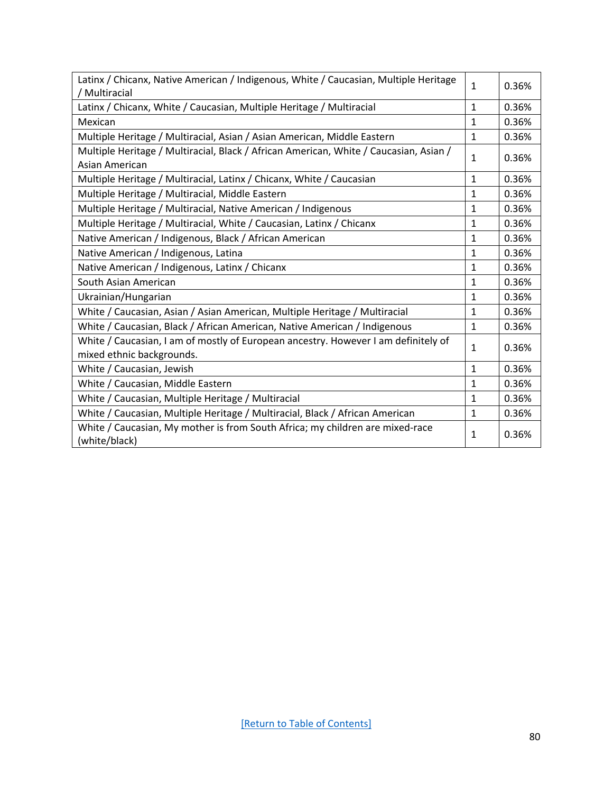| Latinx / Chicanx, Native American / Indigenous, White / Caucasian, Multiple Heritage<br>/ Multiracial           | $\mathbf{1}$ | 0.36% |
|-----------------------------------------------------------------------------------------------------------------|--------------|-------|
| Latinx / Chicanx, White / Caucasian, Multiple Heritage / Multiracial                                            | $\mathbf{1}$ | 0.36% |
| Mexican                                                                                                         | $\mathbf{1}$ | 0.36% |
| Multiple Heritage / Multiracial, Asian / Asian American, Middle Eastern                                         | $\mathbf{1}$ | 0.36% |
| Multiple Heritage / Multiracial, Black / African American, White / Caucasian, Asian /<br>Asian American         | $\mathbf{1}$ | 0.36% |
| Multiple Heritage / Multiracial, Latinx / Chicanx, White / Caucasian                                            | $\mathbf{1}$ | 0.36% |
| Multiple Heritage / Multiracial, Middle Eastern                                                                 | $\mathbf{1}$ | 0.36% |
| Multiple Heritage / Multiracial, Native American / Indigenous                                                   | $\mathbf{1}$ | 0.36% |
| Multiple Heritage / Multiracial, White / Caucasian, Latinx / Chicanx                                            | $\mathbf{1}$ | 0.36% |
| Native American / Indigenous, Black / African American                                                          | 1            | 0.36% |
| Native American / Indigenous, Latina                                                                            | $\mathbf{1}$ | 0.36% |
| Native American / Indigenous, Latinx / Chicanx                                                                  | $\mathbf{1}$ | 0.36% |
| South Asian American                                                                                            | $\mathbf{1}$ | 0.36% |
| Ukrainian/Hungarian                                                                                             | $\mathbf{1}$ | 0.36% |
| White / Caucasian, Asian / Asian American, Multiple Heritage / Multiracial                                      | $\mathbf{1}$ | 0.36% |
| White / Caucasian, Black / African American, Native American / Indigenous                                       | $\mathbf{1}$ | 0.36% |
| White / Caucasian, I am of mostly of European ancestry. However I am definitely of<br>mixed ethnic backgrounds. | 1            | 0.36% |
| White / Caucasian, Jewish                                                                                       | $\mathbf{1}$ | 0.36% |
| White / Caucasian, Middle Eastern                                                                               | $\mathbf{1}$ | 0.36% |
| White / Caucasian, Multiple Heritage / Multiracial                                                              | 1            | 0.36% |
| White / Caucasian, Multiple Heritage / Multiracial, Black / African American                                    | $\mathbf{1}$ | 0.36% |
| White / Caucasian, My mother is from South Africa; my children are mixed-race<br>(white/black)                  | 1            | 0.36% |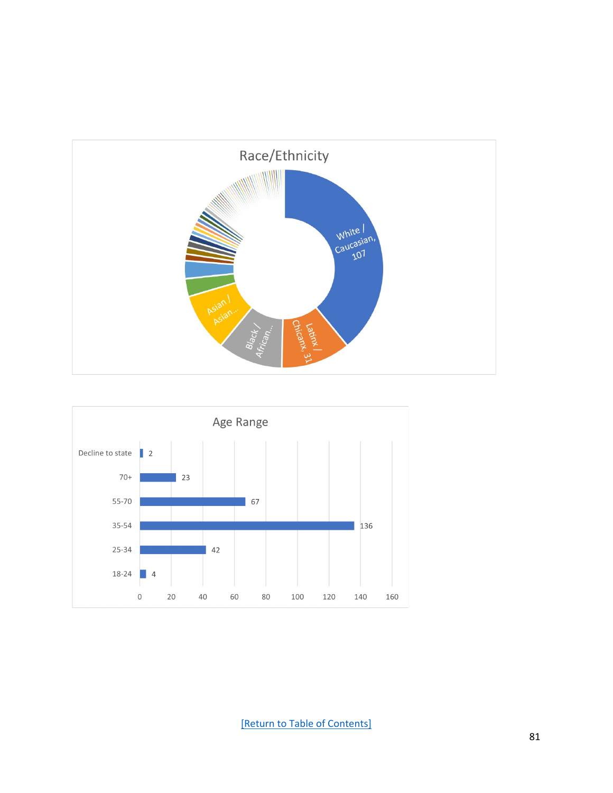



[\[Return to Table of Contents\]](#page-0-0)